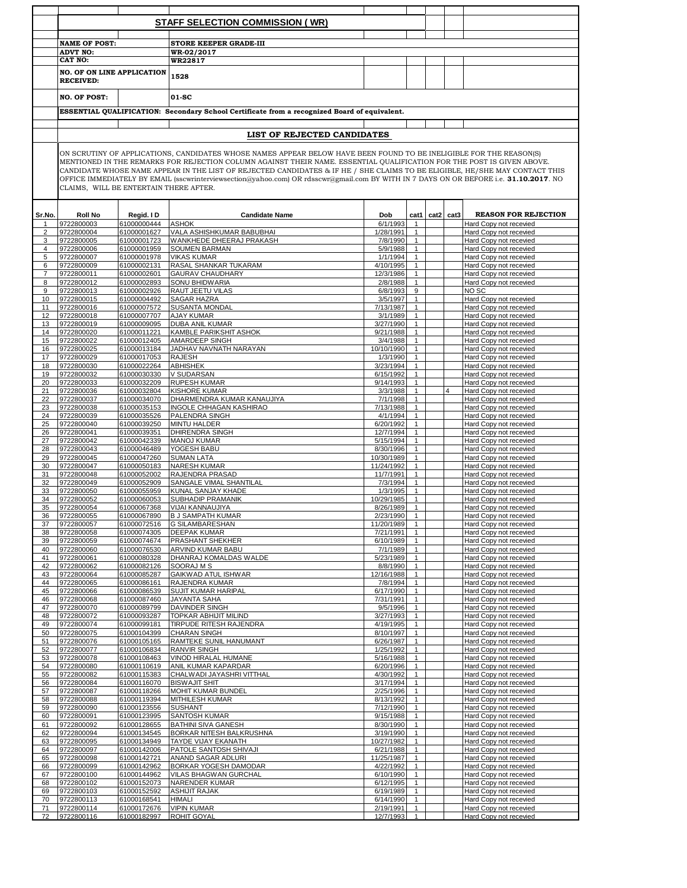|                |                                                |                            | STAFF SELECTION COMMISSION (WR)                                                                                                                                                                                                                                                                                                                                                                                                                                                                                       |                        |                              |           |                                                  |
|----------------|------------------------------------------------|----------------------------|-----------------------------------------------------------------------------------------------------------------------------------------------------------------------------------------------------------------------------------------------------------------------------------------------------------------------------------------------------------------------------------------------------------------------------------------------------------------------------------------------------------------------|------------------------|------------------------------|-----------|--------------------------------------------------|
|                |                                                |                            |                                                                                                                                                                                                                                                                                                                                                                                                                                                                                                                       |                        |                              |           |                                                  |
|                | <b>NAME OF POST:</b>                           |                            | <b>STORE KEEPER GRADE-III</b>                                                                                                                                                                                                                                                                                                                                                                                                                                                                                         |                        |                              |           |                                                  |
|                | <b>ADVT NO:</b><br>CAT NO:                     |                            | WR-02/2017<br>WR22817                                                                                                                                                                                                                                                                                                                                                                                                                                                                                                 |                        |                              |           |                                                  |
|                |                                                |                            |                                                                                                                                                                                                                                                                                                                                                                                                                                                                                                                       |                        |                              |           |                                                  |
|                | NO. OF ON LINE APPLICATION<br><b>RECEIVED:</b> |                            | 1528                                                                                                                                                                                                                                                                                                                                                                                                                                                                                                                  |                        |                              |           |                                                  |
|                | <b>NO. OF POST:</b>                            |                            | 01-SC                                                                                                                                                                                                                                                                                                                                                                                                                                                                                                                 |                        |                              |           |                                                  |
|                |                                                |                            | ESSENTIAL QUALIFICATION: Secondary School Certificate from a recognized Board of equivalent.                                                                                                                                                                                                                                                                                                                                                                                                                          |                        |                              |           |                                                  |
|                |                                                |                            |                                                                                                                                                                                                                                                                                                                                                                                                                                                                                                                       |                        |                              |           |                                                  |
|                |                                                |                            | LIST OF REJECTED CANDIDATES                                                                                                                                                                                                                                                                                                                                                                                                                                                                                           |                        |                              |           |                                                  |
|                | CLAIMS, WILL BE ENTERTAIN THERE AFTER.         |                            | ON SCRUTINY OF APPLICATIONS, CANDIDATES WHOSE NAMES APPEAR BELOW HAVE BEEN FOUND TO BE INELIGIBLE FOR THE REASON(S)<br>MENTIONED IN THE REMARKS FOR REJECTION COLUMN AGAINST THEIR NAME. ESSENTIAL QUALIFICATION FOR THE POST IS GIVEN ABOVE.<br>CANDIDATE WHOSE NAME APPEAR IN THE LIST OF REJECTED CANDIDATES & IF HE / SHE CLAIMS TO BE ELIGIBLE, HE/SHE MAY CONTACT THIS<br>OFFICE IMMEDIATELY BY EMAIL (sscwrinterviewsection@yahoo.com) OR rdsscwr@gmail.com BY WITH IN 7 DAYS ON OR BEFORE i.e. 31.10.2017. NO |                        |                              |           |                                                  |
| Sr.No.         | <b>Roll No</b>                                 | Regid. I D                 | <b>Candidate Name</b>                                                                                                                                                                                                                                                                                                                                                                                                                                                                                                 | Dob                    | cat1                         | cat2 cat3 | <b>REASON FOR REJECTION</b>                      |
|                | 9722800003                                     | 61000000444                | <b>ASHOK</b>                                                                                                                                                                                                                                                                                                                                                                                                                                                                                                          | 6/1/1993               |                              |           | Hard Copy not recevied                           |
| $\overline{2}$ | 9722800004                                     | 61000001627                | <b>VALA ASHISHKUMAR BABUBHAI</b>                                                                                                                                                                                                                                                                                                                                                                                                                                                                                      | 1/28/1991              | $\mathbf{1}$                 |           | Hard Copy not recevied                           |
| 3<br>4         | 9722800005<br>9722800006                       | 61000001723<br>61000001959 | WANKHEDE DHEERAJ PRAKASH<br><b>SOUMEN BARMAN</b>                                                                                                                                                                                                                                                                                                                                                                                                                                                                      | 7/8/1990<br>5/9/1988   | $\mathbf{1}$<br>$\mathbf{1}$ |           | Hard Copy not recevied<br>Hard Copy not recevied |
| 5              | 9722800007                                     | 61000001978                | <b>VIKAS KUMAR</b>                                                                                                                                                                                                                                                                                                                                                                                                                                                                                                    | 1/1/1994               | $\mathbf{1}$                 |           | Hard Copy not recevied                           |
| 6              | 9722800009                                     | 61000002131                | <b>RASAL SHANKAR TUKARAM</b>                                                                                                                                                                                                                                                                                                                                                                                                                                                                                          | 4/10/1995              | 1                            |           | Hard Copy not recevied                           |
| $\overline{7}$ | 9722800011                                     | 61000002601                | <b>GAURAV CHAUDHARY</b>                                                                                                                                                                                                                                                                                                                                                                                                                                                                                               | 12/3/1986              | $\mathbf{1}$                 |           | Hard Copy not recevied                           |
| 8              | 9722800012                                     | 61000002893                | <b>SONU BHIDWARIA</b>                                                                                                                                                                                                                                                                                                                                                                                                                                                                                                 | 2/8/1988               | $\mathbf{1}$                 |           | Hard Copy not recevied                           |
| 9              | 9722800013                                     | 61000002926                | RAUT JEETU VILAS                                                                                                                                                                                                                                                                                                                                                                                                                                                                                                      | 6/8/1993               | 9                            |           | NO <sub>SC</sub>                                 |
| 10             | 9722800015                                     | 61000004492<br>61000007572 | <b>SAGAR HAZRA</b>                                                                                                                                                                                                                                                                                                                                                                                                                                                                                                    | 3/5/1997               | $\mathbf{1}$<br>$\mathbf{1}$ |           | Hard Copy not recevied                           |
| 11<br>12       | 9722800016<br>9722800018                       | 61000007707                | <b>SUSANTA MONDAL</b><br><b>AJAY KUMAR</b>                                                                                                                                                                                                                                                                                                                                                                                                                                                                            | 7/13/1987<br>3/1/1989  | $\mathbf{1}$                 |           | Hard Copy not recevied<br>Hard Copy not recevied |
| 13             | 9722800019                                     | 61000009095                | <b>DUBA ANIL KUMAR</b>                                                                                                                                                                                                                                                                                                                                                                                                                                                                                                | 3/27/1990              | $\mathbf{1}$                 |           | Hard Copy not recevied                           |
| 14             | 9722800020                                     | 61000011221                | KAMBLE PARIKSHIT ASHOK                                                                                                                                                                                                                                                                                                                                                                                                                                                                                                | 9/21/1988              | $\mathbf{1}$                 |           | Hard Copy not recevied                           |
| 15             | 9722800022                                     | 61000012405                | AMARDEEP SINGH                                                                                                                                                                                                                                                                                                                                                                                                                                                                                                        | 3/4/1988               | $\mathbf{1}$                 |           | Hard Copy not recevied                           |
| 16             | 9722800025                                     | 61000013184                | JADHAV NAVNATH NARAYAN                                                                                                                                                                                                                                                                                                                                                                                                                                                                                                | 10/10/1990             | $\mathbf{1}$                 |           | Hard Copy not recevied                           |
| 17             | 9722800029                                     | 61000017053                | <b>RAJESH</b>                                                                                                                                                                                                                                                                                                                                                                                                                                                                                                         | 1/3/1990               | $\mathbf{1}$                 |           | Hard Copy not recevied                           |
| 18             | 9722800030                                     | 61000022264<br>61000030330 | <b>ABHISHEK</b>                                                                                                                                                                                                                                                                                                                                                                                                                                                                                                       | 3/23/1994              | $\mathbf{1}$<br>$\mathbf{1}$ |           | Hard Copy not recevied                           |
| 19<br>20       | 9722800032<br>9722800033                       | 61000032209                | <b>V SUDARSAN</b><br><b>RUPESH KUMAR</b>                                                                                                                                                                                                                                                                                                                                                                                                                                                                              | 6/15/1992<br>9/14/1993 |                              |           | Hard Copy not recevied<br>Hard Copy not recevied |
| 21             | 9722800036                                     | 61000032804                | <b>KISHORE KUMAR</b>                                                                                                                                                                                                                                                                                                                                                                                                                                                                                                  | 3/3/1988               | $\mathbf{1}$                 |           | Hard Copy not recevied                           |
| 22             | 9722800037                                     | 61000034070                | DHARMENDRA KUMAR KANAUJIYA                                                                                                                                                                                                                                                                                                                                                                                                                                                                                            | 7/1/1998               | $\mathbf{1}$                 |           | Hard Copy not recevied                           |
| 23             | 9722800038                                     | 61000035153                | INGOLE CHHAGAN KASHIRAO                                                                                                                                                                                                                                                                                                                                                                                                                                                                                               | 7/13/1988              | $\mathbf{1}$                 |           | Hard Copy not recevied                           |
| 24             | 9722800039                                     | 61000035526                | PALENDRA SINGH                                                                                                                                                                                                                                                                                                                                                                                                                                                                                                        | 4/1/1994               | $\mathbf{1}$                 |           | Hard Copy not recevied                           |
| 25             | 9722800040                                     | 61000039250                | <b>MINTU HALDER</b>                                                                                                                                                                                                                                                                                                                                                                                                                                                                                                   | 6/20/1992              | $\mathbf{1}$<br>$\mathbf{1}$ |           | Hard Copy not recevied<br>Hard Copy not recevied |
| 26<br>27       | 9722800041<br>9722800042                       | 61000039351<br>61000042339 | <b>DHIRENDRA SINGH</b><br><b>MANOJ KUMAR</b>                                                                                                                                                                                                                                                                                                                                                                                                                                                                          | 12/7/1994<br>5/15/1994 | 1                            |           | Hard Copy not recevied                           |
| 28             | 9722800043                                     | 61000046489                | YOGESH BABU                                                                                                                                                                                                                                                                                                                                                                                                                                                                                                           | 8/30/1996              | $\mathbf{1}$                 |           | Hard Copy not recevied                           |
| 29             | 9722800045                                     | 61000047260                | <b>SUMAN LATA</b>                                                                                                                                                                                                                                                                                                                                                                                                                                                                                                     | 10/30/1989             | $\mathbf{1}$                 |           | Hard Copy not recevied                           |
| 30             | 9722800047                                     | 61000050183                | <b>NARESH KUMAR</b>                                                                                                                                                                                                                                                                                                                                                                                                                                                                                                   | 11/24/1992             | $\mathbf{1}$                 |           | Hard Copy not recevied                           |
| 31             | 9722800048                                     | 61000052002                | <b>RAJENDRA PRASAD</b>                                                                                                                                                                                                                                                                                                                                                                                                                                                                                                | 11/7/1991              | 1                            |           | Hard Copy not recevied                           |
| 32             | 9722800049<br>9722800050                       | 61000052909                | SANGALE VIMAL SHANTILAL                                                                                                                                                                                                                                                                                                                                                                                                                                                                                               | 7/3/1994<br>1/3/1995   | $\mathbf{1}$                 |           | Hard Copy not recevied                           |
| 33<br>34       | 9722800052                                     | 61000055959<br>61000060053 | KUNAL SANJAY KHADE<br><b>SUBHADIP PRAMANIK</b>                                                                                                                                                                                                                                                                                                                                                                                                                                                                        | 10/29/1985             | $\mathbf{1}$                 |           | Hard Copy not recevied<br>Hard Copy not recevied |
| 35             | 9722800054                                     | 61000067368                | VIJAI KANNAUJIYA                                                                                                                                                                                                                                                                                                                                                                                                                                                                                                      | 8/26/1989              | $\mathbf{1}$                 |           | Hard Copy not recevied                           |
| 36             | 9722800055                                     | 61000067890                | <b>B J SAMPATH KUMAR</b>                                                                                                                                                                                                                                                                                                                                                                                                                                                                                              | 2/23/1990              | $\overline{1}$               |           | Hard Copy not recevied                           |
| 37             | 9722800057                                     | 61000072516                | <b>G SILAMBARESHAN</b>                                                                                                                                                                                                                                                                                                                                                                                                                                                                                                | 11/20/1989             | $\mathbf{1}$                 |           | Hard Copy not recevied                           |
| 38             | 9722800058                                     | 61000074305                | <b>DEEPAK KUMAR</b>                                                                                                                                                                                                                                                                                                                                                                                                                                                                                                   | 7/21/1991              | $\mathbf{1}$                 |           | Hard Copy not recevied                           |
| 39             | 9722800059                                     | 61000074674                | PRASHANT SHEKHER                                                                                                                                                                                                                                                                                                                                                                                                                                                                                                      | 6/10/1989              | $\mathbf{1}$                 |           | Hard Copy not recevied                           |
| 40<br>41       | 9722800060<br>9722800061                       | 61000076530<br>61000080328 | ARVIND KUMAR BABU<br>DHANRAJ KOMALDAS WALDE                                                                                                                                                                                                                                                                                                                                                                                                                                                                           | 7/1/1989<br>5/23/1989  | $\mathbf{1}$<br>$\mathbf{1}$ |           | Hard Copy not recevied<br>Hard Copy not recevied |
| 42             | 9722800062                                     | 61000082126                | SOORAJ M S                                                                                                                                                                                                                                                                                                                                                                                                                                                                                                            | 8/8/1990               | $\mathbf{1}$                 |           | Hard Copy not recevied                           |
| 43             | 9722800064                                     | 61000085287                | GAIKWAD ATUL ISHWAR                                                                                                                                                                                                                                                                                                                                                                                                                                                                                                   | 12/16/1988             | $\mathbf{1}$                 |           | Hard Copy not recevied                           |
| 44             | 9722800065                                     | 61000086161                | RAJENDRA KUMAR                                                                                                                                                                                                                                                                                                                                                                                                                                                                                                        | 7/8/1994               | $\mathbf{1}$                 |           | Hard Copy not recevied                           |
| 45             | 9722800066                                     | 61000086539                | SUJIT KUMAR HARIPAL                                                                                                                                                                                                                                                                                                                                                                                                                                                                                                   | 6/17/1990              | $\mathbf{1}$                 |           | Hard Copy not recevied                           |
| 46<br>47       | 9722800068                                     | 61000087460<br>61000089799 | <b>JAYANTA SAHA</b>                                                                                                                                                                                                                                                                                                                                                                                                                                                                                                   | 7/31/1991<br>9/5/1996  | $\mathbf{1}$<br>$\mathbf{1}$ |           | Hard Copy not recevied                           |
| 48             | 9722800070<br>9722800072                       | 61000093287                | DAVINDER SINGH<br>TOPKAR ABHIJIT MILIND                                                                                                                                                                                                                                                                                                                                                                                                                                                                               | 3/27/1993              | $\mathbf{1}$                 |           | Hard Copy not recevied<br>Hard Copy not recevied |
| 49             | 9722800074                                     | 61000099181                | TIRPUDE RITESH RAJENDRA                                                                                                                                                                                                                                                                                                                                                                                                                                                                                               | 4/19/1995              | $\mathbf{1}$                 |           | Hard Copy not recevied                           |
| 50             | 9722800075                                     | 61000104399                | <b>CHARAN SINGH</b>                                                                                                                                                                                                                                                                                                                                                                                                                                                                                                   | 8/10/1997              | $\mathbf{1}$                 |           | Hard Copy not recevied                           |
| 51             | 9722800076                                     | 61000105165                | RAMTEKE SUNIL HANUMANT                                                                                                                                                                                                                                                                                                                                                                                                                                                                                                | 6/26/1987              | $\mathbf{1}$                 |           | Hard Copy not recevied                           |
| 52             | 9722800077                                     | 61000106834                | <b>RANVIR SINGH</b>                                                                                                                                                                                                                                                                                                                                                                                                                                                                                                   | 1/25/1992              | $\mathbf{1}$                 |           | Hard Copy not recevied                           |
| 53<br>54       | 9722800078<br>9722800080                       | 61000108463<br>61000110619 | VINOD HIRALAL HUMANE<br>ANIL KUMAR KAPARDAR                                                                                                                                                                                                                                                                                                                                                                                                                                                                           | 5/16/1988<br>6/20/1996 | $\mathbf{1}$<br>$\mathbf{1}$ |           | Hard Copy not recevied<br>Hard Copy not recevied |
| 55             | 9722800082                                     | 61000115383                | CHALWADI JAYASHRI VITTHAL                                                                                                                                                                                                                                                                                                                                                                                                                                                                                             | 4/30/1992              | $\mathbf{1}$                 |           | Hard Copy not recevied                           |
| 56             | 9722800084                                     | 61000116070                | <b>BISWAJIT SHIT</b>                                                                                                                                                                                                                                                                                                                                                                                                                                                                                                  | 3/17/1994              | 1                            |           | Hard Copy not recevied                           |
| 57             | 9722800087                                     | 61000118266                | MOHIT KUMAR BUNDEL                                                                                                                                                                                                                                                                                                                                                                                                                                                                                                    | 2/25/1996              | $\mathbf{1}$                 |           | Hard Copy not recevied                           |
| 58             | 9722800088                                     | 61000119394                | <b>MITHILESH KUMAR</b>                                                                                                                                                                                                                                                                                                                                                                                                                                                                                                | 8/13/1992              | $\mathbf{1}$                 |           | Hard Copy not recevied                           |
| 59             | 9722800090                                     | 61000123556                | <b>SUSHANT</b>                                                                                                                                                                                                                                                                                                                                                                                                                                                                                                        | 7/12/1990              | $\mathbf{1}$                 |           | Hard Copy not recevied                           |
| 60             | 9722800091                                     | 61000123995                | SANTOSH KUMAR                                                                                                                                                                                                                                                                                                                                                                                                                                                                                                         | 9/15/1988              | 1                            |           | Hard Copy not recevied                           |
| 61<br>62       | 9722800092<br>9722800094                       | 61000128655<br>61000134545 | <b>BATHINI SIVA GANESH</b><br>BORKAR NITESH BALKRUSHNA                                                                                                                                                                                                                                                                                                                                                                                                                                                                | 8/30/1990<br>3/19/1990 | $\mathbf{1}$<br>$\mathbf{1}$ |           | Hard Copy not recevied<br>Hard Copy not recevied |
| 63             | 9722800095                                     | 61000134949                | TAYDE VIJAY EKANATH                                                                                                                                                                                                                                                                                                                                                                                                                                                                                                   | 10/27/1982             | $\mathbf{1}$                 |           | Hard Copy not recevied                           |
| 64             | 9722800097                                     | 61000142006                | PATOLE SANTOSH SHIVAJI                                                                                                                                                                                                                                                                                                                                                                                                                                                                                                | 6/21/1988              | $\mathbf{1}$                 |           | Hard Copy not recevied                           |
| 65             | 9722800098                                     | 61000142721                | ANAND SAGAR ADLURI                                                                                                                                                                                                                                                                                                                                                                                                                                                                                                    | 11/25/1987             | $\mathbf{1}$                 |           | Hard Copy not recevied                           |
| 66             | 9722800099                                     | 61000142962                | BORKAR YOGESH DAMODAR                                                                                                                                                                                                                                                                                                                                                                                                                                                                                                 | 4/22/1992              | $\mathbf{1}$                 |           | Hard Copy not recevied                           |
| 67             | 9722800100                                     | 61000144962                | VILAS BHAGWAN GURCHAL                                                                                                                                                                                                                                                                                                                                                                                                                                                                                                 | 6/10/1990              | $\mathbf{1}$                 |           | Hard Copy not recevied                           |
| 68             | 9722800102                                     | 61000152073                | <b>NARENDER KUMAR</b>                                                                                                                                                                                                                                                                                                                                                                                                                                                                                                 | 6/12/1995              | $\mathbf{1}$                 |           | Hard Copy not recevied                           |
| 69             | 9722800103                                     | 61000152592                | <b>ASHIJIT RAJAK</b>                                                                                                                                                                                                                                                                                                                                                                                                                                                                                                  | 6/19/1989              | $\mathbf{1}$                 |           | Hard Copy not recevied                           |
| 70<br>71       | 9722800113<br>9722800114                       | 61000168541<br>61000172676 | <b>HIMALI</b><br><b>VIPIN KUMAR</b>                                                                                                                                                                                                                                                                                                                                                                                                                                                                                   | 6/14/1990<br>2/19/1991 | $\mathbf{1}$<br>$\mathbf{1}$ |           | Hard Copy not recevied<br>Hard Copy not recevied |
| 72             | 9722800116                                     | 61000182997                | <b>ROHIT GOYAL</b>                                                                                                                                                                                                                                                                                                                                                                                                                                                                                                    | 12/7/1993              | $\mathbf{1}$                 |           | Hard Copy not recevied                           |
|                |                                                |                            |                                                                                                                                                                                                                                                                                                                                                                                                                                                                                                                       |                        |                              |           |                                                  |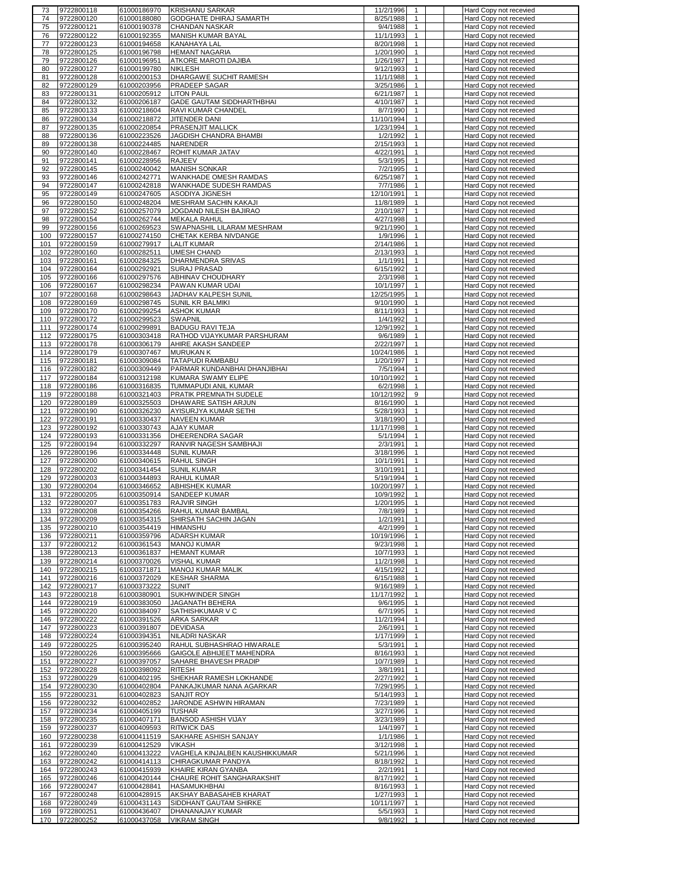| 73         | 9722800118 | 61000186970 | <b>KRISHANU SARKAR</b>           | 11/2/1996<br>-1            | Hard Copy not recevied                           |
|------------|------------|-------------|----------------------------------|----------------------------|--------------------------------------------------|
| 74         | 9722800120 | 61000188080 | GODGHATE DHIRAJ SAMARTH          | 8/25/1988<br>$\mathbf{1}$  | Hard Copy not recevied                           |
| 75         | 9722800121 | 61000190378 | <b>CHANDAN NASKAR</b>            | 9/4/1988<br>1              | Hard Copy not recevied                           |
| 76         | 9722800122 | 61000192355 | <b>MANISH KUMAR BAYAL</b>        | 11/1/1993<br>$\mathbf{1}$  | Hard Copy not recevied                           |
| 77         | 9722800123 | 61000194658 | <b>KANAHAYA LAL</b>              | 8/20/1998<br>$\mathbf{1}$  | Hard Copy not recevied                           |
| 78         | 9722800125 | 61000196798 | <b>HEMANT NAGARIA</b>            | 1/20/1990<br>$\mathbf{1}$  | Hard Copy not recevied                           |
|            |            |             |                                  |                            |                                                  |
| 79         | 9722800126 | 61000196951 | ATKORE MAROTI DAJIBA             | 1/26/1987<br>$\mathbf{1}$  | Hard Copy not recevied                           |
| 80         | 9722800127 | 61000199780 | <b>NIKLESH</b>                   | 9/12/1993<br>$\mathbf{1}$  | Hard Copy not recevied                           |
| 81         | 9722800128 | 61000200153 | DHARGAWE SUCHIT RAMESH           | $\mathbf{1}$<br>11/1/1988  | Hard Copy not recevied                           |
| 82         | 9722800129 | 61000203956 | PRADEEP SAGAR                    | 3/25/1986<br>1             | Hard Copy not recevied                           |
| 83         | 9722800131 | 61000205912 | <b>LITON PAUL</b>                | 6/21/1987<br>$\mathbf{1}$  | Hard Copy not recevied                           |
| 84         | 9722800132 | 61000206187 | <b>GADE GAUTAM SIDDHARTHBHAI</b> | 4/10/1987<br>$\mathbf{1}$  | Hard Copy not recevied                           |
| 85         | 9722800133 | 61000218604 | RAVI KUMAR CHANDEL               | 8/7/1990<br>$\mathbf{1}$   | Hard Copy not recevied                           |
| 86         | 9722800134 | 61000218872 | JITENDER DANI                    | 11/10/1994<br>1            | Hard Copy not recevied                           |
| 87         | 9722800135 | 61000220854 | PRASENJIT MALLICK                | 1/23/1994<br>$\mathbf{1}$  | Hard Copy not recevied                           |
| 88         | 9722800136 | 61000223526 | JAGDISH CHANDRA BHAMBI           | 1/2/1992<br>$\mathbf{1}$   | Hard Copy not recevied                           |
|            | 9722800138 | 61000224485 |                                  | 2/15/1993<br>$\mathbf{1}$  |                                                  |
| 89         |            |             | NARENDER                         | $\mathbf{1}$               | Hard Copy not recevied                           |
| 90         | 9722800140 | 61000228467 | ROHIT KUMAR JATAV                | 4/22/1991                  | Hard Copy not recevied                           |
| 91         | 9722800141 | 61000228956 | <b>RAJEEV</b>                    | 5/3/1995<br>$\mathbf{1}$   | Hard Copy not recevied                           |
| 92         | 9722800145 | 61000240042 | <b>MANISH SONKAR</b>             | 7/2/1995<br>$\mathbf{1}$   | Hard Copy not recevied                           |
| 93         | 9722800146 | 61000242771 | WANKHADE OMESH RAMDAS            | 6/25/1987<br>$\mathbf{1}$  | Hard Copy not recevied                           |
| 94         | 9722800147 | 61000242818 | WANKHADE SUDESH RAMDAS           | 7/7/1986<br>$\mathbf{1}$   | Hard Copy not recevied                           |
| 95         | 9722800149 | 61000247605 | ASODIYA JIGNESH                  | 12/10/1991<br>$\mathbf{1}$ | Hard Copy not recevied                           |
| 96         | 9722800150 | 61000248204 | MESHRAM SACHIN KAKAJI            | 11/8/1989<br>$\mathbf{1}$  | Hard Copy not recevied                           |
| 97         | 9722800152 | 61000257079 | JOGDAND NILESH BAJIRAO           | 2/10/1987<br>$\mathbf{1}$  | Hard Copy not recevied                           |
| 98         | 9722800154 | 61000262744 | <b>MEKALA RAHUL</b>              | 4/27/1998<br>$\mathbf{1}$  | Hard Copy not recevied                           |
| 99         | 9722800156 | 61000269523 | SWAPNASHIL LILARAM MESHRAM       | 9/21/1990<br>$\mathbf{1}$  | Hard Copy not recevied                           |
| 100        | 9722800157 | 61000274150 | CHETAK KERBA NIVDANGE            | 1/9/1996<br>$\mathbf{1}$   | Hard Copy not recevied                           |
| 101        | 9722800159 |             | LALIT KUMAR                      | 2/14/1986<br>$\mathbf{1}$  |                                                  |
|            |            | 61000279917 |                                  | $\mathbf{1}$               | Hard Copy not recevied                           |
| 102        | 9722800160 | 61000282511 | <b>UMESH CHAND</b>               | 2/13/1993                  | Hard Copy not recevied                           |
| 103        | 9722800161 | 61000284325 | DHARMENDRA SRIVAS                | 1/1/1991<br>$\mathbf{1}$   | Hard Copy not recevied                           |
| 104        | 9722800164 | 61000292921 | SURAJ PRASAD                     | 6/15/1992<br>$\mathbf{1}$  | Hard Copy not recevied                           |
| 105        | 9722800166 | 61000297576 | ABHINAV CHOUDHARY                | 2/3/1998<br>$\mathbf{1}$   | Hard Copy not recevied                           |
| 106        | 9722800167 | 61000298234 | PAWAN KUMAR UDAI                 | $\mathbf{1}$<br>10/1/1997  | Hard Copy not recevied                           |
| 107        | 9722800168 | 61000298643 | JADHAV KALPESH SUNIL             | 12/25/1995<br>$\mathbf{1}$ | Hard Copy not recevied                           |
| 108        | 9722800169 | 61000298745 | <b>SUNIL KR BALMIKI</b>          | 9/10/1990<br>$\mathbf{1}$  | Hard Copy not recevied                           |
| 109        | 9722800170 | 61000299254 | <b>ASHOK KUMAR</b>               | 8/11/1993<br>1             | Hard Copy not recevied                           |
| 110        | 9722800172 | 61000299523 | <b>SWAPNIL</b>                   | 1/4/1992<br>$\mathbf{1}$   | Hard Copy not recevied                           |
| 111        | 9722800174 | 61000299891 | <b>BADUGU RAVI TEJA</b>          | 12/9/1992<br>$\mathbf{1}$  | Hard Copy not recevied                           |
| 112        | 9722800175 | 61000303418 | RATHOD VIJAYKUMAR PARSHURAM      | 9/6/1989<br>1              | Hard Copy not recevied                           |
|            |            | 61000306179 | AHIRE AKASH SANDEEP              | 2/22/1997                  |                                                  |
| 113        | 9722800178 |             |                                  | 1                          | Hard Copy not recevied                           |
| 114        | 9722800179 | 61000307467 | <b>MURUKAN K</b>                 | $\mathbf{1}$<br>10/24/1986 | Hard Copy not recevied                           |
| 115        | 9722800181 | 61000309084 | TATAPUDI RAMBABU                 | 1/20/1997<br>$\mathbf{1}$  | Hard Copy not recevied                           |
| 116        | 9722800182 | 61000309449 | PARMAR KUNDANBHAI DHANJIBHAI     | 7/5/1994<br>$\mathbf{1}$   | Hard Copy not recevied                           |
| 117        | 9722800184 | 61000312198 | KUMARA SWAMY ELIPE               | 10/10/1992<br>$\mathbf{1}$ | Hard Copy not recevied                           |
| 118        | 9722800186 | 61000316835 | TUMMAPUDI ANIL KUMAR             | 6/2/1998<br>$\mathbf{1}$   | Hard Copy not recevied                           |
| 119        | 9722800188 | 61000321403 | PRATIK PREMNATH SUDELE           | 10/12/1992<br>9            | Hard Copy not recevied                           |
| 120        | 9722800189 | 61000325503 | DHAWARE SATISH ARJUN             | 8/16/1990<br>$\mathbf{1}$  | Hard Copy not recevied                           |
| 121        | 9722800190 | 61000326230 | AYISURJYA KUMAR SETHI            | 5/28/1993<br>$\mathbf{1}$  | Hard Copy not recevied                           |
|            |            |             |                                  |                            |                                                  |
|            |            |             |                                  |                            |                                                  |
| 122        | 9722800191 | 61000330437 | <b>NAVEEN KUMAR</b>              | 3/18/1990<br>$\mathbf{1}$  | Hard Copy not recevied                           |
| 123        | 9722800192 | 61000330743 | <b>AJAY KUMAR</b>                | 11/17/1998<br>$\mathbf{1}$ | Hard Copy not recevied                           |
| 124        | 9722800193 | 61000331356 | DHEERENDRA SAGAR                 | 5/1/1994<br>$\mathbf{1}$   | Hard Copy not recevied                           |
| 125        | 9722800194 | 61000332297 | RANVIR NAGESH SAMBHAJI           | 2/3/1991<br>$\mathbf{1}$   | Hard Copy not recevied                           |
| 126        | 9722800196 | 61000334448 | <b>SUNIL KUMAR</b>               | 3/18/1996<br>$\mathbf{1}$  | Hard Copy not recevied                           |
| 127        | 9722800200 | 61000340615 | RAHUL SINGH                      | 10/1/1991<br>$\mathbf{1}$  | Hard Copy not recevied                           |
| 128        | 9722800202 | 61000341454 | <b>SUNIL KUMAR</b>               | 3/10/1991<br>$\mathbf{1}$  | Hard Copy not recevied                           |
| 129        | 9722800203 | 61000344893 | RAHUL KUMAR                      | 5/19/1994<br>$\mathbf{1}$  | Hard Copy not recevied                           |
| 130        | 9722800204 | 61000346652 | <b>ABHISHEK KUMAR</b>            | 10/20/1997<br>$\mathbf{1}$ | Hard Copy not recevied                           |
| 131        | 9722800205 | 61000350914 | SANDEEP KUMAR                    | $\mathbf{1}$<br>10/9/1992  | Hard Copy not recevied                           |
| 132        | 9722800207 | 61000351783 | <b>RAJVIR SINGH</b>              | 1/20/1995<br>$\mathbf{1}$  | Hard Copy not recevied                           |
| 133        | 9722800208 | 61000354266 | RAHUL KUMAR BAMBAL               | 7/8/1989                   |                                                  |
| 134        | 9722800209 | 61000354315 | SHIRSATH SACHIN JAGAN            | 1/2/1991<br>$\mathbf{1}$   | Hard Copy not recevied<br>Hard Copy not recevied |
| 135        | 9722800210 | 61000354419 | <b>HIMANSHU</b>                  | 4/2/1999<br>$\mathbf{1}$   | Hard Copy not recevied                           |
| 136        | 9722800211 | 61000359796 | <b>ADARSH KUMAR</b>              | 10/19/1996<br>1            | Hard Copy not recevied                           |
| 137        | 9722800212 | 61000361543 | <b>MANOJ KUMAR</b>               | 9/23/1998<br>$\mathbf{1}$  | Hard Copy not recevied                           |
| 138        | 9722800213 |             | <b>HEMANT KUMAR</b>              | 10/7/1993<br>$\mathbf{1}$  |                                                  |
|            |            | 61000361837 |                                  | 11/2/1998<br>$\mathbf{1}$  | Hard Copy not recevied<br>Hard Copy not recevied |
| 139<br>140 | 9722800214 | 61000370026 | <b>VISHAL KUMAR</b>              | 1                          |                                                  |
|            | 9722800215 | 61000371871 | MANOJ KUMAR MALIK                | 4/15/1992<br>$\mathbf{1}$  | Hard Copy not recevied                           |
| 141        | 9722800216 | 61000372029 | <b>KESHAR SHARMA</b>             | 6/15/1988                  | Hard Copy not recevied                           |
| 142        | 9722800217 | 61000373222 | <b>SUNIT</b>                     | 9/16/1989<br>$\mathbf{1}$  | Hard Copy not recevied                           |
| 143        | 9722800218 | 61000380901 | <b>SUKHWINDER SINGH</b>          | 11/17/1992<br>$\mathbf{1}$ | Hard Copy not recevied                           |
| 144        | 9722800219 | 61000383050 | JAGANATH BEHERA                  | 9/6/1995<br>$\mathbf{1}$   | Hard Copy not recevied                           |
| 145        | 9722800220 | 61000384097 | SATHISHKUMAR V C                 | 6/7/1995<br>$\mathbf{1}$   | Hard Copy not recevied                           |
| 146        | 9722800222 | 61000391526 | <b>ARKA SARKAR</b>               | 11/2/1994<br>$\mathbf{1}$  | Hard Copy not recevied                           |
| 147        | 9722800223 | 61000391807 | <b>DEVIDASA</b>                  | $\mathbf{1}$<br>2/6/1991   | Hard Copy not recevied                           |
| 148        | 9722800224 | 61000394351 | <b>NILADRI NASKAR</b>            | 1/17/1999<br>$\mathbf{1}$  | Hard Copy not recevied                           |
| 149        | 9722800225 | 61000395240 | RAHUL SUBHASHRAO HIWARALE        | 5/3/1991<br>$\mathbf{1}$   | Hard Copy not recevied                           |
| 150        | 9722800226 | 61000395666 | GAIGOLE ABHIJEET MAHENDRA        | 8/16/1993<br>$\mathbf{1}$  | Hard Copy not recevied                           |
| 151        | 9722800227 | 61000397057 | SAHARE BHAVESH PRADIP            | 10/7/1989<br>$\mathbf{1}$  | Hard Copy not recevied                           |
| 152        | 9722800228 | 61000398092 | RITESH                           | 3/8/1991<br>$\mathbf{1}$   | Hard Copy not recevied                           |
| 153        | 9722800229 | 61000402195 | SHEKHAR RAMESH LOKHANDE          | 2/27/1992<br>$\mathbf{1}$  | Hard Copy not recevied                           |
| 154        | 9722800230 | 61000402804 | PANKAJKUMAR NANA AGARKAR         | 7/29/1995<br>$\mathbf{1}$  | Hard Copy not recevied                           |
| 155        | 9722800231 | 61000402823 | <b>SANJIT ROY</b>                | 5/14/1993<br>$\mathbf{1}$  | Hard Copy not recevied                           |
| 156        | 9722800232 | 61000402852 | JARONDE ASHWIN HIRAMAN           | 7/23/1989<br>$\mathbf{1}$  | Hard Copy not recevied                           |
| 157        |            |             | TUSHAR                           | 3/27/1996<br>$\mathbf{1}$  |                                                  |
|            | 9722800234 | 61000405199 |                                  | $\mathbf{1}$               | Hard Copy not recevied                           |
| 158        | 9722800235 | 61000407171 | <b>BANSOD ASHISH VIJAY</b>       | 3/23/1989                  | Hard Copy not recevied                           |
| 159        | 9722800237 | 61000409593 | <b>RITWICK DAS</b>               | 1/4/1997<br>$\mathbf{1}$   | Hard Copy not recevied                           |
| 160        | 9722800238 | 61000411519 | SAKHARE ASHISH SANJAY            | 1/1/1986<br>$\mathbf{1}$   | Hard Copy not recevied                           |
| 161        | 9722800239 | 61000412529 | VIKASH                           | 3/12/1998<br>$\mathbf{1}$  | Hard Copy not recevied                           |
| 162        | 9722800240 | 61000413222 | VAGHELA KINJALBEN KAUSHIKKUMAR   | 5/21/1996<br>$\mathbf{1}$  | Hard Copy not recevied                           |
| 163        | 9722800242 | 61000414113 | CHIRAGKUMAR PANDYA               | 8/18/1992<br>1             | Hard Copy not recevied                           |
| 164        | 9722800243 | 61000415939 | KHAIRE KIRAN GYANBA              | 2/2/1991<br>$\mathbf{1}$   | Hard Copy not recevied                           |
| 165        | 9722800246 | 61000420144 | CHAURE ROHIT SANGHARAKSHIT       | 8/17/1992<br>1             | Hard Copy not recevied                           |
| 166        | 9722800247 | 61000428841 | HASAMUKHBHAI                     | 8/16/1993<br>$\mathbf{1}$  | Hard Copy not recevied                           |
| 167        | 9722800248 | 61000428915 | AKSHAY BABASAHEB KHARAT          | 1/27/1993<br>$\mathbf{1}$  | Hard Copy not recevied                           |
| 168        | 9722800249 | 61000431143 | SIDDHANT GAUTAM SHIRKE           | 10/11/1997<br>$\mathbf{1}$ | Hard Copy not recevied                           |
| 169        | 9722800251 | 61000436407 | DHANANAJAY KUMAR                 | 5/5/1993<br>$\mathbf{1}$   | Hard Copy not recevied                           |
| 170        | 9722800252 | 61000437058 | <b>VIKRAM SINGH</b>              | 9/8/1992<br>$\mathbf{1}$   | Hard Copy not recevied                           |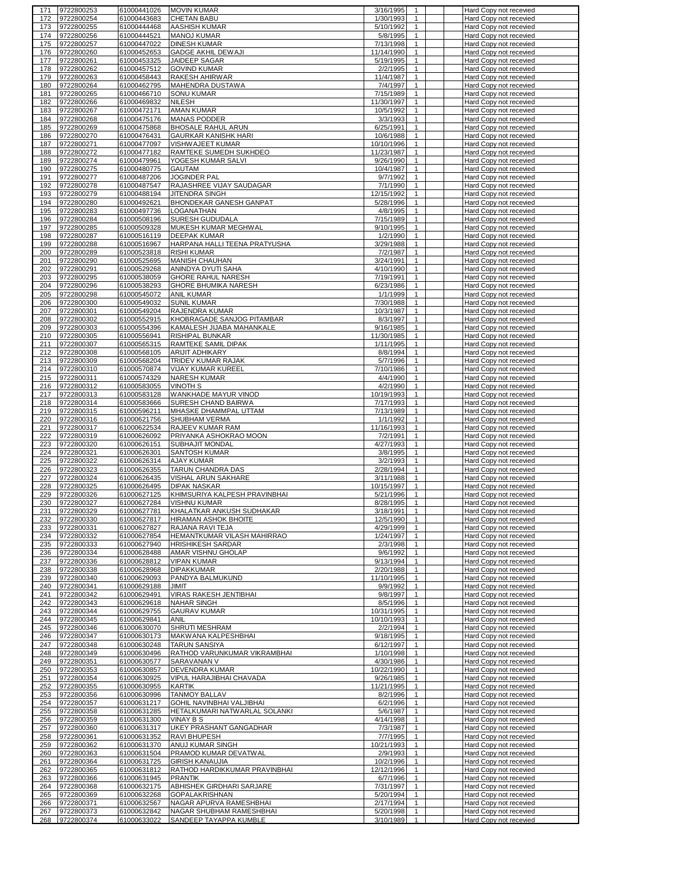|     | 9722800253 | 61000441026 | <b>MOVIN KUMAR</b>            | 3/16/1995<br>1              | Hard Copy not recevied |
|-----|------------|-------------|-------------------------------|-----------------------------|------------------------|
| 172 | 9722800254 | 61000443683 | <b>CHETAN BABU</b>            | 1/30/1993<br>$\mathbf{1}$   | Hard Copy not recevied |
| 173 | 9722800255 | 61000444468 | AASHISH KUMAR                 | 5/10/1992<br>1              | Hard Copy not recevied |
| 174 | 9722800256 | 61000444521 | <b>MANOJ KUMAR</b>            | 5/8/1995<br>$\mathbf{1}$    | Hard Copy not recevied |
| 175 | 9722800257 | 61000447022 | <b>DINESH KUMAR</b>           | 7/13/1998<br>$\mathbf{1}$   | Hard Copy not recevied |
|     |            |             |                               |                             |                        |
| 176 | 9722800260 | 61000452653 | <b>GADGE AKHIL DEWAJI</b>     | 11/14/1990<br>$\mathbf{1}$  | Hard Copy not recevied |
| 177 | 9722800261 | 61000453325 | <b>JAIDEEP SAGAR</b>          | 5/19/1995<br>$\mathbf{1}$   | Hard Copy not recevied |
| 178 | 9722800262 | 61000457512 | <b>GOVIND KUMAR</b>           | 2/2/1995<br>$\mathbf{1}$    | Hard Copy not recevied |
| 179 | 9722800263 | 61000458443 | <b>RAKESH AHIRWAR</b>         | 11/4/1987<br>1              | Hard Copy not recevied |
| 180 | 9722800264 | 61000462795 | MAHENDRA DUSTAWA              | 7/4/1997<br>1               | Hard Copy not recevied |
| 181 | 9722800265 | 61000466710 | <b>SONU KUMAR</b>             | 7/15/1989<br>$\mathbf{1}$   | Hard Copy not recevied |
|     | 9722800266 |             | NILESH                        | 11/30/1997<br>1             |                        |
| 182 |            | 61000469832 |                               |                             | Hard Copy not recevied |
| 183 | 9722800267 | 61000472171 | <b>AMAN KUMAR</b>             | 10/5/1992<br>1              | Hard Copy not recevied |
| 184 | 9722800268 | 61000475176 | <b>MANAS PODDER</b>           | 3/3/1993<br>1               | Hard Copy not recevied |
| 185 | 9722800269 | 61000475868 | <b>BHOSALE RAHUL ARUN</b>     | 6/25/1991<br>$\mathbf{1}$   | Hard Copy not recevied |
| 186 | 9722800270 | 61000476431 | <b>GAURKAR KANISHK HARI</b>   | 10/6/1988<br>1              | Hard Copy not recevied |
| 187 | 9722800271 | 61000477097 | VISHWAJEET KUMAR              | 10/10/1996<br>$\mathbf{1}$  | Hard Copy not recevied |
| 188 | 9722800272 | 61000477182 | RAMTEKE SUMEDH SUKHDEO        | 11/23/1987<br>$\mathbf{1}$  | Hard Copy not recevied |
| 189 | 9722800274 | 61000479961 | YOGESH KUMAR SALVI            | 9/26/1990<br>$\mathbf{1}$   | Hard Copy not recevied |
|     | 9722800275 |             | <b>GAUTAM</b>                 |                             |                        |
| 190 |            | 61000480775 |                               | 10/4/1987<br>$\mathbf{1}$   | Hard Copy not recevied |
| 191 | 9722800277 | 61000487206 | JOGINDER PAL                  | 9/7/1992<br>$\mathbf{1}$    | Hard Copy not recevied |
| 192 | 9722800278 | 61000487547 | RAJASHREE VIJAY SAUDAGAR      | 7/1/1990<br>$\mathbf{1}$    | Hard Copy not recevied |
| 193 | 9722800279 | 61000488194 | <b>JITENDRA SINGH</b>         | 12/15/1992<br>$\mathbf{1}$  | Hard Copy not recevied |
| 194 | 9722800280 | 61000492621 | BHONDEKAR GANESH GANPAT       | 5/28/1996<br>$\mathbf{1}$   | Hard Copy not recevied |
| 195 | 9722800283 | 61000497736 | LOGANATHAN                    | 4/8/1995<br>$\mathbf{1}$    | Hard Copy not recevied |
| 196 | 9722800284 | 61000508196 | SURESH GUDUDALA               | 7/15/1989<br>$\mathbf{1}$   | Hard Copy not recevied |
|     |            |             |                               |                             |                        |
| 197 | 9722800285 | 61000509328 | MUKESH KUMAR MEGHWAL          | 9/10/1995<br>$\mathbf{1}$   | Hard Copy not recevied |
| 198 | 9722800287 | 61000516119 | <b>DEEPAK KUMAR</b>           | 1/2/1990<br>$\mathbf{1}$    | Hard Copy not recevied |
| 199 | 9722800288 | 61000516967 | HARPANA HALLI TEENA PRATYUSHA | 3/29/1988<br>$\mathbf{1}$   | Hard Copy not recevied |
| 200 | 9722800289 | 61000523818 | <b>RISHI KUMAR</b>            | $\mathbf{1}$<br>7/2/1987    | Hard Copy not recevied |
| 201 | 9722800290 | 61000525695 | MANISH CHAUHAN                | 3/24/1991<br>$\mathbf{1}$   | Hard Copy not recevied |
| 202 | 9722800291 | 61000529268 | ANINDYA DYUTI SAHA            | 4/10/1990<br>$\mathbf{1}$   | Hard Copy not recevied |
| 203 | 9722800295 | 61000538059 | <b>GHORE RAHUL NARESH</b>     | 7/19/1991<br>$\mathbf{1}$   | Hard Copy not recevied |
|     |            |             |                               |                             |                        |
| 204 | 9722800296 | 61000538293 | <b>GHORE BHUMIKA NARESH</b>   | 6/23/1986<br>$\mathbf{1}$   | Hard Copy not recevied |
| 205 | 9722800298 | 61000545072 | ANIL KUMAR                    | 1/1/1999<br>1               | Hard Copy not recevied |
| 206 | 9722800300 | 61000549032 | <b>SUNIL KUMAR</b>            | 7/30/1988<br>1              | Hard Copy not recevied |
| 207 | 9722800301 | 61000549204 | RAJENDRA KUMAR                | 10/3/1987<br>$\mathbf{1}$   | Hard Copy not recevied |
| 208 | 9722800302 | 61000552915 | KHOBRAGADE SANJOG PITAMBAR    | 8/3/1997<br>$\mathbf{1}$    | Hard Copy not recevied |
| 209 | 9722800303 | 61000554396 | KAMALESH JIJABA MAHANKALE     | 9/16/1985<br>1              | Hard Copy not recevied |
|     |            |             |                               |                             |                        |
| 210 | 9722800305 | 61000556941 | RISHIPAL BUNKAR               | 11/30/1985<br>$\mathbf{1}$  | Hard Copy not recevied |
| 211 | 9722800307 | 61000565315 | RAMTEKE SAMIL DIPAK           | 1/11/1995<br>1              | Hard Copy not recevied |
| 212 | 9722800308 | 61000568105 | ARIJIT ADHIKARY               | 8/8/1994<br>1               | Hard Copy not recevied |
| 213 | 9722800309 | 61000568204 | TRIDEV KUMAR RAJAK            | 5/7/1996<br>$\mathbf{1}$    | Hard Copy not recevied |
| 214 | 9722800310 | 61000570874 | VIJAY KUMAR KUREEL            | 7/10/1986<br>$\mathbf{1}$   | Hard Copy not recevied |
| 215 | 9722800311 | 61000574329 | NARESH KUMAR                  | 4/4/1990<br>$\mathbf{1}$    | Hard Copy not recevied |
| 216 |            |             | <b>VINOTH S</b>               | $\mathbf{1}$                |                        |
|     | 9722800312 | 61000583055 |                               | 4/2/1990                    | Hard Copy not recevied |
| 217 | 9722800313 | 61000583128 | WANKHADE MAYUR VINOD          | 10/19/1993<br>$\mathbf{1}$  | Hard Copy not recevied |
| 218 | 9722800314 | 61000583666 | SURESH CHAND BAIRWA           | 7/17/1993<br>$\mathbf{1}$   | Hard Copy not recevied |
| 219 | 9722800315 | 61000596211 | MHASKE DHAMMPAL UTTAM         | 7/13/1989<br>$\mathbf{1}$   | Hard Copy not recevied |
| 220 | 9722800316 | 61000621756 | SHUBHAM VERMA                 | 1/1/1992<br>$\mathbf{1}$    | Hard Copy not recevied |
| 221 | 9722800317 | 61000622534 | RAJEEV KUMAR RAM              | 11/16/1993<br>$\mathbf{1}$  | Hard Copy not recevied |
| 222 | 9722800319 | 61000626092 | PRIYANKA ASHOKRAO MOON        | 7/2/1991<br>$\mathbf{1}$    | Hard Copy not recevied |
|     |            |             | <b>SUBHAJIT MONDAL</b>        | 4/27/1993<br>$\mathbf{1}$   |                        |
| 223 | 9722800320 | 61000626151 |                               |                             | Hard Copy not recevied |
| 224 | 9722800321 | 61000626301 | <b>SANTOSH KUMAR</b>          | 3/8/1995<br>$\mathbf{1}$    | Hard Copy not recevied |
| 225 | 9722800322 | 61000626314 | <b>AJAY KUMAR</b>             | 3/2/1993<br>$\mathbf{1}$    | Hard Copy not recevied |
| 226 | 9722800323 | 61000626355 | TARUN CHANDRA DAS             | 2/28/1994<br>$\mathbf{1}$   | Hard Copy not recevied |
| 227 | 9722800324 | 61000626435 | VISHAL ARUN SAKHARE           | 3/11/1988<br>$\mathbf{1}$   | Hard Copy not recevied |
| 228 | 9722800325 | 61000626495 | DIPAK NASKAR                  | 10/15/1997<br>$\mathbf{1}$  | Hard Copy not recevied |
| 229 | 9722800326 | 61000627125 | KHIMSURIYA KALPESH PRAVINBHAI | $\mathbf{1}$<br>5/21/1996   | Hard Copy not recevied |
|     | 9722800327 | 61000627284 | <b>VISHNU KUMAR</b>           | 8/28/1995<br>$\mathbf{1}$   | Hard Copy not recevied |
| 230 |            |             | KHALATKAR ANKUSH SUDHAKAR     |                             |                        |
| 231 | 9722800329 |             |                               |                             |                        |
| 232 |            | 61000627781 |                               | 3/18/1991                   | Hard Copy not recevied |
| 233 | 9722800330 | 61000627817 | <b>HIRAMAN ASHOK BHOITE</b>   | 12/5/1990<br>$\mathbf{1}$   | Hard Copy not recevied |
|     | 9722800331 | 61000627827 | RAJANA RAVI TEJA              | 4/29/1999<br>$\mathbf{1}$   | Hard Copy not recevied |
| 234 | 9722800332 | 61000627854 | HEMANTKUMAR VILASH MAHIRRAO   | 1/24/1997<br>1              | Hard Copy not recevied |
|     | 9722800333 | 61000627940 |                               | 2/3/1998<br>$\mathbf{1}$    | Hard Copy not recevied |
| 235 |            |             | <b>HRISHIKESH SARDAR</b>      |                             |                        |
| 236 | 9722800334 | 61000628488 | AMAR VISHNU GHOLAP            | 9/6/1992<br>$\mathbf{1}$    | Hard Copy not recevied |
| 237 | 9722800336 | 61000628812 | <b>VIPAN KUMAR</b>            | 9/13/1994<br>$\mathbf{1}$   | Hard Copy not recevied |
| 238 | 9722800338 | 61000628968 | <b>DIPAKKUMAR</b>             | 2/20/1988<br>$\mathbf{1}$   | Hard Copy not recevied |
| 239 | 9722800340 | 61000629093 | PANDYA BALMUKUND              | 11/10/1995<br>$\mathbf{1}$  | Hard Copy not recevied |
| 240 | 9722800341 | 61000629188 | JIMIT                         | 9/9/1992<br>$\mathbf{1}$    | Hard Copy not recevied |
| 241 | 9722800342 | 61000629491 | VIRAS RAKESH JENTIBHAI        | 9/8/1997<br>$\mathbf{1}$    | Hard Copy not recevied |
| 242 | 9722800343 | 61000629618 | <b>NAHAR SINGH</b>            | 8/5/1996<br>$\mathbf{1}$    | Hard Copy not recevied |
| 243 | 9722800344 | 61000629755 | <b>GAURAV KUMAR</b>           | 10/31/1995<br>$\mathbf{1}$  | Hard Copy not recevied |
|     |            |             |                               |                             |                        |
| 244 | 9722800345 | 61000629841 | ANIL                          | 10/10/1993<br>$\mathbf{1}$  | Hard Copy not recevied |
| 245 | 9722800346 | 61000630070 | SHRUTI MESHRAM                | 2/2/1994<br>$\mathbf{1}$    | Hard Copy not recevied |
| 246 | 9722800347 | 61000630173 | MAKWANA KALPESHBHAI           | 9/18/1995<br>$\mathbf{1}$   | Hard Copy not recevied |
| 247 | 9722800348 | 61000630248 | <b>TARUN SANSIYA</b>          | 6/12/1997<br>$\mathbf{1}$   | Hard Copy not recevied |
| 248 | 9722800349 | 61000630496 | RATHOD VARUNKUMAR VIKRAMBHAI  | 1/10/1998<br>$\mathbf{1}$   | Hard Copy not recevied |
| 249 | 9722800351 | 61000630577 | SARAVANAN V                   | 4/30/1986<br>$\mathbf{1}$   | Hard Copy not recevied |
|     |            |             |                               | $\mathbf{1}$                |                        |
| 250 | 9722800353 | 61000630857 | DEVENDRA KUMAR                | 10/22/1990                  | Hard Copy not recevied |
| 251 | 9722800354 | 61000630925 | VIPUL HARAJIBHAI CHAVADA      | 9/26/1985<br>$\mathbf{1}$   | Hard Copy not recevied |
| 252 | 9722800355 | 61000630955 | KARTIK                        | 11/21/1995<br>$\mathbf{1}$  | Hard Copy not recevied |
| 253 | 9722800356 | 61000630996 | <b>TANMOY BALLAV</b>          | 8/2/1996<br>$\mathbf{1}$    | Hard Copy not recevied |
| 254 | 9722800357 | 61000631217 | GOHIL NAVINBHAI VALJIBHAI     | 6/2/1996<br>$\mathbf{1}$    | Hard Copy not recevied |
| 255 | 9722800358 | 61000631285 | HETALKUMARI NATWARLAL SOLANKI | 5/6/1987<br>$\mathbf{1}$    | Hard Copy not recevied |
|     |            |             | <b>VINAY B S</b>              | 4/14/1998<br>$\mathbf{1}$   |                        |
| 256 | 9722800359 | 61000631300 |                               |                             | Hard Copy not recevied |
| 257 | 9722800360 | 61000631317 | UKEY PRASHANT GANGADHAR       | 7/3/1987<br>$\mathbf{1}$    | Hard Copy not recevied |
| 258 | 9722800361 | 61000631352 | RAVI BHUPESH                  | 7/7/1995<br>$\mathbf{1}$    | Hard Copy not recevied |
| 259 | 9722800362 | 61000631370 | ANUJ KUMAR SINGH              | 10/21/1993<br>$\mathbf{1}$  | Hard Copy not recevied |
| 260 | 9722800363 | 61000631504 | PRAMOD KUMAR DEVATWAL         | 2/9/1993<br>$\mathbf{1}$    | Hard Copy not recevied |
| 261 | 9722800364 | 61000631725 | <b>GIRISH KANAUJIA</b>        | 10/2/1996<br>$\overline{1}$ | Hard Copy not recevied |
| 262 | 9722800365 | 61000631812 | RATHOD HARDIKKUMAR PRAVINBHAI | 12/12/1996<br>$\mathbf{1}$  | Hard Copy not recevied |
|     |            |             | <b>PRANTIK</b>                | 1                           |                        |
| 263 | 9722800366 | 61000631945 |                               | 6/7/1996                    | Hard Copy not recevied |
| 264 | 9722800368 | 61000632175 | ABHISHEK GIRDHARI SARJARE     | 7/31/1997<br>$\mathbf{1}$   | Hard Copy not recevied |
| 265 | 9722800369 | 61000632268 | <b>GOPALAKRISHNAN</b>         | 5/20/1994<br>$\mathbf{1}$   | Hard Copy not recevied |
| 266 | 9722800371 | 61000632567 | NAGAR APURVA RAMESHBHAI       | 2/17/1994<br>$\mathbf{1}$   | Hard Copy not recevied |
| 267 | 9722800373 | 61000632842 | NAGAR SHUBHAM RAMESHBHAI      | 5/20/1998<br>$\mathbf{1}$   | Hard Copy not recevied |
| 268 | 9722800374 | 61000633022 | SANDEEP TAYAPPA KUMBLE        | 3/10/1989<br>$\mathbf{1}$   | Hard Copy not recevied |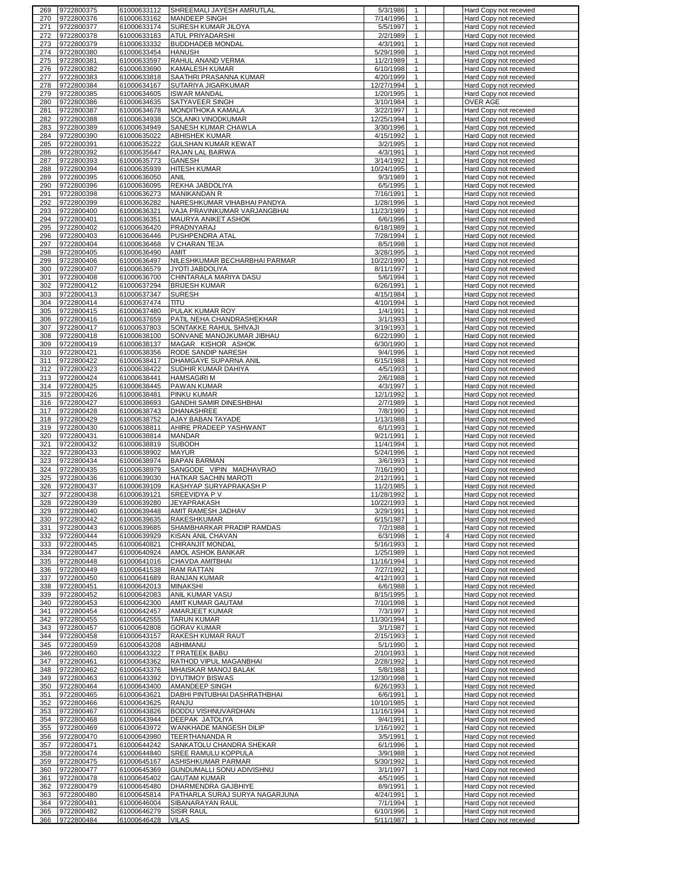| 269        | 9722800375               | 61000633112                | SHREEMALI JAYESH AMRUTLAL         | 5/3/1986<br>-1                                         | Hard Copy not recevied                           |
|------------|--------------------------|----------------------------|-----------------------------------|--------------------------------------------------------|--------------------------------------------------|
| 270        | 9722800376               | 61000633162                | MANDEEP SINGH                     | 7/14/1996<br>$\mathbf{1}$                              | Hard Copy not recevied                           |
| 271        | 9722800377               | 61000633174                | SURESH KUMAR JILOYA               | 5/5/1997<br>$\mathbf{1}$                               | Hard Copy not recevied                           |
| 272        | 9722800378               | 61000633183                | ATUL PRIYADARSHI                  | 2/2/1989<br>$\mathbf{1}$                               | Hard Copy not recevied                           |
| 273        | 9722800379               | 61000633332                | <b>BUDDHADEB MONDAL</b>           | $\mathbf{1}$<br>4/3/1991                               | Hard Copy not recevied                           |
| 274        | 9722800380               | 61000633454                | <b>HANUSH</b>                     | 5/29/1998<br>$\mathbf{1}$                              | Hard Copy not recevied                           |
| 275        | 9722800381               | 61000633597                | RAHUL ANAND VERMA                 | 11/2/1989<br>1                                         | Hard Copy not recevied                           |
|            |                          |                            |                                   |                                                        |                                                  |
| 276        | 9722800382               | 61000633690                | KAMALESH KUMAR                    | 6/10/1998<br>$\mathbf{1}$                              | Hard Copy not recevied                           |
| 277        | 9722800383               | 61000633818                | SAATHRI PRASANNA KUMAR            | $\mathbf{1}$<br>4/20/1999                              | Hard Copy not recevied                           |
| 278        | 9722800384               | 61000634167                | SUTARIYA JIGARKUMAR               | 12/27/1994<br>$\mathbf{1}$                             | Hard Copy not recevied                           |
| 279        | 9722800385               | 61000634605                | <b>ISWAR MANDAL</b>               | 1/20/1995<br>$\mathbf{1}$                              | Hard Copy not recevied                           |
| 280        | 9722800386               | 61000634635                | SATYAVEER SINGH                   | 3/10/1984<br>1                                         | OVER AGE                                         |
| 281        | 9722800387               | 61000634678                | MONDITHOKA KAMALA                 | 3/22/1997<br>$\mathbf{1}$                              | Hard Copy not recevied                           |
| 282        | 9722800388               | 61000634938                | SOLANKI VINODKUMAR                | 12/25/1994<br>1                                        | Hard Copy not recevied                           |
| 283        | 9722800389               | 61000634949                | SANESH KUMAR CHAWLA               | 3/30/1996<br>$\mathbf{1}$                              | Hard Copy not recevied                           |
| 284        | 9722800390               | 61000635022                | <b>ABHISHEK KUMAR</b>             | 4/15/1992<br>1                                         | Hard Copy not recevied                           |
| 285        | 9722800391               | 61000635222                | GULSHAN KUMAR KEWAT               | 3/2/1995<br>$\mathbf{1}$                               | Hard Copy not recevied                           |
| 286        | 9722800392               | 61000635647                | RAJAN LAL BAIRWA                  | 4/3/1991<br>$\mathbf{1}$                               | Hard Copy not recevied                           |
| 287        | 9722800393               | 61000635773                | GANESH                            | 3/14/1992<br>$\mathbf{1}$                              | Hard Copy not recevied                           |
| 288        | 9722800394               | 61000635939                | <b>HITESH KUMAR</b>               | 10/24/1995<br>$\mathbf{1}$                             | Hard Copy not recevied                           |
| 289        | 9722800395               |                            |                                   | $\mathbf{1}$                                           |                                                  |
| 290        |                          | 61000636050                | ANIL                              | 9/3/1989                                               | Hard Copy not recevied                           |
|            | 9722800396               | 61000636095                | REKHA JABDOLIYA                   | 6/5/1995<br>$\mathbf{1}$                               | Hard Copy not recevied                           |
| 291        | 9722800398               | 61000636273                | <b>MANIKANDAN R</b>               | 7/16/1991<br>$\mathbf{1}$                              | Hard Copy not recevied                           |
| 292        | 9722800399               | 61000636282                | NARESHKUMAR VIHABHAI PANDYA       | 1/28/1996<br>1                                         | Hard Copy not recevied                           |
| 293        | 9722800400               | 61000636321                | VAJA PRAVINKUMAR VARJANGBHAI      | 11/23/1989<br>$\mathbf{1}$                             | Hard Copy not recevied                           |
| 294        | 9722800401               | 61000636351                | MAURYA ANIKET ASHOK               | $\mathbf{1}$<br>6/6/1996                               | Hard Copy not recevied                           |
| 295        | 9722800402               | 61000636420                | PRADNYARAJ                        | 6/18/1989<br>$\mathbf{1}$                              | Hard Copy not recevied                           |
| 296        | 9722800403               | 61000636446                | PUSHPENDRA ATAL                   | 7/28/1994<br>$\mathbf{1}$                              | Hard Copy not recevied                           |
| 297        | 9722800404               | 61000636468                | V CHARAN TEJA                     | 8/5/1998<br>$\mathbf{1}$                               | Hard Copy not recevied                           |
| 298        | 9722800405               | 61000636490                | AMIT                              | $\mathbf{1}$<br>3/28/1995                              | Hard Copy not recevied                           |
| 299        | 9722800406               | 61000636497                | NILESHKUMAR BECHARBHAI PARMAR     | 10/22/1990<br>$\mathbf{1}$                             | Hard Copy not recevied                           |
| 300        | 9722800407               | 61000636579                | JYOTI JABDOLIYA                   | 8/11/1997<br>1                                         | Hard Copy not recevied                           |
| 301        | 9722800408               | 61000636700                | CHINTARALA MARIYA DASU            | 5/6/1994<br>$\mathbf{1}$                               | Hard Copy not recevied                           |
| 302        | 9722800412               | 61000637294                | <b>BRIJESH KUMAR</b>              | $\mathbf{1}$<br>6/26/1991                              | Hard Copy not recevied                           |
|            |                          |                            |                                   |                                                        |                                                  |
| 303        | 9722800413               | 61000637347                | <b>SURESH</b>                     | 4/15/1984<br>1                                         | Hard Copy not recevied                           |
| 304        | 9722800414               | 61000637474                | titu                              | 4/10/1994<br>1                                         | Hard Copy not recevied                           |
| 305        | 9722800415               | 61000637480                | PULAK KUMAR ROY                   | 1/4/1991<br>$\mathbf{1}$                               | Hard Copy not recevied                           |
| 306        | 9722800416               | 61000637659                | PATIL NEHA CHANDRASHEKHAR         | 3/1/1993<br>$\mathbf{1}$                               | Hard Copy not recevied                           |
| 307        | 9722800417               | 61000637803                | SONTAKKE RAHUL SHIVAJI            | 3/19/1993<br>1                                         | Hard Copy not recevied                           |
| 308        | 9722800418               | 61000638100                | SONVANE MANOJKUMAR JIBHAU         | 6/22/1990<br>$\mathbf{1}$                              | Hard Copy not recevied                           |
| 309        | 9722800419               | 61000638137                | MAGAR KISHOR ASHOK                | 6/30/1990<br>1                                         | Hard Copy not recevied                           |
| 310        | 9722800421               | 61000638356                | RODE SANDIP NARESH                | 9/4/1996<br>$\mathbf{1}$                               | Hard Copy not recevied                           |
| 311        | 9722800422               | 61000638417                | DHAMGAYE SUPARNA ANIL             | 6/15/1988<br>1                                         | Hard Copy not recevied                           |
| 312        | 9722800423               | 61000638422                | SUDHIR KUMAR DAHIYA               | 4/5/1993<br>$\mathbf{1}$                               | Hard Copy not recevied                           |
| 313        | 9722800424               | 61000638441                | <b>HAMSAGIRI M</b>                | 2/6/1988<br>$\mathbf{1}$                               | Hard Copy not recevied                           |
| 314        | 9722800425               | 61000638445                | PAWAN KUMAR                       | 4/3/1997<br>$\mathbf{1}$                               | Hard Copy not recevied                           |
|            |                          |                            |                                   |                                                        |                                                  |
| 315        | 9722800426               | 61000638481                | PINKU KUMAR                       | 12/1/1992<br>$\mathbf{1}$                              | Hard Copy not recevied                           |
| 316        | 9722800427               | 61000638693                | <b>GANDHI SAMIR DINESHBHAI</b>    | 2/7/1989<br>$\mathbf{1}$                               | Hard Copy not recevied                           |
| 317        | 9722800428               | 61000638743                | DHANASHREE                        | 7/8/1990<br>$\mathbf{1}$                               | Hard Copy not recevied                           |
| 318        | 9722800429               | 61000638752                | AJAY BABAN TAYADE                 | 1/13/1988<br>$\mathbf{1}$                              | Hard Copy not recevied                           |
|            |                          |                            |                                   |                                                        |                                                  |
| 319        | 9722800430               | 61000638811                | AHIRE PRADEEP YASHWANT            | $\mathbf{1}$<br>6/1/1993                               | Hard Copy not recevied                           |
| 320        | 9722800431               | 61000638814                | MANDAR                            | 9/21/1991<br>$\mathbf{1}$                              | Hard Copy not recevied                           |
| 321        | 9722800432               | 61000638819                | <b>SUBODH</b>                     | 11/4/1994<br>$\mathbf{1}$                              | Hard Copy not recevied                           |
| 322        | 9722800433               | 61000638902                | MAYUR                             | 5/24/1996<br>$\mathbf{1}$                              | Hard Copy not recevied                           |
| 323        | 9722800434               | 61000638974                | <b>BAPAN BARMAN</b>               | $\mathbf{1}$<br>3/6/1993                               | Hard Copy not recevied                           |
| 324        | 9722800435               | 61000638979                | SANGODE VIPIN MADHAVRAO           | 7/16/1990<br>$\mathbf{1}$                              | Hard Copy not recevied                           |
| 325        | 9722800436               | 61000639030                | HATKAR SACHIN MAROTI              | 2/12/1991<br>$\mathbf{1}$                              | Hard Copy not recevied                           |
|            | 9722800437               |                            |                                   | $\mathbf{1}$                                           |                                                  |
| 326        |                          | 61000639109                | KASHYAP SURYAPRAKASH P            | 11/2/1985<br>$\mathbf{1}$                              | Hard Copy not recevied                           |
| 327        | 9722800438               | 61000639121                | SREEVIDYA P V                     | 11/28/1992                                             | Hard Copy not recevied                           |
| 328        | 9722800439               | 61000639280                | JEYAPRAKASH                       | 10/22/1993<br>$\mathbf{1}$                             | Hard Copy not recevied                           |
| 329        | 9722800440               | 61000639448                | AMIT RAMESH JADHAV                | 3/29/1991                                              | Hard Copy not recevied                           |
| 330        | 9722800442               | 61000639635                | RAKESHKUMAR                       | 6/15/1987<br>$\mathbf{1}$                              | Hard Copy not recevied                           |
| 331        | 9722800443               | 61000639685                | SHAMBHARKAR PRADIP RAMDAS         | 7/2/1988<br>$\mathbf{1}$                               | Hard Copy not recevied                           |
| 332        | 9722800444               | 61000639929                | KISAN ANIL CHAVAN                 | 6/3/1998<br>1                                          | Hard Copy not recevied                           |
| 333        | 9722800445               | 61000640821                | CHIRANJIT MONDAL                  | 5/16/1993<br>$\mathbf{1}$                              | Hard Copy not recevied                           |
| 334        | 9722800447               | 61000640924                | AMOL ASHOK BANKAR                 | 1/25/1989<br>$\mathbf{1}$                              | Hard Copy not recevied                           |
| 335        | 9722800448               | 61000641016                | CHAVDA AMITBHAI                   | 11/16/1994<br>$\mathbf{1}$                             | Hard Copy not recevied                           |
| 336        | 9722800449               | 61000641538                | <b>RAM RATTAN</b>                 | 7/27/1992<br>1                                         | Hard Copy not recevied                           |
| 337        | 9722800450               | 61000641689                | RANJAN KUMAR                      | 4/12/1993<br>$\mathbf{1}$                              | Hard Copy not recevied                           |
| 338        | 9722800451               | 61000642013                | MINAKSHI                          | 6/6/1988<br>$\mathbf{1}$                               | Hard Copy not recevied                           |
| 339        | 9722800452               | 61000642083                | ANIL KUMAR VASU                   | 8/15/1995<br>$\mathbf{1}$                              | Hard Copy not recevied                           |
| 340        | 9722800453               | 61000642300                | AMIT KUMAR GAUTAM                 | 7/10/1998<br>$\mathbf{1}$                              | Hard Copy not recevied                           |
| 341        | 9722800454               | 61000642457                | AMARJEET KUMAR                    | 7/3/1997<br>$\mathbf{1}$                               | Hard Copy not recevied                           |
| 342        | 9722800455               | 61000642555                | <b>TARUN KUMAR</b>                | 11/30/1994<br>$\mathbf{1}$                             | Hard Copy not recevied                           |
| 343        | 9722800457               | 61000642808                | <b>GORAV KUMAR</b>                | 3/1/1987<br>$\mathbf{1}$                               | Hard Copy not recevied                           |
| 344        | 9722800458               | 61000643157                | RAKESH KUMAR RAUT                 | 2/15/1993<br>$\mathbf{1}$                              | Hard Copy not recevied                           |
| 345        | 9722800459               | 61000643208                | ABHIMANU                          | 5/1/1990<br>$\mathbf{1}$                               | Hard Copy not recevied                           |
| 346        | 9722800460               | 61000643322                | T PRATEEK BABU                    | 2/10/1993<br>$\mathbf{1}$                              | Hard Copy not recevied                           |
| 347        | 9722800461               | 61000643362                |                                   | $\mathbf{1}$                                           |                                                  |
|            |                          |                            | RATHOD VIPUL MAGANBHAI            | 2/28/1992<br>$\mathbf{1}$                              | Hard Copy not recevied                           |
| 348        | 9722800462               | 61000643376                | MHAISKAR MANOJ BALAK              | 5/8/1988                                               | Hard Copy not recevied                           |
| 349        | 9722800463               | 61000643392                | DYUTIMOY BISWAS                   | 12/30/1998<br>$\mathbf{1}$                             | Hard Copy not recevied                           |
| 350        | 9722800464               | 61000643400                | AMANDEEP SINGH                    | 6/26/1993<br>$\mathbf{1}$                              | Hard Copy not recevied                           |
| 351        | 9722800465               | 61000643621                | DABHI PINTUBHAI DASHRATHBHAI      | 6/6/1991<br>$\mathbf{1}$                               | Hard Copy not recevied                           |
| 352        | 9722800466               | 61000643625                | RANJU                             | $\mathbf{1}$<br>10/10/1985                             | Hard Copy not recevied                           |
| 353        | 9722800467               | 61000643826                | BODDU VISHNUVARDHAN               | 11/16/1994<br>$\mathbf{1}$                             | Hard Copy not recevied                           |
| 354        | 9722800468               | 61000643944                | DEEPAK JATOLIYA                   | 9/4/1991<br>$\mathbf{1}$                               | Hard Copy not recevied                           |
| 355        | 9722800469               | 61000643972                | WANKHADE MANGESH DILIP            | 1/16/1992<br>$\mathbf{1}$                              | Hard Copy not recevied                           |
| 356        | 9722800470               | 61000643980                | TEERTHANANDA R                    | 3/5/1991<br>$\mathbf{1}$                               | Hard Copy not recevied                           |
| 357        | 9722800471               | 61000644242                | SANKATOLU CHANDRA SHEKAR          | 6/1/1996<br>$\mathbf{1}$                               | Hard Copy not recevied                           |
| 358        | 9722800474               | 61000644840                | SREE RAMULU KOPPULA               | 3/9/1988<br>$\mathbf{1}$                               | Hard Copy not recevied                           |
| 359        | 9722800475               | 61000645167                | ASHISHKUMAR PARMAR                | 5/30/1992<br>$\mathbf{1}$                              | Hard Copy not recevied                           |
| 360        | 9722800477               | 61000645369                | GUNDUMALLI SONU ADIVISHNU         | 3/1/1997<br>$\mathbf{1}$                               | Hard Copy not recevied                           |
| 361        | 9722800478               | 61000645402                | <b>GAUTAM KUMAR</b>               | 4/5/1995<br>1                                          | Hard Copy not recevied                           |
| 362        | 9722800479               | 61000645480                | DHARMENDRA GAJBHIYE               | 8/9/1991<br>$\mathbf{1}$                               | Hard Copy not recevied                           |
| 363        | 9722800480               | 61000645814                | PATHARLA SURAJ SURYA NAGARJUNA    | 4/24/1991<br>$\mathbf{1}$                              | Hard Copy not recevied                           |
| 364        | 9722800481               |                            |                                   | $\mathbf{1}$                                           |                                                  |
|            |                          | 61000646004                | SIBANARAYAN RAUL                  | 7/1/1994                                               | Hard Copy not recevied                           |
| 365<br>366 | 9722800482<br>9722800484 | 61000646279<br>61000646428 | <b>SISIR RAUL</b><br><b>VILAS</b> | 6/10/1996<br>$\mathbf{1}$<br>5/11/1987<br>$\mathbf{1}$ | Hard Copy not recevied<br>Hard Copy not recevied |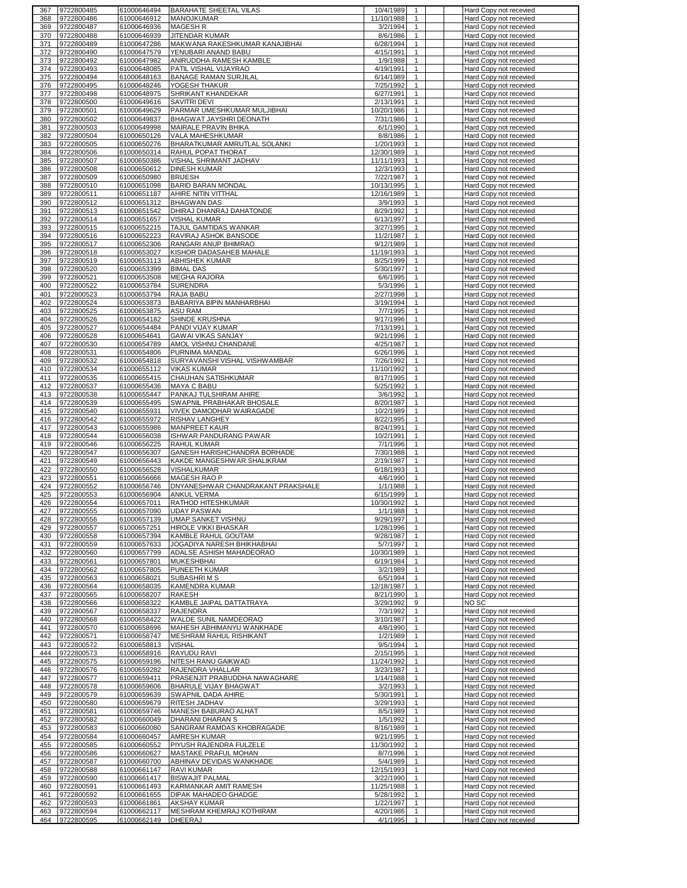| 367        | 9722800485               | 61000646494                | <b>BARAHATE SHEETAL VILAS</b>                          | 10/4/1989<br>$\overline{1}$                             | Hard Copy not recevied                           |
|------------|--------------------------|----------------------------|--------------------------------------------------------|---------------------------------------------------------|--------------------------------------------------|
| 368        | 9722800486               | 61000646912                | <b>MANOJKUMAR</b>                                      | 11/10/1988<br>$\mathbf{1}$                              | Hard Copy not recevied                           |
| 369        | 9722800487               | 61000646936                | <b>MAGESH R</b>                                        | 3/2/1994<br>$\mathbf{1}$                                | Hard Copy not recevied                           |
| 370        | 9722800488<br>9722800489 | 61000646939                | <b>JITENDAR KUMAR</b>                                  | 8/6/1986<br>$\mathbf{1}$                                | Hard Copy not recevied                           |
| 371<br>372 | 9722800490               | 61000647286<br>61000647579 | MAKWANA RAKESHKUMAR KANAJIBHAI<br>YENUBARI ANAND BABU  | 6/28/1994<br>$\mathbf{1}$<br>4/15/1991<br>$\mathbf{1}$  | Hard Copy not recevied<br>Hard Copy not recevied |
| 373        | 9722800492               | 61000647982                | ANIRUDDHA RAMESH KAMBLE                                | 1/9/1988<br>$\mathbf{1}$                                | Hard Copy not recevied                           |
| 374        | 9722800493               | 61000648085                | PATIL VISHAL VIJAYRAO                                  | 4/19/1991<br>$\mathbf{1}$                               | Hard Copy not recevied                           |
| 375        | 9722800494               | 61000648163                | <b>BANAGE RAMAN SURJILAL</b>                           | 6/14/1989<br>$\mathbf{1}$                               | Hard Copy not recevied                           |
| 376        | 9722800495               | 61000648246                | YOGESH THAKUR                                          | 7/25/1992<br>$\mathbf{1}$                               | Hard Copy not recevied                           |
| 377        | 9722800498               | 61000648975                | SHRIKANT KHANDEKAR                                     | 6/27/1991<br>$\mathbf{1}$                               | Hard Copy not recevied                           |
| 378        | 9722800500               | 61000649616                | SAVITRI DEVI                                           | 2/13/1991<br>$\mathbf{1}$                               | Hard Copy not recevied                           |
| 379        | 9722800501               | 61000649629                | PARMAR UMESHKUMAR MULJIBHAI                            | 10/20/1986<br>$\mathbf{1}$                              | Hard Copy not recevied                           |
| 380        | 9722800502               | 61000649837                | BHAGWAT JAYSHRI DEONATH                                | 7/31/1986<br>$\mathbf{1}$                               | Hard Copy not recevied                           |
| 381        | 9722800503               | 61000649998                | MAIRALE PRAVIN BHIKA                                   | 6/1/1990<br>$\mathbf{1}$                                | Hard Copy not recevied                           |
| 382        | 9722800504               | 61000650126                | VALA MAHESHKUMAR                                       | 8/8/1986<br>$\mathbf{1}$<br>$\mathbf{1}$                | Hard Copy not recevied                           |
| 383<br>384 | 9722800505<br>9722800506 | 61000650276<br>61000650314 | BHARATKUMAR AMRUTLAL SOLANKI<br>RAHUL POPAT THORAT     | 1/20/1993<br>12/30/1989<br>$\mathbf{1}$                 | Hard Copy not recevied<br>Hard Copy not recevied |
| 385        | 9722800507               | 61000650386                | VISHAL SHRIMANT JADHAV                                 | 11/11/1993<br>$\mathbf{1}$                              | Hard Copy not recevied                           |
| 386        | 9722800508               | 61000650612                | <b>DINESH KUMAR</b>                                    | 12/3/1993<br>$\mathbf{1}$                               | Hard Copy not recevied                           |
| 387        | 9722800509               | 61000650980                | <b>BRIJESH</b>                                         | 7/22/1987<br>$\mathbf{1}$                               | Hard Copy not recevied                           |
| 388        | 9722800510               | 61000651098                | BARID BARAN MONDAL                                     | 10/13/1995<br>$\mathbf{1}$                              | Hard Copy not recevied                           |
| 389        | 9722800511               | 61000651187                | AHIRE NITIN VITTHAL                                    | 12/16/1989<br>$\mathbf{1}$                              | Hard Copy not recevied                           |
| 390        | 9722800512               | 61000651312                | <b>BHAGWAN DAS</b>                                     | 3/9/1993<br>$\mathbf{1}$                                | Hard Copy not recevied                           |
| 391        | 9722800513               | 61000651542                | DHIRAJ DHANRAJ DAHATONDE                               | 8/29/1992<br>$\mathbf{1}$                               | Hard Copy not recevied                           |
| 392        | 9722800514               | 61000651657                | <b>VISHAL KUMAR</b>                                    | 6/13/1997<br>$\mathbf{1}$                               | Hard Copy not recevied                           |
| 393        | 9722800515               | 61000652215                | <b>TAJUL GAMTIDAS WANKAR</b>                           | 3/27/1995<br>$\mathbf{1}$                               | Hard Copy not recevied                           |
| 394<br>395 | 9722800516<br>9722800517 | 61000652223<br>61000652306 | RAVIRAJ ASHOK BANSODE<br>RANGARI ANUP BHIMRAO          | 11/2/1987<br>$\mathbf{1}$<br>9/12/1989<br>$\mathbf{1}$  | Hard Copy not recevied<br>Hard Copy not recevied |
| 396        | 9722800518               | 61000653027                | KISHOR DADASAHEB MAHALE                                | 11/19/1993<br>$\mathbf{1}$                              | Hard Copy not recevied                           |
| 397        | 9722800519               | 61000653113                | <b>ABHISHEK KUMAR</b>                                  | 8/25/1999<br>$\mathbf{1}$                               | Hard Copy not recevied                           |
| 398        | 9722800520               | 61000653399                | <b>BIMAL DAS</b>                                       | 5/30/1997<br>$\mathbf{1}$                               | Hard Copy not recevied                           |
| 399        | 9722800521               | 61000653508                | <b>MEGHA RAJORA</b>                                    | 6/6/1995<br>$\mathbf{1}$                                | Hard Copy not recevied                           |
| 400        | 9722800522               | 61000653784                | <b>SURENDRA</b>                                        | 5/3/1996<br>$\mathbf{1}$                                | Hard Copy not recevied                           |
| 401        | 9722800523               | 61000653794                | RAJA BABU                                              | 2/27/1998<br>$\mathbf{1}$                               | Hard Copy not recevied                           |
| 402        | 9722800524               | 61000653873                | BABARIYA BIPIN MANHARBHAI                              | 3/19/1994<br>$\mathbf{1}$                               | Hard Copy not recevied                           |
| 403        | 9722800525               | 61000653875                | ASU RAM                                                | 7/7/1995<br>$\mathbf{1}$                                | Hard Copy not recevied                           |
| 404        | 9722800526               | 61000654182                | SHINDE KRUSHNA                                         | 9/17/1996<br>$\mathbf{1}$                               | Hard Copy not recevied                           |
| 405        | 9722800527               | 61000654484                | PANDI VIJAY KUMAR                                      | 7/13/1991<br>$\mathbf{1}$                               | Hard Copy not recevied                           |
| 406<br>407 | 9722800528               | 61000654641                | <b>GAWAI VIKAS SANJAY</b>                              | 9/21/1996<br>$\mathbf{1}$<br>$\mathbf{1}$               | Hard Copy not recevied                           |
| 408        | 9722800530<br>9722800531 | 61000654789<br>61000654806 | AMOL VISHNU CHANDANE<br>PURNIMA MANDAL                 | 4/25/1987<br>6/26/1996<br>$\mathbf{1}$                  | Hard Copy not recevied<br>Hard Copy not recevied |
| 409        | 9722800532               | 61000654818                | SURYAVANSHI VISHAL VISHWAMBAR                          | 7/26/1992<br>$\mathbf{1}$                               | Hard Copy not recevied                           |
| 410        | 9722800534               | 61000655112                | <b>VIKAS KUMAR</b>                                     | 11/10/1992<br>$\mathbf{1}$                              | Hard Copy not recevied                           |
| 411        | 9722800535               | 61000655415                | CHAUHAN SATISHKUMAR                                    | 8/17/1995<br>$\mathbf{1}$                               | Hard Copy not recevied                           |
| 412        | 9722800537               | 61000655436                | <b>MAYA C BABU</b>                                     | 5/25/1992<br>$\mathbf{1}$                               | Hard Copy not recevied                           |
| 413        | 9722800538               | 61000655447                | PANKAJ TULSHIRAM AHIRE                                 | 3/6/1992<br>$\mathbf{1}$                                | Hard Copy not recevied                           |
| 414        | 9722800539               | 61000655495                | SWAPNIL PRABHAKAR BHOSALE                              | 8/20/1987<br>$\mathbf{1}$                               | Hard Copy not recevied                           |
| 415        | 9722800540               | 61000655931                | VIVEK DAMODHAR WAIRAGADE                               | 10/2/1989<br>$\mathbf{1}$                               | Hard Copy not recevied                           |
| 416        | 9722800542               | 61000655972                | RISHAV LANGHEY                                         | 8/22/1995<br>$\mathbf{1}$                               | Hard Copy not recevied                           |
| 417        | 9722800543               | 61000655986                | <b>MANPREET KAUR</b>                                   | 8/24/1991<br>$\mathbf{1}$<br>$\mathbf{1}$               | Hard Copy not recevied                           |
| 418<br>419 | 9722800544<br>9722800546 | 61000656038<br>61000656225 | ISHWAR PANDURANG PAWAR<br><b>RAHUL KUMAR</b>           | 10/2/1991<br>7/1/1996<br>$\mathbf{1}$                   | Hard Copy not recevied<br>Hard Copy not recevied |
| 420        | 9722800547               | 61000656307                | GANESH HARISHCHANDRA BORHADE                           | 7/30/1988<br>$\mathbf{1}$                               | Hard Copy not recevied                           |
| 421        | 9722800549               | 61000656443                | KAKDE MANGESHWAR SHALIKRAM                             | 2/19/1987<br>$\mathbf{1}$                               | Hard Copy not recevied                           |
| 422        | 9722800550               | 61000656528                | VISHALKUMAR                                            | 6/18/1993<br>$\mathbf{1}$                               | Hard Copy not recevied                           |
| 423        | 9722800551               | 61000656666                | <b>MAGESH RAO P</b>                                    | 4/6/1990<br>$\mathbf{1}$                                | Hard Copy not recevied                           |
| 424        | 9722800552               | 61000656746                | DNYANESHWAR CHANDRAKANT PRAKSHALE                      | 1/1/1988<br>$\mathbf{1}$                                | Hard Copy not recevied                           |
| 425        | 9722800553               | 61000656904                | ANKUL VERMA                                            | 6/15/1999<br>$\mathbf{1}$                               | Hard Copy not recevied                           |
| 426        | 9722800554               | 61000657011                | RATHOD HITESHKUMAR                                     | 10/30/1992<br>$\mathbf{1}$                              | Hard Copy not recevied                           |
| 427        | 9722800555               |                            | 61000657090 UDAY PASWAN                                | 1/1/1988                                                | Hard Copy not recevied                           |
| 428<br>429 | 9722800556<br>9722800557 | 61000657139<br>61000657251 | UMAP SANKET VISHNU<br>HIROLE VIKKI BHASKAR             | 9/29/1997<br>$\mathbf{1}$<br>1/28/1996<br>$\mathbf{1}$  | Hard Copy not recevied<br>Hard Copy not recevied |
| 430        | 9722800558               | 61000657394                | KAMBLE RAHUL GOUTAM                                    | 9/28/1987<br>$\mathbf{1}$                               | Hard Copy not recevied                           |
| 431        | 9722800559               | 61000657633                | JOGADIYA NARESH BHIKHABHAI                             | 5/7/1997<br>$\mathbf{1}$                                | Hard Copy not recevied                           |
| 432        | 9722800560               | 61000657799                | ADALSE ASHISH MAHADEORAO                               | 10/30/1989<br>$\mathbf{1}$                              | Hard Copy not recevied                           |
| 433        | 9722800561               | 61000657801                | <b>MUKESHBHAI</b>                                      | 6/19/1984<br>$\mathbf{1}$                               | Hard Copy not recevied                           |
| 434        | 9722800562               | 61000657805                | PUNEETH KUMAR                                          | 3/2/1989<br>$\mathbf{1}$                                | Hard Copy not recevied                           |
| 435        | 9722800563               | 61000658021                | SUBASHRIMS                                             | 6/5/1994<br>$\mathbf{1}$                                | Hard Copy not recevied                           |
| 436        | 9722800564               | 61000658035                | <b>KAMENDRA KUMAR</b>                                  | 12/18/1987<br>$\mathbf{1}$                              | Hard Copy not recevied                           |
| 437<br>438 | 9722800565<br>9722800566 | 61000658207<br>61000658322 | RAKESH<br>KAMBLE JAIPAL DATTATRAYA                     | 8/21/1990<br>$\mathbf{1}$<br>3/29/1992<br>9             | Hard Copy not recevied<br>NO SC                  |
| 439        | 9722800567               | 61000658337                | RAJENDRA                                               | 7/3/1992<br>$\mathbf{1}$                                | Hard Copy not recevied                           |
| 440        | 9722800568               | 61000658422                | WALDE SUNIL NAMDEORAO                                  | 3/10/1987<br>$\mathbf{1}$                               | Hard Copy not recevied                           |
| 441        | 9722800570               | 61000658696                | MAHESH ABHIMANYU WANKHADE                              | 4/8/1990<br>$\mathbf{1}$                                | Hard Copy not recevied                           |
| 442        | 9722800571               | 61000658747                | MESHRAM RAHUL RISHIKANT                                | 1/2/1989<br>$\mathbf{1}$                                | Hard Copy not recevied                           |
| 443        | 9722800572               | 61000658813                | <b>VISHAL</b>                                          | 9/5/1994<br>$\mathbf{1}$                                | Hard Copy not recevied                           |
| 444        | 9722800573               | 61000658916                | RAYUDU RAVI                                            | 2/15/1995<br>$\mathbf{1}$                               | Hard Copy not recevied                           |
| 445        | 9722800575               | 61000659196                | NITESH RANU GAIKWAD                                    | 11/24/1992<br>$\mathbf{1}$                              | Hard Copy not recevied                           |
| 446        | 9722800576               | 61000659282                | RAJENDRA VHALLAR                                       | 3/23/1987<br>$\mathbf{1}$                               | Hard Copy not recevied                           |
| 447<br>448 | 9722800577<br>9722800578 | 61000659411<br>61000659606 | PRASENJIT PRABUDDHA NAWAGHARE<br>BHARULE VIJAY BHAGWAT | 1/14/1988<br>$\mathbf{1}$<br>3/2/1993<br>$\mathbf{1}$   | Hard Copy not recevied<br>Hard Copy not recevied |
| 449        | 9722800579               | 61000659639                | SWAPNIL DADA AHIRE                                     | 5/30/1991<br>$\mathbf{1}$                               | Hard Copy not recevied                           |
| 450        | 9722800580               | 61000659679                | RITESH JADHAV                                          | 3/29/1993<br>$\mathbf{1}$                               | Hard Copy not recevied                           |
| 451        | 9722800581               | 61000659746                | MANESH BABURAO ALHAT                                   | 8/5/1989<br>$\mathbf{1}$                                | Hard Copy not recevied                           |
| 452        | 9722800582               | 61000660049                | DHARANI DHARAN S                                       | 1/5/1992<br>$\mathbf{1}$                                | Hard Copy not recevied                           |
| 453        | 9722800583               | 61000660080                | SANGRAM RAMDAS KHOBRAGADE                              | 8/16/1989<br>$\mathbf{1}$                               | Hard Copy not recevied                           |
| 454        | 9722800584               | 61000660457                | AMRESH KUMAR                                           | 9/21/1995<br>$\mathbf{1}$                               | Hard Copy not recevied                           |
| 455        | 9722800585               | 61000660552                | PIYUSH RAJENDRA FULZELE                                | 11/30/1992<br>$\mathbf{1}$                              | Hard Copy not recevied                           |
| 456        | 9722800586               | 61000660627                | MASTAKE PRAFUL MOHAN                                   | 8/7/1996<br>$\mathbf{1}$                                | Hard Copy not recevied                           |
| 457        | 9722800587               | 61000660700                | ABHINAV DEVIDAS WANKHADE                               | 5/4/1989<br>$\mathbf{1}$                                | Hard Copy not recevied                           |
| 458<br>459 | 9722800588<br>9722800590 | 61000661147<br>61000661417 | <b>RAVI KUMAR</b><br><b>BISWAJIT PALMAL</b>            | 12/15/1993<br>$\mathbf{1}$<br>3/22/1990<br>$\mathbf{1}$ | Hard Copy not recevied<br>Hard Copy not recevied |
|            |                          | 61000661493                | KARMANKAR AMIT RAMESH                                  | 11/25/1988<br>$\mathbf{1}$                              | Hard Copy not recevied                           |
|            |                          |                            |                                                        |                                                         |                                                  |
| 460        | 9722800591               |                            |                                                        |                                                         |                                                  |
| 461        | 9722800592               | 61000661655                | DIPAK MAHADEO GHADGE                                   | 5/28/1992<br>$\mathbf{1}$<br>$\mathbf{1}$               | Hard Copy not recevied                           |
| 462<br>463 | 9722800593<br>9722800594 | 61000661861<br>61000662117 | <b>AKSHAY KUMAR</b><br>MESHRAM KHEMRAJ KOTHIRAM        | 1/22/1997<br>4/20/1986<br>$\mathbf{1}$                  | Hard Copy not recevied<br>Hard Copy not recevied |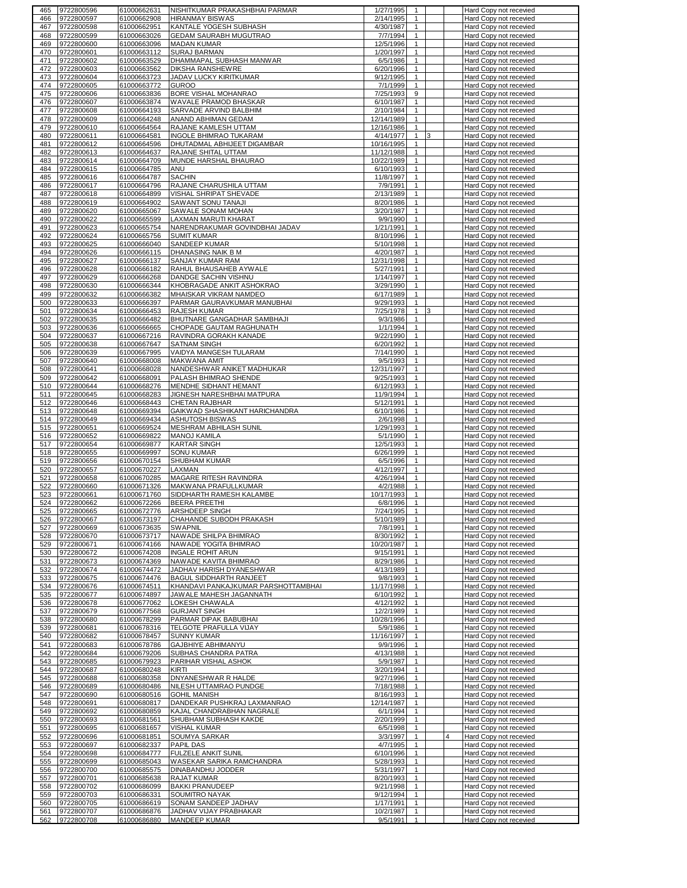| 465        | 9722800596               | 61000662631                | NISHITKUMAR PRAKASHBHAI PARMAR                   | 1/27/1995              | 1                              |   | Hard Copy not recevied                           |
|------------|--------------------------|----------------------------|--------------------------------------------------|------------------------|--------------------------------|---|--------------------------------------------------|
| 466        | 9722800597               | 61000662908                | <b>HIRANMAY BISWAS</b>                           | 2/14/1995              | $\mathbf{1}$                   |   | Hard Copy not recevied                           |
| 467        | 9722800598               | 61000662951                | KANTALE YOGESH SUBHASH                           | 4/30/1987              | 1                              |   | Hard Copy not recevied                           |
| 468        | 9722800599               | 61000663026                | GEDAM SAURABH MUGUTRAO                           | 7/7/1994               | $\mathbf{1}$                   |   | Hard Copy not recevied                           |
| 469<br>470 | 9722800600<br>9722800601 | 61000663096<br>61000663112 | <b>MADAN KUMAR</b><br><b>SURAJ BARMAN</b>        | 12/5/1996<br>1/20/1997 | $\mathbf{1}$<br>$\mathbf{1}$   |   | Hard Copy not recevied<br>Hard Copy not recevied |
| 471        | 9722800602               | 61000663529                | DHAMMAPAL SUBHASH MANWAR                         | 6/5/1986               | $\mathbf{1}$                   |   | Hard Copy not recevied                           |
| 472        | 9722800603               | 61000663562                | <b>DIKSHA RANSHEWRE</b>                          | 6/20/1996              | $\mathbf{1}$                   |   | Hard Copy not recevied                           |
| 473        | 9722800604               | 61000663723                | JADAV LUCKY KIRITKUMAR                           | 9/12/1995              | $\mathbf{1}$                   |   | Hard Copy not recevied                           |
| 474        | 9722800605               | 61000663772                | <b>GUROO</b>                                     | 7/1/1999               | $\mathbf{1}$                   |   | Hard Copy not recevied                           |
| 475        | 9722800606               | 61000663836                | BORE VISHAL MOHANRAO                             | 7/25/1993              | 9                              |   | Hard Copy not recevied                           |
| 476        | 9722800607               | 61000663874                | WAVALE PRAMOD BHASKAR                            | 6/10/1987              | $\mathbf{1}$                   |   | Hard Copy not recevied                           |
| 477        | 9722800608               | 61000664193                | SARVADE ARVIND BALBHIM                           | 2/10/1984              | $\mathbf{1}$                   |   | Hard Copy not recevied                           |
| 478        | 9722800609               | 61000664248                | ANAND ABHIMAN GEDAM                              | 12/14/1989             | $\mathbf{1}$                   |   | Hard Copy not recevied                           |
| 479        | 9722800610               | 61000664564                | RAJANE KAMLESH UTTAM                             | 12/16/1986             | $\mathbf{1}$                   |   | Hard Copy not recevied                           |
| 480        | 9722800611               | 61000664581                | INGOLE BHIMRAO TUKARAM                           | 4/14/1977              | $\mathbf{1}$<br>3              |   | Hard Copy not recevied                           |
| 481        | 9722800612               | 61000664596                | DHUTADMAL ABHIJEET DIGAMBAR                      | 10/16/1995             | $\mathbf{1}$                   |   | Hard Copy not recevied                           |
| 482        | 9722800613               | 61000664637                | RAJANE SHITAL UTTAM                              | 11/12/1988             | $\mathbf{1}$                   |   | Hard Copy not recevied                           |
| 483        | 9722800614               | 61000664709                | MUNDE HARSHAL BHAURAO                            | 10/22/1989             | $\mathbf{1}$                   |   | Hard Copy not recevied                           |
| 484        | 9722800615               | 61000664785                | ANU                                              | 6/10/1993              | $\mathbf{1}$                   |   | Hard Copy not recevied                           |
| 485        | 9722800616               | 61000664787                | <b>SACHIN</b>                                    | 11/8/1997              | $\mathbf{1}$                   |   | Hard Copy not recevied                           |
| 486        | 9722800617               | 61000664796                | RAJANE CHARUSHILA UTTAM                          | 7/9/1991               | $\mathbf{1}$                   |   | Hard Copy not recevied                           |
| 487<br>488 | 9722800618               | 61000664899                | VISHAL SHRIPAT SHEVADE                           | 2/13/1989<br>8/20/1986 | $\mathbf{1}$<br>$\mathbf{1}$   |   | Hard Copy not recevied                           |
| 489        | 9722800619<br>9722800620 | 61000664902<br>61000665067 | SAWANT SONU TANAJI<br>SAWALE SONAM MOHAN         | 3/20/1987              | $\mathbf{1}$                   |   | Hard Copy not recevied<br>Hard Copy not recevied |
| 490        | 9722800622               | 61000665599                | LAXMAN MARUTI KHARAT                             | 9/9/1990               | 1                              |   | Hard Copy not recevied                           |
| 491        | 9722800623               | 61000665754                | NARENDRAKUMAR GOVINDBHAI JADAV                   | 1/21/1991              | $\mathbf{1}$                   |   | Hard Copy not recevied                           |
| 492        | 9722800624               | 61000665756                | <b>SUMIT KUMAR</b>                               | 8/10/1996              | $\mathbf{1}$                   |   | Hard Copy not recevied                           |
| 493        | 9722800625               | 61000666040                | SANDEEP KUMAR                                    | 5/10/1998              | 1                              |   | Hard Copy not recevied                           |
| 494        | 9722800626               | 61000666115                | DHANASING NAIK B M                               | 4/20/1987              | $\mathbf{1}$                   |   | Hard Copy not recevied                           |
| 495        | 9722800627               | 61000666137                | SANJAY KUMAR RAM                                 | 12/31/1998             | $\mathbf{1}$                   |   | Hard Copy not recevied                           |
| 496        | 9722800628               | 61000666182                | RAHUL BHAUSAHEB AYWALE                           | 5/27/1991              | $\mathbf{1}$                   |   | Hard Copy not recevied                           |
| 497        | 9722800629               | 61000666268                | DANDGE SACHIN VISHNU                             | 1/14/1997              | $\mathbf{1}$                   |   | Hard Copy not recevied                           |
| 498        | 9722800630               | 61000666344                | KHOBRAGADE ANKIT ASHOKRAO                        | 3/29/1990              | $\mathbf{1}$                   |   | Hard Copy not recevied                           |
| 499        | 9722800632               | 61000666382                | MHAISKAR VIKRAM NAMDEO                           | 6/17/1989              | $\mathbf{1}$                   |   | Hard Copy not recevied                           |
| 500        | 9722800633               | 61000666397                | PARMAR GAURAVKUMAR MANUBHAI                      | 9/29/1993              | $\mathbf{1}$                   |   | Hard Copy not recevied                           |
| 501        | 9722800634               | 61000666453                | <b>RAJESH KUMAR</b>                              | 7/25/1978              | 1<br>3                         |   | Hard Copy not recevied                           |
| 502        | 9722800635               | 61000666482                | BHUTNARE GANGADHAR SAMBHAJI                      | 9/3/1986               | $\mathbf{1}$                   |   | Hard Copy not recevied                           |
| 503        | 9722800636               | 61000666665                | CHOPADE GAUTAM RAGHUNATH                         | 1/1/1994               | $\mathbf{1}$                   |   | Hard Copy not recevied                           |
| 504        | 9722800637               | 61000667216                | RAVINDRA GORAKH KANADE                           | 9/22/1990              | $\overline{1}$                 |   | Hard Copy not recevied                           |
| 505        | 9722800638               | 61000667647                | <b>SATNAM SINGH</b>                              | 6/20/1992              | $\mathbf{1}$                   |   | Hard Copy not recevied                           |
| 506<br>507 | 9722800639               | 61000667995<br>61000668008 | VAIDYA MANGESH TULARAM                           | 7/14/1990              | $\mathbf{1}$<br>$\mathbf{1}$   |   | Hard Copy not recevied                           |
| 508        | 9722800640<br>9722800641 | 61000668028                | MAKWANA AMIT<br>NANDESHWAR ANIKET MADHUKAR       | 9/5/1993<br>12/31/1997 | $\mathbf{1}$                   |   | Hard Copy not recevied<br>Hard Copy not recevied |
| 509        | 9722800642               | 61000668091                | PALASH BHIMRAO SHENDE                            | 9/25/1993              | $\mathbf{1}$                   |   | Hard Copy not recevied                           |
| 510        | 9722800644               | 61000668276                | MENDHE SIDHANT HEMANT                            | 6/12/1993              | $\mathbf{1}$                   |   | Hard Copy not recevied                           |
| 511        | 9722800645               | 61000668283                | JIGNESH NARESHBHAI MATPURA                       | 11/9/1994              | $\mathbf{1}$                   |   | Hard Copy not recevied                           |
| 512        | 9722800646               | 61000668443                | <b>CHETAN RAJBHAR</b>                            | 5/12/1991              | $\mathbf{1}$                   |   | Hard Copy not recevied                           |
| 513        | 9722800648               | 61000669394                | GAIKWAD SHASHIKANT HARICHANDRA                   | 6/10/1986              | $\mathbf{1}$                   |   | Hard Copy not recevied                           |
| 514        | 9722800649               | 61000669434                | <b>ASHUTOSH BISWAS</b>                           | 2/6/1998               | $\mathbf{1}$                   |   | Hard Copy not recevied                           |
| 515        | 9722800651               | 61000669524                | MESHRAM ABHILASH SUNIL                           | 1/29/1993              | 1                              |   | Hard Copy not recevied                           |
| 516        | 9722800652               | 61000669822                | MANOJ KAMILA                                     | 5/1/1990               | $\mathbf{1}$                   |   | Hard Copy not recevied                           |
| 517        | 9722800654               | 61000669877                | <b>KARTAR SINGH</b>                              | 12/5/1993              | 1                              |   | Hard Copy not recevied                           |
| 518        | 9722800655               | 61000669997                | <b>SONU KUMAR</b>                                | 6/26/1999              | $\mathbf{1}$                   |   | Hard Copy not recevied                           |
| 519        | 9722800656               | 61000670154                | SHUBHAM KUMAR                                    | 6/5/1996               | 1                              |   | Hard Copy not recevied                           |
| 520        | 9722800657               | 61000670227                | LAXMAN                                           | 4/12/1997              | $\mathbf{1}$                   |   | Hard Copy not recevied                           |
| 521        | 9722800658               | 61000670285                | MAGARE RITESH RAVINDRA                           | 4/26/1994              | $\mathbf{1}$                   |   | Hard Copy not recevied                           |
| 522<br>523 | 9722800660               | 61000671326                | MAKWANA PRAFULLKUMAR<br>SIDDHARTH RAMESH KALAMBE | 4/2/1988<br>10/17/1993 | $\mathbf{1}$<br>$\mathbf{1}$   |   | Hard Copy not recevied<br>Hard Copy not recevied |
| 524        | 9722800661<br>9722800662 | 61000671760<br>61000672266 | <b>BEERA PREETHI</b>                             | 6/8/1996               | $\mathbf{1}$                   |   | Hard Copy not recevied                           |
|            | 525 19722800665          |                            | 61000672776 ARSHDEEP SINGH                       | 7724/19951             |                                |   | Hard Copy not recevied                           |
| 526        | 9722800667               | 61000673197                | CHAHANDE SUBODH PRAKASH                          | 5/10/1989              | $\mathbf{1}$                   |   | Hard Copy not recevied                           |
| 527        | 9722800669               | 61000673635                | <b>SWAPNIL</b>                                   | 7/8/1991               | $\mathbf{1}$                   |   | Hard Copy not recevied                           |
| 528        | 9722800670               | 61000673717                | NAWADE SHILPA BHIMRAO                            | 8/30/1992              | $\mathbf{1}$                   |   | Hard Copy not recevied                           |
| 529        | 9722800671               | 61000674166                | NAWADE YOGITA BHIMRAO                            | 10/20/1987             | $\mathbf{1}$                   |   | Hard Copy not recevied                           |
| 530        | 9722800672               | 61000674208                | <b>INGALE ROHIT ARUN</b>                         | 9/15/1991              | $\overline{1}$                 |   | Hard Copy not recevied                           |
| 531        | 9722800673               | 61000674369                | NAWADE KAVITA BHIMRAO                            | 8/29/1986              | $\mathbf{1}$                   |   | Hard Copy not recevied                           |
| 532        | 9722800674               | 61000674472                | JADHAV HARISH DYANESHWAR                         | 4/13/1989              | $\mathbf{1}$                   |   | Hard Copy not recevied                           |
| 533        | 9722800675               | 61000674476                | BAGUL SIDDHARTH RANJEET                          | 9/8/1993               | $\overline{1}$                 |   | Hard Copy not recevied                           |
| 534        | 9722800676               | 61000674511                | KHANDAVI PANKAJKUMAR PARSHOTTAMBHAI              | 11/17/1998             | $\mathbf{1}$                   |   | Hard Copy not recevied                           |
| 535        | 9722800677               | 61000674897                | JAWALE MAHESH JAGANNATH                          | 6/10/1992              | $\mathbf{1}$                   |   | Hard Copy not recevied                           |
| 536        | 9722800678<br>9722800679 | 61000677062<br>61000677568 | LOKESH CHAWALA<br><b>GURJANT SINGH</b>           | 4/12/1992<br>12/2/1989 | $\mathbf{1}$                   |   | Hard Copy not recevied<br>Hard Copy not recevied |
| 537<br>538 | 9722800680               | 61000678299                | PARMAR DIPAK BABUBHAI                            | 10/28/1996             | $\mathbf{1}$<br>$\mathbf{1}$   |   | Hard Copy not recevied                           |
| 539        | 9722800681               | 61000678316                | TELGOTE PRAFULLA VIJAY                           | 5/9/1986               | $\mathbf{1}$                   |   | Hard Copy not recevied                           |
| 540        | 9722800682               | 61000678457                | <b>SUNNY KUMAR</b>                               | 11/16/1997             | $\mathbf{1}$                   |   | Hard Copy not recevied                           |
| 541        | 9722800683               | 61000678786                | GAJBHIYE ABHIMANYU                               | 9/9/1996               | $\mathbf{1}$                   |   | Hard Copy not recevied                           |
| 542        | 9722800684               | 61000679206                | SUBHAS CHANDRA PATRA                             | 4/13/1988              | $\mathbf{1}$                   |   | Hard Copy not recevied                           |
| 543        | 9722800685               | 61000679923                | PARIHAR VISHAL ASHOK                             | 5/9/1987               | $\mathbf{1}$                   |   | Hard Copy not recevied                           |
| 544        | 9722800687               | 61000680248                | KIRTI                                            | 3/20/1994              | 1                              |   | Hard Copy not recevied                           |
| 545        | 9722800688               | 61000680358                | DNYANESHWAR R HALDE                              | 9/27/1996              | $\mathbf{1}$                   |   | Hard Copy not recevied                           |
| 546        | 9722800689               | 61000680486                | NILESH UTTAMRAO PUNDGE                           | 7/18/1988              | $\mathbf{1}$                   |   | Hard Copy not recevied                           |
| 547        | 9722800690               | 61000680516                | <b>GOHIL MANISH</b>                              | 8/16/1993              | $\mathbf{1}$                   |   | Hard Copy not recevied                           |
| 548        | 9722800691               | 61000680817                | DANDEKAR PUSHKRAJ LAXMANRAO                      | 12/14/1987             | $\mathbf{1}$                   |   | Hard Copy not recevied                           |
| 549        | 9722800692               | 61000680859                | KAJAL CHANDRABHAN NAGRALE                        | 6/1/1994               | $\mathbf{1}$                   |   | Hard Copy not recevied                           |
| 550        | 9722800693               | 61000681561                | SHUBHAM SUBHASH KAKDE                            | 2/20/1999              | $\mathbf{1}$                   |   | Hard Copy not recevied                           |
| 551        | 9722800695               | 61000681657                | <b>VISHAL KUMAR</b>                              | 6/5/1998               | $\mathbf{1}$                   |   | Hard Copy not recevied                           |
| 552        | 9722800696               | 61000681851                | SOUMYA SARKAR                                    | 3/3/1997               | $\mathbf{1}$                   | 4 | Hard Copy not recevied                           |
| 553        | 9722800697               | 61000682337                | PAPIL DAS                                        | 4/7/1995               | $\mathbf{1}$                   |   | Hard Copy not recevied                           |
| 554        | 9722800698               | 61000684777                | FULZELE ANKIT SUNIL                              | 6/10/1996              | $\mathbf{1}$                   |   | Hard Copy not recevied                           |
| 555        | 9722800699               | 61000685043                | WASEKAR SARIKA RAMCHANDRA                        | 5/28/1993              | $\overline{1}$<br>$\mathbf{1}$ |   | Hard Copy not recevied                           |
| 556<br>557 | 9722800700<br>9722800701 | 61000685575<br>61000685638 | DINABANDHU JODDER<br>RAJAT KUMAR                 | 5/31/1997<br>8/20/1993 | $\mathbf{1}$                   |   | Hard Copy not recevied<br>Hard Copy not recevied |
| 558        | 9722800702               | 61000686099                | <b>BAKKI PRANUDEEP</b>                           | 9/21/1998              | $\overline{1}$                 |   | Hard Copy not recevied                           |
| 559        |                          |                            |                                                  |                        | $\mathbf{1}$                   |   | Hard Copy not recevied                           |
|            |                          |                            |                                                  |                        |                                |   |                                                  |
|            | 9722800703               | 61000686331                | SOUMITRO NAYAK                                   | 9/12/1994              |                                |   |                                                  |
| 560<br>561 | 9722800705               | 61000686619                | SONAM SANDEEP JADHAV                             | 1/17/1991              | $\mathbf{1}$<br>$\mathbf{1}$   |   | Hard Copy not recevied                           |
| 562        | 9722800707<br>9722800708 | 61000686876<br>61000686880 | JADHAV VIJAY PRABHAKAR<br><b>MANDEEP KUMAR</b>   | 10/2/1987<br>9/5/1991  | $\mathbf{1}$                   |   | Hard Copy not recevied<br>Hard Copy not recevied |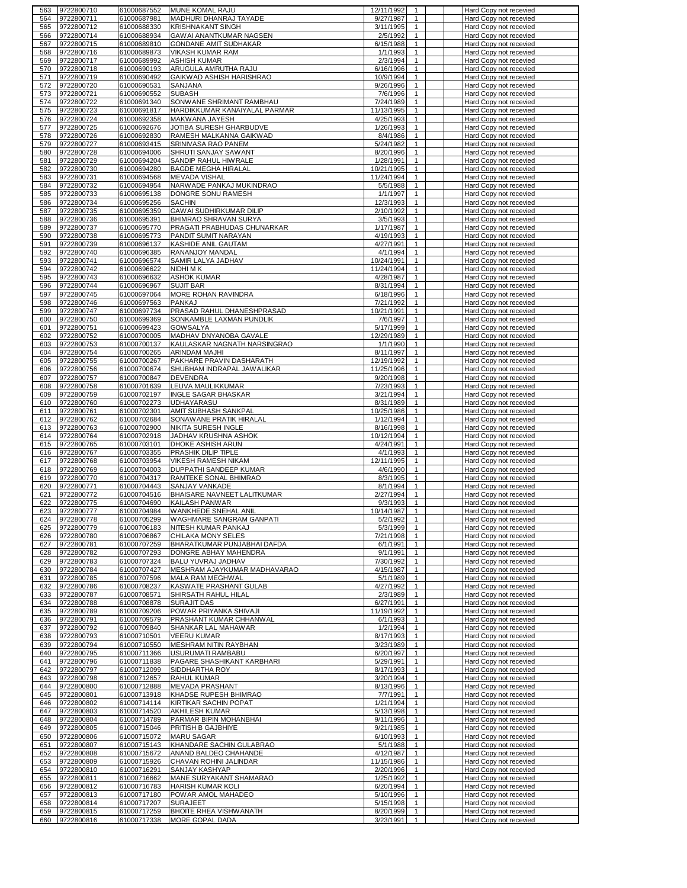| 563        | 9722800710               | 61000687552                | MUNE KOMAL RAJU                                        | 12/11/1992<br>$\mathbf{1}$                              | Hard Copy not recevied                           |
|------------|--------------------------|----------------------------|--------------------------------------------------------|---------------------------------------------------------|--------------------------------------------------|
| 564        | 9722800711               | 61000687981                | MADHURI DHANRAJ TAYADE                                 | 9/27/1987<br>1                                          | Hard Copy not recevied                           |
| 565        | 9722800712               | 61000688330                | <b>KRISHNAKANT SINGH</b>                               | 3/11/1995<br>$\mathbf{1}$                               | Hard Copy not recevied                           |
| 566<br>567 | 9722800714<br>9722800715 | 61000688934<br>61000689810 | GAWAI ANANTKUMAR NAGSEN<br>GONDANE AMIT SUDHAKAR       | 2/5/1992<br>$\mathbf{1}$<br>6/15/1988<br>$\mathbf{1}$   | Hard Copy not recevied<br>Hard Copy not recevied |
| 568        | 9722800716               | 61000689873                | VIKASH KUMAR RAM                                       | 1/1/1993<br>$\mathbf{1}$                                | Hard Copy not recevied                           |
| 569        | 9722800717               | 61000689992                | <b>ASHISH KUMAR</b>                                    | 2/3/1994<br>$\mathbf{1}$                                | Hard Copy not recevied                           |
| 570        | 9722800718               | 61000690193                | ARUGULA AMRUTHA RAJU                                   | $\mathbf{1}$<br>6/16/1996                               | Hard Copy not recevied                           |
| 571        | 9722800719               | 61000690492                | GAIKWAD ASHISH HARISHRAO                               | $\mathbf{1}$<br>10/9/1994                               | Hard Copy not recevied                           |
| 572        | 9722800720               | 61000690531                | SANJANA                                                | 9/26/1996<br>$\mathbf{1}$                               | Hard Copy not recevied                           |
| 573        | 9722800721               | 61000690552                | SUBASH                                                 | 7/6/1996<br>$\mathbf{1}$                                | Hard Copy not recevied                           |
| 574        | 9722800722               | 61000691340                | SONWANE SHRIMANT RAMBHAU                               | 7/24/1989<br>$\mathbf{1}$                               | Hard Copy not recevied                           |
| 575        | 9722800723               | 61000691817                | HARDIKKUMAR KANAIYALAL PARMAR<br>MAKWANA JAYESH        | 11/13/1995<br>$\mathbf{1}$<br>4/25/1993<br>$\mathbf{1}$ | Hard Copy not recevied<br>Hard Copy not recevied |
| 576<br>577 | 9722800724<br>9722800725 | 61000692358<br>61000692676 | JOTIBA SURESH GHARBUDVE                                | 1/26/1993<br>$\mathbf{1}$                               | Hard Copy not recevied                           |
| 578        | 9722800726               | 61000692830                | RAMESH MALKANNA GAIKWAD                                | $\mathbf{1}$<br>8/4/1986                                | Hard Copy not recevied                           |
| 579        | 9722800727               | 61000693415                | SRINIVASA RAO PANEM                                    | $\mathbf{1}$<br>5/24/1982                               | Hard Copy not recevied                           |
| 580        | 9722800728               | 61000694006                | SHRUTI SANJAY SAWANT                                   | 8/20/1996<br>$\mathbf{1}$                               | Hard Copy not recevied                           |
| 581        | 9722800729               | 61000694204                | SANDIP RAHUL HIWRALE                                   | 1/28/1991<br>$\mathbf{1}$                               | Hard Copy not recevied                           |
| 582        | 9722800730               | 61000694280                | <b>BAGDE MEGHA HIRALAL</b>                             | 10/21/1995<br>$\mathbf{1}$                              | Hard Copy not recevied                           |
| 583        | 9722800731               | 61000694568                | <b>MEVADA VISHAL</b>                                   | $\mathbf{1}$<br>11/24/1994                              | Hard Copy not recevied                           |
| 584<br>585 | 9722800732<br>9722800733 | 61000694954<br>61000695138 | NARWADE PANKAJ MUKINDRAO<br>DONGRE SONU RAMESH         | 5/5/1988<br>1<br>1/1/1997<br>$\mathbf{1}$               | Hard Copy not recevied<br>Hard Copy not recevied |
| 586        | 9722800734               | 61000695256                | <b>SACHIN</b>                                          | 12/3/1993<br>$\mathbf{1}$                               | Hard Copy not recevied                           |
| 587        | 9722800735               | 61000695359                | GAWAI SUDHIRKUMAR DILIP                                | $\mathbf{1}$<br>2/10/1992                               | Hard Copy not recevied                           |
| 588        | 9722800736               | 61000695391                | BHIMRAO SHRAVAN SURYA                                  | 3/5/1993<br>$\mathbf{1}$                                | Hard Copy not recevied                           |
| 589        | 9722800737               | 61000695770                | PRAGATI PRABHUDAS CHUNARKAR                            | 1/17/1987<br>$\mathbf{1}$                               | Hard Copy not recevied                           |
| 590        | 9722800738               | 61000695773                | PANDIT SUMIT NARAYAN                                   | 4/19/1993<br>$\mathbf{1}$                               | Hard Copy not recevied                           |
| 591        | 9722800739               | 61000696137                | KASHIDE ANIL GAUTAM                                    | 4/27/1991<br>$\mathbf{1}$                               | Hard Copy not recevied                           |
| 592        | 9722800740               | 61000696385                | RANANJOY MANDAL                                        | 4/1/1994<br>$\mathbf{1}$<br>$\mathbf{1}$                | Hard Copy not recevied                           |
| 593<br>594 | 9722800741<br>9722800742 | 61000696574<br>61000696622 | SAMIR LALYA JADHAV<br>NIDHI M K                        | 10/24/1991<br>11/24/1994<br>$\mathbf{1}$                | Hard Copy not recevied<br>Hard Copy not recevied |
| 595        | 9722800743               | 61000696632                | <b>ASHOK KUMAR</b>                                     | 4/28/1987<br>$\mathbf{1}$                               | Hard Copy not recevied                           |
| 596        | 9722800744               | 61000696967                | <b>SUJIT BAR</b>                                       | 8/31/1994<br>$\mathbf{1}$                               | Hard Copy not recevied                           |
| 597        | 9722800745               | 61000697064                | MORE ROHAN RAVINDRA                                    | 6/18/1996<br>$\mathbf{1}$                               | Hard Copy not recevied                           |
| 598        | 9722800746               | 61000697563                | PANKAJ                                                 | 7/21/1992<br>$\mathbf{1}$                               | Hard Copy not recevied                           |
| 599        | 9722800747               | 61000697734                | PRASAD RAHUL DHANESHPRASAD                             | 10/21/1991<br>$\mathbf{1}$                              | Hard Copy not recevied                           |
| 600        | 9722800750               | 61000699369                | SONKAMBLE LAXMAN PUNDLIK                               | 7/6/1997<br>$\mathbf{1}$                                | Hard Copy not recevied                           |
| 601<br>602 | 9722800751<br>9722800752 | 61000699423<br>61000700005 | <b>GOWSALYA</b><br>MADHAV DNYANOBA GAVALE              | 5/17/1999<br>$\mathbf{1}$<br>12/29/1989<br>$\mathbf{1}$ | Hard Copy not recevied<br>Hard Copy not recevied |
| 603        | 9722800753               | 61000700137                | KAULASKAR NAGNATH NARSINGRAO                           | 1/1/1990<br>$\mathbf{1}$                                | Hard Copy not recevied                           |
| 604        | 9722800754               | 61000700265                | ARINDAM MAJHI                                          | $\mathbf{1}$<br>8/11/1997                               | Hard Copy not recevied                           |
| 605        | 9722800755               | 61000700267                | PAKHARE PRAVIN DASHARATH                               | 12/19/1992<br>$\mathbf{1}$                              | Hard Copy not recevied                           |
| 606        | 9722800756               | 61000700674                | SHUBHAM INDRAPAL JAWALIKAR                             | 11/25/1996<br>$\mathbf{1}$                              | Hard Copy not recevied                           |
| 607        | 9722800757               | 61000700847                | <b>DEVENDRA</b>                                        | 9/20/1998<br>$\mathbf{1}$                               | Hard Copy not recevied                           |
| 608        | 9722800758               | 61000701639                | LEUVA MAULIKKUMAR                                      | $\mathbf{1}$<br>7/23/1993                               | Hard Copy not recevied                           |
| 609<br>610 | 9722800759<br>9722800760 | 61000702197<br>61000702273 | <b>INGLE SAGAR BHASKAR</b><br>UDHAYARASU               | 3/21/1994<br>$\mathbf{1}$<br>8/31/1989<br>$\mathbf{1}$  | Hard Copy not recevied<br>Hard Copy not recevied |
| 611        | 9722800761               | 61000702301                | AMIT SUBHASH SANKPAL                                   | $\mathbf{1}$<br>10/25/1986                              | Hard Copy not recevied                           |
| 612        | 9722800762               | 61000702684                | SONAWANE PRATIK HIRALAL                                | $\mathbf{1}$<br>1/12/1994                               | Hard Copy not recevied                           |
| 613        | 9722800763               | 61000702900                | NIKITA SURESH INGLE                                    | 8/16/1998<br>$\mathbf{1}$                               | Hard Copy not recevied                           |
| 614        | 9722800764               | 61000702918                | <u>JADHAV KRUSHNA ASHOK</u>                            | 10/12/1994<br>$\mathbf{1}$                              | Hard Copy not recevied                           |
| 615        | 9722800765               | 61000703101                | DHOKE ASHISH ARUN                                      | 4/24/1991<br>$\mathbf{1}$                               | Hard Copy not recevied                           |
| 616        | 9722800767<br>9722800768 | 61000703355                | PRASHIK DILIP TIPLE                                    | 4/1/1993<br>$\mathbf{1}$<br>12/11/1995                  | Hard Copy not recevied                           |
| 617<br>618 | 9722800769               | 61000703954<br>61000704003 | VIKESH RAMESH NIKAM<br>DUPPATHI SANDEEP KUMAR          | $\mathbf{1}$<br>4/6/1990<br>$\mathbf{1}$                | Hard Copy not recevied<br>Hard Copy not recevied |
| 619        | 9722800770               | 61000704317                | RAMTEKE SONAL BHIMRAO                                  | 8/3/1995<br>$\mathbf{1}$                                | Hard Copy not recevied                           |
| 620        | 9722800771               | 61000704443                | SANJAY VANKADE                                         | 8/1/1994<br>$\mathbf{1}$                                | Hard Copy not recevied                           |
| 621        | 9722800772               | 61000704516                | BHAISARE NAVNEET LALITKUMAR                            | 2/27/1994<br>$\mathbf{1}$                               | Hard Copy not recevied                           |
| 622        | 9722800775               | 61000704690                | KAILASH PANWAR                                         | 9/3/1993<br>$\mathbf{1}$                                | Hard Copy not recevied                           |
| 623        | 9722800777               | 61000704984                | WANKHEDE SNEHAL ANIL                                   | 10/14/1987                                              | Hard Copy not recevied                           |
| 624<br>625 | 9722800778<br>9722800779 | 61000705299<br>61000706183 | <b>WAGHMARE SANGRAM GANPATI</b><br>NITESH KUMAR PANKAJ | $\mathbf{1}$<br>5/2/1992<br>5/3/1999<br>$\mathbf{1}$    | Hard Copy not recevied<br>Hard Copy not recevied |
| 626        | 9722800780               | 61000706867                | CHILAKA MONY SELES                                     | 7/21/1998<br>$\mathbf{1}$                               | Hard Copy not recevied                           |
| 627        | 9722800781               | 61000707259                | BHARATKUMAR PUNJABHAI DAFDA                            | 6/1/1991<br>$\mathbf{1}$                                | Hard Copy not recevied                           |
| 628        | 9722800782               | 61000707293                | DONGRE ABHAY MAHENDRA                                  | 9/1/1991<br>$\mathbf{1}$                                | Hard Copy not recevied                           |
| 629        | 9722800783               | 61000707324                | BALU YUVRAJ JADHAV                                     | 7/30/1992<br>$\mathbf{1}$                               | Hard Copy not recevied                           |
| 630        | 9722800784               | 61000707427                | MESHRAM AJAYKUMAR MADHAVARAO                           | 4/15/1987<br>$\mathbf{1}$                               | Hard Copy not recevied                           |
| 631        | 9722800785               | 61000707596<br>61000708237 | MALA RAM MEGHWAL<br>KASWATE PRASHANT GULAB             | 5/1/1989<br>$\mathbf{1}$<br>$\mathbf{1}$                | Hard Copy not recevied                           |
| 632<br>633 | 9722800786<br>9722800787 | 61000708571                | SHIRSATH RAHUL HILAL                                   | 4/27/1992<br>$\mathbf{1}$<br>2/3/1989                   | Hard Copy not recevied<br>Hard Copy not recevied |
| 634        | 9722800788               | 61000708878                | <b>SURAJIT DAS</b>                                     | 6/27/1991<br>$\mathbf{1}$                               | Hard Copy not recevied                           |
| 635        | 9722800789               | 61000709206                | POWAR PRIYANKA SHIVAJI                                 | 11/19/1992<br>$\mathbf{1}$                              | Hard Copy not recevied                           |
| 636        | 9722800791               | 61000709579                | PRASHANT KUMAR CHHANWAL                                | 6/1/1993<br>$\mathbf{1}$                                | Hard Copy not recevied                           |
| 637        | 9722800792               | 61000709840                | SHANKAR LAL MAHAWAR                                    | $\mathbf{1}$<br>1/2/1994                                | Hard Copy not recevied                           |
| 638        | 9722800793               | 61000710501                | <b>VEERU KUMAR</b>                                     | 8/17/1993<br>$\mathbf{1}$                               | Hard Copy not recevied                           |
| 639<br>640 | 9722800794<br>9722800795 | 61000710550<br>61000711366 | MESHRAM NITIN RAYBHAN<br>USURUMATI RAMBABU             | 3/23/1989<br>$\mathbf{1}$<br>6/20/1997<br>$\mathbf{1}$  | Hard Copy not recevied<br>Hard Copy not recevied |
| 641        | 9722800796               | 61000711838                | PAGARE SHASHIKANT KARBHARI                             | 5/29/1991<br>$\mathbf{1}$                               | Hard Copy not recevied                           |
| 642        | 9722800797               | 61000712099                | SIDDHARTHA ROY                                         | 8/17/1993<br>$\mathbf{1}$                               | Hard Copy not recevied                           |
| 643        | 9722800798               | 61000712657                | RAHUL KUMAR                                            | 3/20/1994<br>1                                          | Hard Copy not recevied                           |
| 644        | 9722800800               | 61000712888                | <b>MEVADA PRASHANT</b>                                 | 8/13/1996<br>$\mathbf{1}$                               | Hard Copy not recevied                           |
| 645        | 9722800801               | 61000713918                | KHADSE RUPESH BHIMRAO                                  | 7/7/1991<br>$\mathbf{1}$                                | Hard Copy not recevied                           |
| 646        | 9722800802               | 61000714114                | KIRTIKAR SACHIN POPAT                                  | 1/21/1994<br>$\mathbf{1}$                               | Hard Copy not recevied                           |
| 647<br>648 | 9722800803<br>9722800804 | 61000714520<br>61000714789 | AKHILESH KUMAR<br>PARMAR BIPIN MOHANBHAI               | 5/13/1998<br>$\mathbf{1}$<br>9/11/1996<br>$\mathbf{1}$  | Hard Copy not recevied<br>Hard Copy not recevied |
| 649        | 9722800805               | 61000715046                | PRITISH B GAJBHIYE                                     | 9/21/1985<br>$\mathbf{1}$                               | Hard Copy not recevied                           |
| 650        | 9722800806               | 61000715072                | MARU SAGAR                                             | 6/10/1993<br>$\mathbf{1}$                               | Hard Copy not recevied                           |
| 651        | 9722800807               | 61000715143                | KHANDARE SACHIN GULABRAO                               | 5/1/1988<br>$\mathbf{1}$                                | Hard Copy not recevied                           |
| 652        | 9722800808               | 61000715672                | ANAND BALDEO CHAHANDE                                  | 4/12/1987<br>$\mathbf{1}$                               | Hard Copy not recevied                           |
| 653        | 9722800809               | 61000715926                | CHAVAN ROHINI JALINDAR                                 | 11/15/1986<br>$\mathbf{1}$                              | Hard Copy not recevied                           |
| 654        | 9722800810               | 61000716291                | SANJAY KASHYAP                                         | 2/20/1996<br>$\mathbf{1}$<br>$\mathbf{1}$               | Hard Copy not recevied                           |
| 655<br>656 | 9722800811<br>9722800812 | 61000716662<br>61000716783 | MANE SURYAKANT SHAMARAO<br>HARISH KUMAR KOLI           | 1/25/1992<br>6/20/1994<br>$\mathbf{1}$                  | Hard Copy not recevied<br>Hard Copy not recevied |
| 657        | 9722800813               | 61000717180                | POWAR AMOL MAHADEO                                     | 5/10/1996<br>$\mathbf{1}$                               | Hard Copy not recevied                           |
| 658        | 9722800814               | 61000717207                | <b>SURAJEET</b>                                        | $\mathbf{1}$<br>5/15/1998                               | Hard Copy not recevied                           |
| 659        | 9722800815               | 61000717259                | BHOITE RHEA VISHWANATH                                 | 8/20/1999<br>$\mathbf{1}$                               | Hard Copy not recevied                           |
| 660        | 9722800816               | 61000717338                | <b>MORE GOPAL DADA</b>                                 | 3/23/1991<br>1                                          | Hard Copy not recevied                           |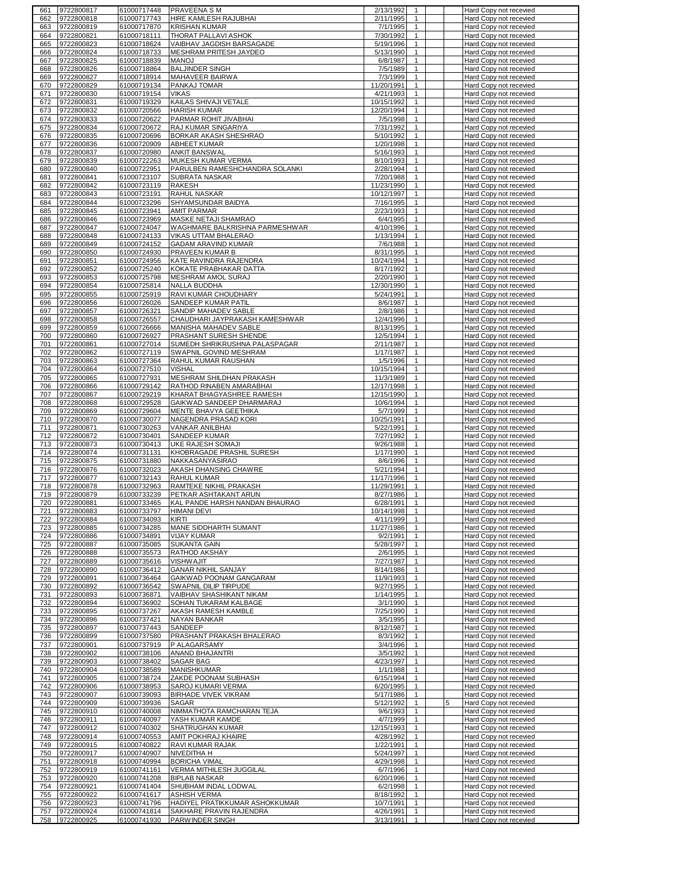| 661        | 9722800817               | 61000717448                | PRAVEENA S M                                      | 2/13/1992<br>$\mathbf{1}$                                        | Hard Copy not recevied                           |
|------------|--------------------------|----------------------------|---------------------------------------------------|------------------------------------------------------------------|--------------------------------------------------|
| 662        | 9722800818               | 61000717743                | <b>HIRE KAMLESH RAJUBHAI</b>                      | 2/11/1995<br>$\mathbf{1}$                                        | Hard Copy not recevied                           |
| 663        | 9722800819               | 61000717870                | <b>KRISHAN KUMAR</b>                              | 7/1/1995<br>$\mathbf{1}$                                         | Hard Copy not recevied                           |
| 664        | 9722800821<br>9722800823 | 61000718111                | THORAT PALLAVI ASHOK<br>VAIBHAV JAGDISH BARSAGADE | 7/30/1992<br>$\mathbf{1}$<br>5/19/1996                           | Hard Copy not recevied                           |
| 665<br>666 | 9722800824               | 61000718624<br>61000718733 | MESHRAM PRITESH JAYDEO                            | 1<br>5/13/1990<br>$\mathbf{1}$                                   | Hard Copy not recevied<br>Hard Copy not recevied |
| 667        | 9722800825               | 61000718839                | <b>MANOJ</b>                                      | 6/8/1987<br>$\mathbf{1}$                                         | Hard Copy not recevied                           |
| 668        | 9722800826               | 61000718864                | <b>BALJINDER SINGH</b>                            | 7/5/1989<br>$\mathbf{1}$                                         | Hard Copy not recevied                           |
| 669        | 9722800827               | 61000718914                | MAHAVEER BAIRWA                                   | 7/3/1999<br>1                                                    | Hard Copy not recevied                           |
| 670        | 9722800829               | 61000719134                | PANKAJ TOMAR                                      | 11/20/1991<br>$\mathbf{1}$                                       | Hard Copy not recevied                           |
| 671        | 9722800830               | 61000719154                | <b>VIKAS</b>                                      | 4/21/1993<br>$\mathbf{1}$                                        | Hard Copy not recevied                           |
| 672        | 9722800831               | 61000719329                | KAILAS SHIVAJI VETALE                             | 10/15/1992<br>$\mathbf{1}$                                       | Hard Copy not recevied                           |
| 673        | 9722800832               | 61000720566                | <b>HARISH KUMAR</b>                               | 12/20/1994<br>$\mathbf{1}$                                       | Hard Copy not recevied                           |
| 674        | 9722800833<br>9722800834 | 61000720622<br>61000720672 | PARMAR ROHIT JIVABHAI                             | 7/5/1998<br>$\mathbf{1}$<br>7/31/1992                            | Hard Copy not recevied                           |
| 675<br>676 | 9722800835               | 61000720696                | RAJ KUMAR SINGARIYA<br>BORKAR AKASH SHESHRAO      | $\mathbf{1}$<br>$\mathbf{1}$<br>5/10/1992                        | Hard Copy not recevied<br>Hard Copy not recevied |
| 677        | 9722800836               | 61000720909                | <b>ABHEET KUMAR</b>                               | 1/20/1998<br>1                                                   | Hard Copy not recevied                           |
| 678        | 9722800837               | 61000720980                | <b>ANKIT BANSWAL</b>                              | 5/16/1993<br>$\mathbf{1}$                                        | Hard Copy not recevied                           |
| 679        | 9722800839               | 61000722263                | MUKESH KUMAR VERMA                                | 8/10/1993<br>$\mathbf{1}$                                        | Hard Copy not recevied                           |
| 680        | 9722800840               | 61000722951                | PARULBEN RAMESHCHANDRA SOLANKI                    | 2/28/1994<br>$\mathbf{1}$                                        | Hard Copy not recevied                           |
| 681        | 9722800841               | 61000723107                | SUBRATA NASKAR                                    | $\mathbf{1}$<br>7/20/1988                                        | Hard Copy not recevied                           |
| 682        | 9722800842               | 61000723119                | RAKESH                                            | 11/23/1990<br>$\mathbf{1}$                                       | Hard Copy not recevied                           |
| 683<br>684 | 9722800843               | 61000723191                | RAHUL NASKAR<br>SHYAMSUNDAR BAIDYA                | 10/12/1997<br>$\mathbf{1}$<br>$\mathbf{1}$                       | Hard Copy not recevied                           |
| 685        | 9722800844<br>9722800845 | 61000723296<br>61000723941 | <b>AMIT PARMAR</b>                                | 7/16/1995<br>2/23/1993<br>$\mathbf{1}$                           | Hard Copy not recevied<br>Hard Copy not recevied |
| 686        | 9722800846               | 61000723969                | MASKE NETAJI SHAMRAO                              | 6/4/1995<br>$\mathbf{1}$                                         | Hard Copy not recevied                           |
| 687        | 9722800847               | 61000724047                | WAGHMARE BALKRISHNA PARMESHWAR                    | 4/10/1996<br>$\mathbf{1}$                                        | Hard Copy not recevied                           |
| 688        | 9722800848               | 61000724133                | VIKAS UTTAM BHALERAO                              | 1/13/1994<br>$\mathbf{1}$                                        | Hard Copy not recevied                           |
| 689        | 9722800849               | 61000724152                | GADAM ARAVIND KUMAR                               | $\mathbf{1}$<br>7/6/1988                                         | Hard Copy not recevied                           |
| 690        | 9722800850               | 61000724930                | PRAVEEN KUMAR B                                   | 8/31/1995<br>$\mathbf{1}$                                        | Hard Copy not recevied                           |
| 691        | 9722800851               | 61000724956                | KATE RAVINDRA RAJENDRA                            | 10/24/1994<br>$\mathbf{1}$                                       | Hard Copy not recevied                           |
| 692        | 9722800852               | 61000725240                | KOKATE PRABHAKAR DATTA                            | 8/17/1992<br>1                                                   | Hard Copy not recevied                           |
| 693        | 9722800853               | 61000725798                | MESHRAM AMOL SURAJ                                | $\mathbf{1}$<br>2/20/1990                                        | Hard Copy not recevied                           |
| 694<br>695 | 9722800854<br>9722800855 | 61000725814<br>61000725919 | NALLA BUDDHA<br>RAVI KUMAR CHOUDHARY              | 12/30/1990<br>1<br>5/24/1991<br>$\mathbf{1}$                     | Hard Copy not recevied<br>Hard Copy not recevied |
| 696        | 9722800856               | 61000726026                | SANDEEP KUMAR PATIL                               | 8/6/1987<br>1                                                    | Hard Copy not recevied                           |
| 697        | 9722800857               | 61000726321                | SANDIP MAHADEV SABLE                              | $\mathbf{1}$<br>2/8/1986                                         | Hard Copy not recevied                           |
| 698        | 9722800858               | 61000726557                | CHAUDHARI JAYPRAKASH KAMESHWAR                    | 12/4/1996<br>$\mathbf{1}$                                        | Hard Copy not recevied                           |
| 699        | 9722800859               | 61000726666                | MANISHA MAHADEV SABLE                             | 8/13/1995<br>$\mathbf{1}$                                        | Hard Copy not recevied                           |
| 700        | 9722800860               | 61000726927                | PRASHANT SURESH SHENDE                            | 12/5/1994<br>$\mathbf{1}$                                        | Hard Copy not recevied                           |
| 701        | 9722800861               | 61000727014                | SUMEDH SHRIKRUSHNA PALASPAGAR                     | 2/11/1987<br>$\mathbf{1}$                                        | Hard Copy not recevied                           |
| 702        | 9722800862               | 61000727119                | SWAPNIL GOVIND MESHRAM                            | 1/17/1987<br>$\mathbf{1}$                                        | Hard Copy not recevied                           |
| 703        | 9722800863               | 61000727364                | RAHUL KUMAR RAUSHAN                               | 1/5/1996<br>$\mathbf{1}$                                         | Hard Copy not recevied                           |
| 704<br>705 | 9722800864<br>9722800865 | 61000727510<br>61000727931 | <b>VISHAL</b><br>MESHRAM SHILDHAN PRAKASH         | 10/15/1994<br>$\mathbf{1}$<br>$\mathbf{1}$<br>11/3/1989          | Hard Copy not recevied<br>Hard Copy not recevied |
| 706        | 9722800866               | 61000729142                | RATHOD RINABEN AMARABHAI                          | $\mathbf{1}$<br>12/17/1998                                       | Hard Copy not recevied                           |
| 707        | 9722800867               | 61000729219                | KHARAT BHAGYASHREE RAMESH                         | 12/15/1990<br>$\mathbf{1}$                                       | Hard Copy not recevied                           |
| 708        | 9722800868               | 61000729528                | GAIKWAD SANDEEP DHARMARAJ                         | 10/6/1994<br>$\mathbf{1}$                                        | Hard Copy not recevied                           |
| 709        | 9722800869               | 61000729604                | MENTE BHAVYA GEETHIKA                             | 5/7/1999<br>$\mathbf{1}$                                         | Hard Copy not recevied                           |
| 710        | 9722800870               | 61000730077                | NAGENDRA PRASAD KORI                              | 10/25/1991<br>$\mathbf{1}$                                       | Hard Copy not recevied                           |
| 711        | 9722800871               | 61000730263                | VANKAR ANILBHAI                                   | 5/22/1991<br>$\mathbf{1}$                                        | Hard Copy not recevied                           |
| 712        | 9722800872               | 61000730401                | <b>SANDEEP KUMAR</b>                              | 7/27/1992<br>$\mathbf{1}$                                        | Hard Copy not recevied                           |
| 713        | 9722800873               | 61000730413<br>61000731131 | UKE RAJESH SOMAJI                                 | 9/26/1988<br>$\mathbf{1}$                                        | Hard Copy not recevied                           |
| 714<br>715 | 9722800874<br>9722800875 | 61000731880                | KHOBRAGADE PRASHIL SURESH<br>NAKKASANYASIRAO      | 1/17/1990<br>$\mathbf{1}$<br>8/6/1996<br>1                       | Hard Copy not recevied<br>Hard Copy not recevied |
| 716        | 9722800876               | 61000732023                | <b>AKASH DHANSING CHAWRE</b>                      | 5/21/1994<br>$\mathbf{1}$                                        | Hard Copy not recevied                           |
| 717        | 9722800877               | 61000732143                | RAHUL KUMAR                                       | 11/17/1996<br>1                                                  | Hard Copy not recevied                           |
| 718        | 9722800878               | 61000732963                | RAMTEKE NIKHIL PRAKASH                            | 11/29/1991<br>$\mathbf{1}$                                       | Hard Copy not recevied                           |
| 719        | 9722800879               | 61000733239                | PETKAR ASHTAKANT ARUN                             | 8/27/1986<br>1                                                   | Hard Copy not recevied                           |
| 720        | 9722800881               | 61000733465                | KAL PANDE HARSH NANDAN BHAURAO                    | 6/28/1991<br>$\mathbf{1}$                                        | Hard Copy not recevied                           |
| 721.       | 9722800883               | 61000733797                | HIMANI DEVI                                       | 10/14/1998                                                       | Hard Copy not recevied                           |
| 722        | 9722800884               | 61000734093                | KIRTI                                             | 4/11/1999<br>$\mathbf{1}$                                        | Hard Copy not recevied                           |
| 723<br>724 | 9722800885<br>9722800886 | 61000734285<br>61000734891 | MANE SIDDHARTH SUMANT<br><b>VIJAY KUMAR</b>       | 11/27/1986<br>$\mathbf{1}$<br>9/2/1991<br>$\mathbf{1}$           | Hard Copy not recevied<br>Hard Copy not recevied |
| 725        | 9722800887               | 61000735085                | <b>SUKANTA GAIN</b>                               | 5/28/1997<br>$\mathbf{1}$                                        | Hard Copy not recevied                           |
| 726        | 9722800888               | 61000735573                | RATHOD AKSHAY                                     | $\mathbf{1}$<br>2/6/1995                                         | Hard Copy not recevied                           |
| 727        | 9722800889               | 61000735616                | <b>VISHWAJIT</b>                                  | 7/27/1987<br>$\mathbf{1}$                                        | Hard Copy not recevied                           |
| 728        | 9722800890               | 61000736412                | <b>GANAR NIKHIL SANJAY</b>                        | 8/14/1986<br>$\mathbf{1}$                                        | Hard Copy not recevied                           |
| 729        | 9722800891               | 61000736464                | GAIKWAD POONAM GANGARAM                           | 11/9/1993<br>$\mathbf{1}$                                        | Hard Copy not recevied                           |
| 730        | 9722800892               | 61000736542                | SWAPNIL DILIP TIRPUDE                             | 9/27/1995<br>$\mathbf{1}$                                        | Hard Copy not recevied                           |
| 731<br>732 | 9722800893<br>9722800894 | 61000736871<br>61000736902 | VAIBHAV SHASHIKANT NIKAM<br>SOHAN TUKARAM KALBAGE | 1/14/1995<br>$\mathbf{1}$<br>3/1/1990<br>$\mathbf{1}$            | Hard Copy not recevied<br>Hard Copy not recevied |
| 733        | 9722800895               | 61000737267                | AKASH RAMESH KAMBLE                               | 7/25/1990<br>$\mathbf{1}$                                        | Hard Copy not recevied                           |
| 734        | 9722800896               | 61000737421                | NAYAN BANKAR                                      | $\mathbf{1}$<br>3/5/1995                                         | Hard Copy not recevied                           |
| 735        | 9722800897               | 61000737443                | SANDEEP                                           | $\mathbf{1}$<br>8/12/1987                                        | Hard Copy not recevied                           |
| 736        | 9722800899               | 61000737580                | PRASHANT PRAKASH BHALERAO                         | 8/3/1992<br>$\mathbf{1}$                                         | Hard Copy not recevied                           |
| 737        | 9722800901               | 61000737919                | P ALAGARSAMY                                      | 3/4/1996<br>$\mathbf{1}$                                         | Hard Copy not recevied                           |
| 738        | 9722800902               | 61000738106                | ANAND BHAJANTRI                                   | 3/5/1992<br>$\mathbf{1}$                                         | Hard Copy not recevied                           |
| 739        | 9722800903               | 61000738402                | SAGAR BAG                                         | 4/23/1997<br>$\mathbf{1}$                                        | Hard Copy not recevied                           |
| 740<br>741 | 9722800904<br>9722800905 | 61000738589<br>61000738724 | <b>MANISHKUMAR</b><br>ZAKDE POONAM SUBHASH        | 1/1/1988<br>$\mathbf{1}$<br>6/15/1994<br>$\mathbf{1}$            | Hard Copy not recevied<br>Hard Copy not recevied |
| 742        | 9722800906               | 61000738953                | SAROJ KUMARI VERMA                                | 6/20/1995<br>$\mathbf{1}$                                        | Hard Copy not recevied                           |
| 743        | 9722800907               | 61000739093                | <b>BIRHADE VIVEK VIKRAM</b>                       | 5/17/1986<br>$\mathbf{1}$                                        | Hard Copy not recevied                           |
| 744        | 9722800909               | 61000739936                | <b>SAGAR</b>                                      | 5/12/1992<br>5<br>1                                              | Hard Copy not recevied                           |
| 745        | 9722800910               | 61000740008                | NIMMATHOTA RAMCHARAN TEJA                         | 9/6/1993<br>$\mathbf{1}$                                         | Hard Copy not recevied                           |
| 746        | 9722800911               | 61000740097                | YASH KUMAR KAMDE                                  | 4/7/1999<br>$\mathbf{1}$                                         | Hard Copy not recevied                           |
| 747        | 9722800912               | 61000740302                | SHATRUGHAN KUMAR                                  | 12/15/1993<br>$\mathbf{1}$                                       | Hard Copy not recevied                           |
| 748        | 9722800914               | 61000740553                | AMIT POKHRAJ KHAIRE                               | 4/28/1992<br>1                                                   | Hard Copy not recevied                           |
| 749<br>750 | 9722800915<br>9722800917 | 61000740822<br>61000740907 | RAVI KUMAR RAJAK<br>NIVEDITHA H                   | $\frac{1}{22}/1991$<br>$\mathbf{1}$<br>5/24/1997<br>$\mathbf{1}$ | Hard Copy not recevied<br>Hard Copy not recevied |
| 751        | 9722800918               | 61000740994                | <b>BORICHA VIMAL</b>                              | 4/29/1998<br>$\mathbf{1}$                                        | Hard Copy not recevied                           |
| 752        | 9722800919               | 61000741161                | VERMA MITHILESH JUGGILAL                          | 6/7/1996<br>$\mathbf{1}$                                         | Hard Copy not recevied                           |
| 753        | 9722800920               | 61000741208                | <b>BIPLAB NASKAR</b>                              | 6/20/1996<br>$\mathbf{1}$                                        | Hard Copy not recevied                           |
| 754        | 9722800921               | 61000741404                | SHUBHAM INDAL LODWAL                              | 6/2/1998<br>$\mathbf{1}$                                         | Hard Copy not recevied                           |
| 755        |                          |                            |                                                   |                                                                  |                                                  |
|            | 9722800922               | 61000741617                | <b>ASHISH VERMA</b>                               | 8/18/1992<br>$\mathbf{1}$                                        | Hard Copy not recevied                           |
| 756        | 9722800923               | 61000741796                | HADIYEL PRATIKKUMAR ASHOKKUMAR                    | $\mathbf{1}$<br>10/7/1991                                        | Hard Copy not recevied                           |
| 757<br>758 | 9722800924<br>9722800925 | 61000741814<br>61000741930 | SAKHARE PRAVIN RAJENDRA<br>PARWINDER SINGH        | 4/26/1991<br>$\mathbf{1}$<br>3/13/1991<br>$\mathbf{1}$           | Hard Copy not recevied<br>Hard Copy not recevied |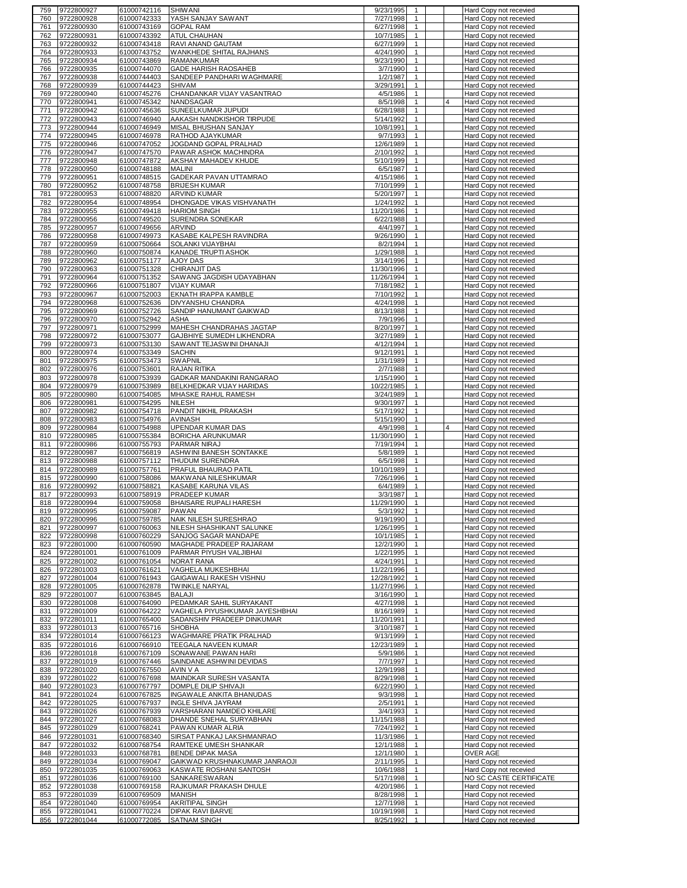| 759        | 9722800927               | 61000742116                | <b>SHIWANI</b>                                  | 9/23/1995               | $\overline{1}$               |   | Hard Copy not recevied                           |
|------------|--------------------------|----------------------------|-------------------------------------------------|-------------------------|------------------------------|---|--------------------------------------------------|
| 760        | 9722800928               | 61000742333                | YASH SANJAY SAWANT                              | 7/27/1998               | $\mathbf{1}$                 |   | Hard Copy not recevied                           |
| 761        | 9722800930               | 61000743169                | <b>GOPAL RAM</b>                                | 6/27/1998               | $\mathbf{1}$                 |   | Hard Copy not recevied                           |
| 762        | 9722800931               | 61000743392                | <b>ATUL CHAUHAN</b>                             | 10/7/1985               | $\mathbf{1}$                 |   | Hard Copy not recevied                           |
| 763        | 9722800932               | 61000743418                | RAVI ANAND GAUTAM                               | 6/27/1999               | $\mathbf{1}$                 |   | Hard Copy not recevied                           |
| 764        | 9722800933               | 61000743752                | WANKHEDE SHITAL RAJHANS                         | 4/24/1990               | $\mathbf{1}$                 |   | Hard Copy not recevied                           |
| 765        | 9722800934               | 61000743869                | <b>RAMANKUMAR</b>                               | 9/23/1990               | 1                            |   | Hard Copy not recevied                           |
| 766        | 9722800935               | 61000744070                | <b>GADE HARISH RAOSAHEB</b>                     | 3/7/1990                | $\mathbf{1}$                 |   | Hard Copy not recevied                           |
| 767        | 9722800938               | 61000744403                | SANDEEP PANDHARI WAGHMARE                       | 1/2/1987                | $\mathbf{1}$                 |   | Hard Copy not recevied                           |
| 768        | 9722800939               | 61000744423                | <b>SHIVAM</b>                                   | 3/29/1991               | $\mathbf{1}$                 |   | Hard Copy not recevied                           |
| 769        | 9722800940               | 61000745276                | CHANDANKAR VIJAY VASANTRAO                      | 4/5/1986                | $\mathbf{1}$                 |   | Hard Copy not recevied                           |
| 770        | 9722800941               | 61000745342                | NANDSAGAR                                       | 8/5/1998                | $\mathbf{1}$                 | 4 | Hard Copy not recevied                           |
| 771        | 9722800942               | 61000745636                | SUNEELKUMAR JUPUDI                              | 6/28/1988               | $\mathbf{1}$                 |   | Hard Copy not recevied                           |
| 772        | 9722800943               | 61000746940                | AAKASH NANDKISHOR TIRPUDE                       | 5/14/1992               | $\mathbf{1}$                 |   | Hard Copy not recevied                           |
| 773        | 9722800944               | 61000746949                | MISAL BHUSHAN SANJAY                            | 10/8/1991               | $\mathbf{1}$                 |   | Hard Copy not recevied                           |
| 774        | 9722800945               | 61000746978                | RATHOD AJAYKUMAR                                | 9/7/1993                | $\mathbf{1}$                 |   | Hard Copy not recevied                           |
| 775        | 9722800946<br>9722800947 | 61000747052                | JOGDAND GOPAL PRALHAD                           | 12/6/1989<br>2/10/1992  | $\mathbf{1}$<br>$\mathbf{1}$ |   | Hard Copy not recevied                           |
| 776        |                          | 61000747570                | PAWAR ASHOK MACHINDRA                           |                         | $\mathbf{1}$                 |   | Hard Copy not recevied                           |
| 777        | 9722800948<br>9722800950 | 61000747872<br>61000748188 | AKSHAY MAHADEV KHUDE<br><b>MALINI</b>           | 5/10/1999<br>6/5/1987   | $\mathbf{1}$                 |   | Hard Copy not recevied                           |
| 778<br>779 | 9722800951               | 61000748515                | GADEKAR PAVAN UTTAMRAO                          | 4/15/1986               | $\mathbf{1}$                 |   | Hard Copy not recevied<br>Hard Copy not recevied |
| 780        | 9722800952               | 61000748758                | <b>BRIJESH KUMAR</b>                            | 7/10/1999               | $\mathbf{1}$                 |   | Hard Copy not recevied                           |
| 781        | 9722800953               | 61000748820                | <b>ARVIND KUMAR</b>                             | 5/20/1997               | $\mathbf{1}$                 |   | Hard Copy not recevied                           |
| 782        | 9722800954               | 61000748954                | DHONGADE VIKAS VISHVANATH                       | 1/24/1992               | $\mathbf{1}$                 |   | Hard Copy not recevied                           |
| 783        | 9722800955               | 61000749418                | <b>HARIOM SINGH</b>                             | 11/20/1986              | $\mathbf{1}$                 |   | Hard Copy not recevied                           |
| 784        | 9722800956               | 61000749520                | SURENDRA SONEKAR                                | 6/22/1988               | $\mathbf{1}$                 |   | Hard Copy not recevied                           |
| 785        | 9722800957               | 61000749656                | ARVIND                                          | 4/4/1997                | $\mathbf{1}$                 |   | Hard Copy not recevied                           |
| 786        | 9722800958               | 61000749973                | KASABE KALPESH RAVINDRA                         | 9/26/1990               | $\mathbf{1}$                 |   | Hard Copy not recevied                           |
| 787        | 9722800959               | 61000750664                | SOLANKI VIJAYBHAI                               | 8/2/1994                | $\mathbf{1}$                 |   | Hard Copy not recevied                           |
| 788        | 9722800960               | 61000750874                | KANADE TRUPTI ASHOK                             | 1/29/1988               | $\mathbf{1}$                 |   | Hard Copy not recevied                           |
| 789        | 9722800962               | 61000751177                | AJOY DAS                                        | 3/14/1996               | $\mathbf{1}$                 |   | Hard Copy not recevied                           |
| 790        | 9722800963               | 61000751328                | <b>CHIRANJIT DAS</b>                            | 11/30/1996              | $\mathbf{1}$                 |   | Hard Copy not recevied                           |
| 791        | 9722800964               | 61000751352                | SAWANG JAGDISH UDAYABHAN                        | 11/26/1994              | $\mathbf{1}$                 |   | Hard Copy not recevied                           |
| 792        | 9722800966               | 61000751807                | <b>VIJAY KUMAR</b>                              | 7/18/1982               | 1                            |   | Hard Copy not recevied                           |
| 793        | 9722800967               | 61000752003                | EKNATH IRAPPA KAMBLE                            | 7/10/1992               | $\mathbf{1}$                 |   | Hard Copy not recevied                           |
| 794        | 9722800968               | 61000752636                | DIVYANSHU CHANDRA                               | 4/24/1998               | $\mathbf{1}$                 |   | Hard Copy not recevied                           |
| 795        | 9722800969               | 61000752726                | SANDIP HANUMANT GAIKWAD                         | 8/13/1988               | $\mathbf{1}$                 |   | Hard Copy not recevied                           |
| 796        | 9722800970               | 61000752942                | <b>ASHA</b>                                     | 7/9/1996                | $\mathbf{1}$                 |   | Hard Copy not recevied                           |
| 797        | 9722800971               | 61000752999                | MAHESH CHANDRAHAS JAGTAP                        | 8/20/1997               | $\mathbf{1}$                 |   | Hard Copy not recevied                           |
| 798        | 9722800972               | 61000753077                | GAJBHIYE SUMEDH LIKHENDRA                       | 3/27/1989               | $\mathbf{1}$                 |   | Hard Copy not recevied                           |
| 799        | 9722800973               | 61000753130                | SAWANT TEJASWINI DHANAJI                        | 4/12/1994               | $\mathbf{1}$                 |   | Hard Copy not recevied                           |
| 800        | 9722800974               | 61000753349                | <b>SACHIN</b>                                   | 9/12/1991               | $\mathbf{1}$                 |   | Hard Copy not recevied                           |
| 801        | 9722800975               | 61000753473                | <b>SWAPNIL</b>                                  | 1/31/1989               | $\mathbf{1}$                 |   | Hard Copy not recevied                           |
| 802        | 9722800976               | 61000753601                | RAJAN RITIKA                                    | 2/7/1988                | $\mathbf{1}$                 |   | Hard Copy not recevied                           |
| 803        | 9722800978               | 61000753939                | GADKAR MANDAKINI RANGARAO                       | 1/15/1990               | $\mathbf{1}$                 |   | Hard Copy not recevied                           |
| 804        | 9722800979               | 61000753989                | BELKHEDKAR VIJAY HARIDAS                        | 10/22/1985              | $\mathbf{1}$                 |   | <b>Hard Copy not recevied</b>                    |
| 805        | 9722800980               | 61000754085                | MHASKE RAHUL RAMESH                             | 3/24/1989               | $\mathbf{1}$                 |   | Hard Copy not recevied                           |
| 806        | 9722800981               | 61000754295                | NILESH                                          | 9/30/1997               | $\mathbf{1}$                 |   | Hard Copy not recevied                           |
| 807        | 9722800982               | 61000754718                | PANDIT NIKHIL PRAKASH                           | 5/17/1992               | $\mathbf{1}$                 |   | Hard Copy not recevied                           |
| 808        | 9722800983               | 61000754976                | AVINASH                                         | 5/15/1990               | $\mathbf{1}$                 |   | <b>Hard Copy not recevied</b>                    |
|            |                          |                            |                                                 |                         |                              |   |                                                  |
| 809        | 9722800984               | 61000754988                | UPENDAR KUMAR DAS                               | 4/9/1998                | $\mathbf{1}$                 | 4 | Hard Copy not recevied                           |
| 810        | 9722800985               | 61000755384                | BORICHA ARUNKUMAR                               | 11/30/1990              | $\mathbf{1}$                 |   | <b>Hard Copy not recevied</b>                    |
| 811        | 9722800986               | 61000755793                | PARMAR NIRAJ                                    | 7/19/1994               | $\mathbf{1}$                 |   | Hard Copy not recevied                           |
| 812        | 9722800987               | 61000756819                | ASHWINI BANESH SONTAKKE                         | 5/8/1989                | $\mathbf{1}$                 |   | Hard Copy not recevied                           |
| 813        | 9722800988               | 61000757112                | <b>THUDUM SURENDRA</b>                          | 6/5/1998                | $\mathbf{1}$                 |   | Hard Copy not recevied                           |
| 814        | 9722800989               | 61000757761                | <b>PRAFUL BHAURAO PATIL</b>                     | 10/10/1989              | $\mathbf{1}$                 |   | <b>Hard Copy not recevied</b>                    |
| 815        | 9722800990               | 61000758086                | MAKWANA NILESHKUMAR                             | 7/26/1996               | $\mathbf{1}$                 |   | Hard Copy not recevied                           |
| 816        | 9722800992               | 61000758821                | KASABE KARUNA VILAS                             | 6/4/1989                | $\mathbf{1}$                 |   | Hard Copy not recevied                           |
| 817        | 9722800993               | 61000758919                | PRADEEP KUMAR                                   | 3/3/1987                | $\mathbf{1}$                 |   | Hard Copy not recevied                           |
| 818<br>819 | 9722800994<br>9722800995 | 61000759058                | BHAISARE RUPALI HARESH                          | 11/29/1990              | $\mathbf{1}$                 |   | Hard Copy not recevied<br>Hard Copy not recevied |
| 820        | 9722800996               | 61000759087<br>61000759785 | PAWAN<br>NAIK NILESH SURESHRAO                  | 5/3/1992<br>9/19/1990   | $\mathbf{1}$                 |   | Hard Copy not recevied                           |
| 821        | 9722800997               | 61000760063                | NILESH SHASHIKANT SALUNKE                       | 1/26/1995               | $\mathbf{1}$                 |   | Hard Copy not recevied                           |
| 822        | 9722800998               | 61000760229                | SANJOG SAGAR MANDAPE                            | 10/1/1985               | $\mathbf{1}$                 |   | Hard Copy not recevied                           |
| 823        | 9722801000               | 61000760590                | MAGHADE PRADEEP RAJARAM                         | 12/2/1990               | $\mathbf{1}$                 |   | Hard Copy not recevied                           |
| 824        | 9722801001               | 61000761009                | PARMAR PIYUSH VALJIBHAI                         | 1/22/1995               | $\mathbf{1}$                 |   | Hard Copy not recevied                           |
| 825        | 9722801002               | 61000761054                | <b>NORAT RANA</b>                               | 4/24/1991               | $\mathbf{1}$                 |   | Hard Copy not recevied                           |
| 826        | 9722801003               | 61000761621                | VAGHELA MUKESHBHAI                              | 11/22/1996              | $\overline{1}$               |   | Hard Copy not recevied                           |
| 827        | 9722801004               | 61000761943                | GAIGAWALI RAKESH VISHNU                         | 12/28/1992              | $\mathbf{1}$                 |   | Hard Copy not recevied                           |
| 828        | 9722801005               | 61000762878                | <b>TWINKLE NARYAL</b>                           | 11/27/1996              | $\mathbf{1}$                 |   | Hard Copy not recevied                           |
| 829        | 9722801007               | 61000763845                | <b>BALAJI</b>                                   | 3/16/1990               | $\mathbf{1}$                 |   | Hard Copy not recevied                           |
| 830        | 9722801008               | 61000764090                | PEDAMKAR SAHIL SURYAKANT                        | 4/27/1998               | $\mathbf{1}$                 |   | Hard Copy not recevied                           |
| 831        | 9722801009               | 61000764222                | VAGHELA PIYUSHKUMAR JAYESHBHAI                  | 8/16/1989               | $\mathbf{1}$                 |   | Hard Copy not recevied                           |
| 832        | 9722801011               | 61000765400                | SADANSHIV PRADEEP DINKUMAR                      | 11/20/1991              | $\mathbf{1}$                 |   | Hard Copy not recevied                           |
| 833        | 9722801013               | 61000765716                | <b>SHOBHA</b>                                   | 3/10/1987               | $\mathbf{1}$                 |   | Hard Copy not recevied                           |
| 834        | 9722801014               | 61000766123                | WAGHMARE PRATIK PRALHAD                         | 9/13/1999               | $\mathbf{1}$<br>$\mathbf{1}$ |   | Hard Copy not recevied                           |
| 835        | 9722801016<br>9722801018 | 61000766910<br>61000767109 | TEEGALA NAVEEN KUMAR                            | 12/23/1989              | $\mathbf{1}$                 |   | Hard Copy not recevied                           |
| 836<br>837 | 9722801019               | 61000767446                | SONAWANE PAWAN HARI<br>SAINDANE ASHWINI DEVIDAS | 5/9/1986<br>7/7/1997    | $\mathbf{1}$                 |   | Hard Copy not recevied<br>Hard Copy not recevied |
| 838        | 9722801020               | 61000767550                | AVIN V A                                        | 12/9/1998               | $\overline{1}$               |   | Hard Copy not recevied                           |
| 839        | 9722801022               | 61000767698                | MAINDKAR SURESH VASANTA                         | 8/29/1998               | $\mathbf{1}$                 |   | Hard Copy not recevied                           |
| 840        | 9722801023               | 61000767797                | DOMPLE DILIP SHIVAJI                            | 6/22/1990               | $\mathbf{1}$                 |   | Hard Copy not recevied                           |
| 841        | 9722801024               | 61000767825                | INGAWALE ANKITA BHANUDAS                        | 9/3/1998                | $\mathbf{1}$                 |   | Hard Copy not recevied                           |
| 842        | 9722801025               | 61000767937                | <b>INGLE SHIVA JAYRAM</b>                       | 2/5/1991                | $\mathbf{1}$                 |   | Hard Copy not recevied                           |
| 843        | 9722801026               | 61000767939                | VARSHARANI NAMDEO KHILARE                       | 3/4/1993                | $\mathbf{1}$                 |   | Hard Copy not recevied                           |
| 844        | 9722801027               | 61000768083                | DHANDE SNEHAL SURYABHAN                         | 11/15/1988              | $\mathbf{1}$                 |   | Hard Copy not recevied                           |
| 845        | 9722801029               | 61000768241                | PAWAN KUMAR ALRIA                               | 7/24/1992               | $\mathbf{1}$                 |   | Hard Copy not recevied                           |
| 846        | 9722801031               | 61000768340                | SIRSAT PANKAJ LAKSHMANRAO                       | 11/3/1986               | $\mathbf{1}$                 |   | Hard Copy not recevied                           |
| 847        | 9722801032               | 61000768754                | RAMTEKE UMESH SHANKAR                           | 12/1/1988               | $\mathbf{1}$                 |   | Hard Copy not recevied                           |
| 848        | 9722801033               | 61000768781                | <b>BENDE DIPAK MASA</b>                         | 12/1/1980               | $\mathbf{1}$                 |   | OVER AGE                                         |
| 849        | 9722801034               | 61000769047                | GAIKWAD KRUSHNAKUMAR JANRAOJI                   | 2/11/1995               | $\mathbf{1}$                 |   | Hard Copy not recevied                           |
| 850        | 9722801035               | 61000769063                | KASWATE ROSHANI SANTOSH                         | 10/6/1988               | $\mathbf{1}$                 |   | Hard Copy not recevied                           |
| 851        | 9722801036               | 61000769100                | <b>SANKARESWARAN</b>                            | 5/17/1998               | $\overline{1}$               |   | NO SC CASTE CERTIFICATE                          |
| 852        | 9722801038               | 61000769158                | RAJKUMAR PRAKASH DHULE                          | 4/20/1986               | $\mathbf{1}$                 |   | Hard Copy not recevied                           |
| 853        | 9722801039               | 61000769509                | <b>MANISH</b>                                   | 8/28/1998               | $\mathbf{1}$                 |   | Hard Copy not recevied                           |
| 854        | 9722801040               | 61000769954                | AKRITIPAL SINGH                                 | 12/7/1998               | $\mathbf{1}$                 |   | Hard Copy not recevied                           |
| 855<br>856 | 9722801041<br>9722801044 | 61000770224<br>61000772085 | <b>DIPAK RAVI BARVE</b><br><b>SATNAM SINGH</b>  | 10/19/1998<br>8/25/1992 | $\mathbf{1}$<br>$\mathbf{1}$ |   | Hard Copy not recevied<br>Hard Copy not recevied |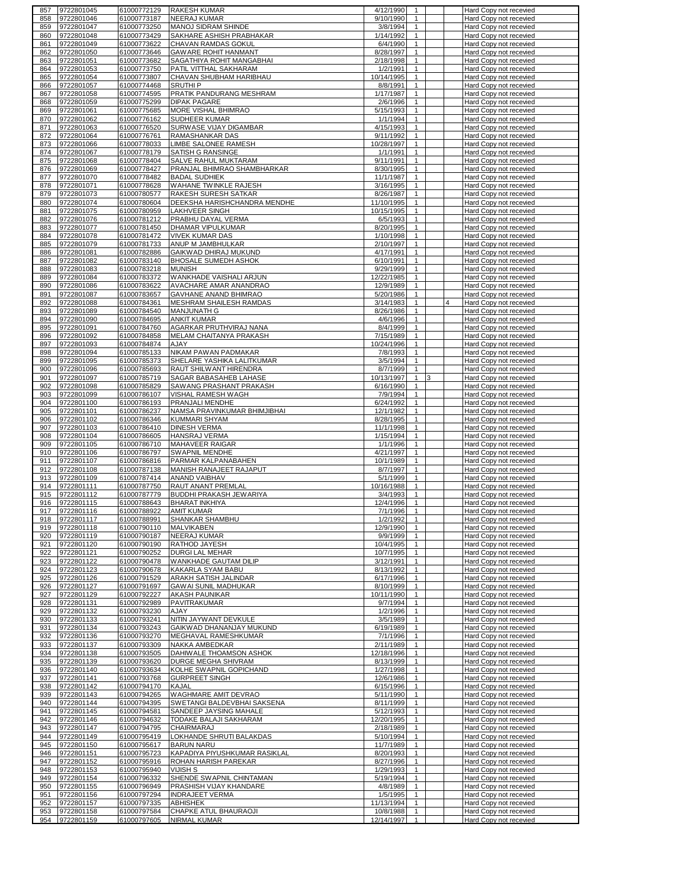| 857        | 9722801045               | 61000772129                | <b>RAKESH KUMAR</b>                   | 4/12/1990               | -1                           |    | Hard Copy not recevied                           |
|------------|--------------------------|----------------------------|---------------------------------------|-------------------------|------------------------------|----|--------------------------------------------------|
| 858        | 9722801046               | 61000773187                | <b>NEERAJ KUMAR</b>                   | 9/10/1990               | $\mathbf{1}$                 |    | Hard Copy not recevied                           |
| 859        | 9722801047               | 61000773250                | MANOJ SIDRAM SHINDE                   | 3/8/1994                | $\mathbf{1}$                 |    | Hard Copy not recevied                           |
| 860        | 9722801048               | 61000773429                | SAKHARE ASHISH PRABHAKAR              | 1/14/1992               | $\mathbf{1}$                 |    | Hard Copy not recevied                           |
| 861        | 9722801049               | 61000773622                | CHAVAN RAMDAS GOKUL                   | 6/4/1990                | $\mathbf{1}$                 |    | Hard Copy not recevied                           |
|            |                          |                            |                                       |                         | $\mathbf{1}$                 |    |                                                  |
| 862        | 9722801050               | 61000773646                | <b>GAWARE ROHIT HANMANT</b>           | 8/28/1997               |                              |    | Hard Copy not recevied                           |
| 863        | 9722801051               | 61000773682                | SAGATHIYA ROHIT MANGABHAI             | 2/18/1998               | $\mathbf{1}$                 |    | Hard Copy not recevied                           |
| 864        | 9722801053               | 61000773750                | PATIL VITTHAL SAKHARAM                | 1/2/1991                | $\mathbf{1}$                 |    | Hard Copy not recevied                           |
| 865        | 9722801054               | 61000773807                | CHAVAN SHUBHAM HARIBHAU               | 10/14/1995              | $\mathbf{1}$                 |    | Hard Copy not recevied                           |
| 866        | 9722801057               | 61000774468                | <b>SRUTHIP</b>                        | 8/8/1991                | $\mathbf{1}$                 |    | Hard Copy not recevied                           |
| 867        | 9722801058               | 61000774595                | PRATIK PANDURANG MESHRAM              | 1/17/1987               | $\mathbf{1}$                 |    | Hard Copy not recevied                           |
| 868        | 9722801059               | 61000775299                | <b>DIPAK PAGARE</b>                   | 2/6/1996                | $\mathbf{1}$                 |    | Hard Copy not recevied                           |
|            | 9722801061               | 61000775685                | MORE VISHAL BHIMRAO                   |                         | $\mathbf{1}$                 |    |                                                  |
| 869        |                          |                            |                                       | 5/15/1993               |                              |    | Hard Copy not recevied                           |
| 870        | 9722801062               | 61000776162                | SUDHEER KUMAR                         | 1/1/1994                | $\mathbf{1}$                 |    | Hard Copy not recevied                           |
| 871        | 9722801063               | 61000776520                | SURWASE VIJAY DIGAMBAR                | 4/15/1993               | $\mathbf{1}$                 |    | Hard Copy not recevied                           |
| 872        | 9722801064               | 61000776761                | RAMASHANKAR DAS                       | 9/11/1992               | 1                            |    | Hard Copy not recevied                           |
| 873        | 9722801066               | 61000778033                | LIMBE SALONEE RAMESH                  | 10/28/1997              | $\mathbf{1}$                 |    | Hard Copy not recevied                           |
| 874        | 9722801067               | 61000778179                | SATISH G RANSINGE                     | 1/1/1991                | $\mathbf{1}$                 |    | Hard Copy not recevied                           |
| 875        | 9722801068               | 61000778404                | SALVE RAHUL MUKTARAM                  | 9/11/1991               | $\mathbf{1}$                 |    | Hard Copy not recevied                           |
| 876        | 9722801069               | 61000778427                | PRANJAL BHIMRAO SHAMBHARKAR           | 8/30/1995               | $\mathbf{1}$                 |    | Hard Copy not recevied                           |
| 877        | 9722801070               | 61000778482                | <b>BADAL SUDHIEK</b>                  | 11/1/1987               | $\mathbf{1}$                 |    | Hard Copy not recevied                           |
|            |                          |                            |                                       |                         |                              |    |                                                  |
| 878        | 9722801071               | 61000778628                | WAHANE TWINKLE RAJESH                 | 3/16/1995               | $\mathbf{1}$                 |    | Hard Copy not recevied                           |
| 879        | 9722801073               | 61000780577                | RAKESH SURESH SATKAR                  | 8/26/1987               | $\mathbf{1}$                 |    | Hard Copy not recevied                           |
| 880        | 9722801074               | 61000780604                | DEEKSHA HARISHCHANDRA MENDHE          | 11/10/1995              | $\mathbf{1}$                 |    | Hard Copy not recevied                           |
| 881        | 9722801075               | 61000780959                | LAKHVEER SINGH                        | 10/15/1995              | $\mathbf{1}$                 |    | Hard Copy not recevied                           |
| 882        | 9722801076               | 61000781212                | PRABHU DAYAL VERMA                    | 6/5/1993                | $\mathbf{1}$                 |    | Hard Copy not recevied                           |
| 883        | 9722801077               | 61000781450                | DHAMAR VIPULKUMAR                     | 8/20/1995               | $\mathbf{1}$                 |    | Hard Copy not recevied                           |
| 884        | 9722801078               | 61000781472                | <b>VIVEK KUMAR DAS</b>                | 1/10/1998               | $\mathbf{1}$                 |    | Hard Copy not recevied                           |
| 885        | 9722801079               | 61000781733                | ANUP M JAMBHULKAR                     | 2/10/1997               | $\mathbf{1}$                 |    | Hard Copy not recevied                           |
|            |                          | 61000782886                | GAIKWAD DHIRAJ MUKUND                 | 4/17/1991               | $\mathbf{1}$                 |    |                                                  |
| 886        | 9722801081               |                            |                                       |                         |                              |    | Hard Copy not recevied                           |
| 887        | 9722801082               | 61000783140                | <b>BHOSALE SUMEDH ASHOK</b>           | 6/10/1991               | $\mathbf{1}$                 |    | Hard Copy not recevied                           |
| 888        | 9722801083               | 61000783218                | <b>MUNISH</b>                         | 9/29/1999               | $\mathbf{1}$                 |    | Hard Copy not recevied                           |
| 889        | 9722801084               | 61000783372                | WANKHADE VAISHALI ARJUN               | 12/22/1985              | $\mathbf{1}$                 |    | Hard Copy not recevied                           |
| 890        | 9722801086               | 61000783622                | AVACHARE AMAR ANANDRAO                | 12/9/1989               | $\mathbf{1}$                 |    | Hard Copy not recevied                           |
| 891        | 9722801087               | 61000783657                | GAVHANE ANAND BHIMRAO                 | 5/20/1986               | $\mathbf{1}$                 |    | Hard Copy not recevied                           |
| 892        | 9722801088               | 61000784361                | MESHRAM SHAILESH RAMDAS               | 3/14/1983               | $\mathbf{1}$                 |    | Hard Copy not recevied                           |
|            |                          |                            |                                       |                         |                              |    |                                                  |
| 893        | 9722801089               | 61000784540                | <b>MANJUNATH G</b>                    | 8/26/1986               | $\mathbf{1}$                 |    | Hard Copy not recevied                           |
| 894        | 9722801090               | 61000784695                | ANKIT KUMAR                           | 4/6/1996                | $\mathbf{1}$                 |    | Hard Copy not recevied                           |
| 895        | 9722801091               | 61000784760                | AGARKAR PRUTHVIRAJ NANA               | 8/4/1999                | $\mathbf{1}$                 |    | Hard Copy not recevied                           |
| 896        | 9722801092               | 61000784858                | MELAM CHAITANYA PRAKASH               | 7/15/1989               | $\mathbf{1}$                 |    | Hard Copy not recevied                           |
| 897        | 9722801093               | 61000784874                | AJAY                                  | 10/24/1996              | $\mathbf{1}$                 |    | Hard Copy not recevied                           |
| 898        | 9722801094               | 61000785133                | NIKAM PAWAN PADMAKAR                  | 7/8/1993                | $\mathbf{1}$                 |    | Hard Copy not recevied                           |
| 899        | 9722801095               | 61000785373                | SHELARE YASHIKA LALITKUMAR            | 3/5/1994                | $\mathbf{1}$                 |    | Hard Copy not recevied                           |
|            |                          |                            |                                       |                         | $\mathbf{1}$                 |    |                                                  |
| 900        | 9722801096               | 61000785693                | RAUT SHILWANT HIRENDRA                | 8/7/1999                |                              |    | Hard Copy not recevied                           |
| 901        | 9722801097               | 61000785719                | SAGAR BABASAHEB LAHASE                | 10/13/1997              | 1                            | 13 | Hard Copy not recevied                           |
| 902        | 9722801098               | 61000785829                | SAWANG PRASHANT PRAKASH               | 6/16/1990               | $\mathbf{1}$                 |    | Hard Copy not recevied                           |
| 903        | 9722801099               | 61000786107                | VISHAL RAMESH WAGH                    | 7/9/1994                | $\mathbf{1}$                 |    | Hard Copy not recevied                           |
| 904        | 9722801100               | 61000786193                | PRANJALI MENDHE                       | 6/24/1992               | $\mathbf{1}$                 |    | Hard Copy not recevied                           |
| 905        | 9722801101               | 61000786237                | NAMSA PRAVINKUMAR BHIMJIBHAI          | 12/1/1982               | $\mathbf{1}$                 |    | Hard Copy not recevied                           |
|            |                          |                            |                                       |                         |                              |    |                                                  |
|            |                          |                            |                                       |                         |                              |    |                                                  |
| 906        | 9722801102               | 61000786346                | <b>KUMMARI SHYAM</b>                  | 8/28/1995               | $\mathbf{1}$                 |    | Hard Copy not recevied                           |
| 907        | 9722801103               | 61000786410                | <b>DINESH VERMA</b>                   | 11/1/1998               | $\mathbf{1}$                 |    | Hard Copy not recevied                           |
| 908        | 9722801104               | 61000786605                | <b>HANSRAJ VERMA</b>                  | 1/15/1994               | $\mathbf{1}$                 |    | Hard Copy not recevied                           |
| 909        | 9722801105               | 61000786710                | MAHAVEER RAIGAR                       | 1/1/1996                | $\mathbf{1}$                 |    | Hard Copy not recevied                           |
| 910        | 9722801106               | 61000786797                | <b>SWAPNIL MENDHE</b>                 | 4/21/1997               | $\mathbf{1}$                 |    | Hard Copy not recevied                           |
| 911        | 9722801107               | 61000786816                | PARMAR KALPANABAHEN                   | 10/1/1989               | $\mathbf{1}$                 |    | Hard Copy not recevied                           |
| 912        | 9722801108               | 61000787138                | MANISH RANAJEET RAJAPUT               | 8/7/1997                | $\mathbf{1}$                 |    | Hard Copy not recevied                           |
|            |                          |                            |                                       |                         |                              |    |                                                  |
| 913        | 9722801109               | 61000787414                | ANAND VAIBHAV                         | 5/1/1999                | $\mathbf{1}$                 |    | Hard Copy not recevied                           |
| 914        | 9722801111               | 61000787750                | RAUT ANANT PREMLAL                    | 10/16/1988              | $\mathbf{1}$                 |    | Hard Copy not recevied                           |
| 915        | 9722801112               | 61000787779                | BUDDHI PRAKASH JEWARIYA               | 3/4/1993                | $\mathbf{1}$                 |    | Hard Copy not recevied                           |
| 916        | 9722801115               | 61000788643                | <b>BHARAT INKHIYA</b>                 | 12/4/1996               | $\mathbf{1}$                 |    | Hard Copy not recevied                           |
| 917        | 9722801116               | 61000788922                | <b>AMIT KUMAR</b>                     | 7/1/1996                |                              |    | Hard Copy not recevied                           |
| 918        | 9722801117               | 61000788991                | SHANKAR SHAMBHU                       | 1/2/1992                | $\mathbf{1}$                 |    | Hard Copy not recevied                           |
| 919        | 9722801118               | 61000790110                | MALVIKABEN                            | 12/9/1990               | $\mathbf{1}$                 |    | Hard Copy not recevied                           |
| 920        | 9722801119               | 61000790187                | <b>NEERAJ KUMAR</b>                   | 9/9/1999                | $\mathbf{1}$                 |    | Hard Copy not recevied                           |
|            |                          | 61000790190                |                                       |                         | $\mathbf{1}$                 |    |                                                  |
| 921        | 9722801120               |                            | RATHOD JAYESH                         | 10/4/1995               |                              |    | Hard Copy not recevied                           |
| 922        | 9722801121               | 61000790252                | <b>DURGI LAL MEHAR</b>                | 10/7/1995               | $\mathbf{1}$                 |    | Hard Copy not recevied                           |
| 923        | 9722801122               | 61000790478                | WANKHADE GAUTAM DILIP                 | 3/12/1991               | $\mathbf{1}$                 |    | Hard Copy not recevied                           |
| 924        | 9722801123               | 61000790678                | KAKARLA SYAM BABU                     | 8/13/1992               | $\mathbf{1}$                 |    | Hard Copy not recevied                           |
| 925        | 9722801126               | 61000791529                | ARAKH SATISH JALINDAR                 | 6/17/1996               | $\mathbf{1}$                 |    | Hard Copy not recevied                           |
| 926        | 9722801127               | 61000791697                | <b>GAWAI SUNIL MADHUKAR</b>           | 8/10/1999               | $\mathbf{1}$                 |    | Hard Copy not recevied                           |
| 927        | 9722801129               | 61000792227                | <b>AKASH PAUNIKAR</b>                 | 10/11/1990              | $\mathbf{1}$                 |    | Hard Copy not recevied                           |
| 928        | 9722801131               | 61000792989                | PAVITRAKUMAR                          | 9/7/1994                | $\mathbf{1}$                 |    | Hard Copy not recevied                           |
| 929        | 9722801132               | 61000793230                | <b>AJAY</b>                           | 1/2/1996                | $\mathbf{1}$                 |    | Hard Copy not recevied                           |
| 930        | 9722801133               | 61000793241                | NITIN JAYWANT DEVKULE                 | 3/5/1989                | $\mathbf{1}$                 |    | Hard Copy not recevied                           |
|            |                          |                            | GAIKWAD DHANANJAY MUKUND              |                         | $\mathbf{1}$                 |    | Hard Copy not recevied                           |
| 931        | 9722801134               | 61000793243                |                                       | 6/19/1989               |                              |    |                                                  |
| 932        | 9722801136               | 61000793270                | MEGHAVAL RAMESHKUMAR                  | 7/1/1996                | $\mathbf{1}$                 |    | Hard Copy not recevied                           |
| 933        | 9722801137               | 61000793309                | NAKKA AMBEDKAR                        | 2/11/1989               | $\mathbf{1}$                 |    | Hard Copy not recevied                           |
| 934        | 9722801138               | 61000793505                | DAHIWALE THOAMSON ASHOK               | 12/18/1996              | $\mathbf{1}$                 |    | Hard Copy not recevied                           |
| 935        | 9722801139               | 61000793620                | DURGE MEGHA SHIVRAM                   | 8/13/1999               | $\mathbf{1}$                 |    | Hard Copy not recevied                           |
| 936        | 9722801140               | 61000793634                | KOLHE SWAPNIL GOPICHAND               | 1/27/1998               | $\mathbf{1}$                 |    | Hard Copy not recevied                           |
| 937        | 9722801141               | 61000793768                | <b>GURPREET SINGH</b>                 | 12/6/1986               | $\mathbf{1}$                 |    | Hard Copy not recevied                           |
| 938        | 9722801142               | 61000794170                | KAJAL                                 | 6/15/1996               | $\mathbf{1}$                 |    |                                                  |
|            |                          |                            |                                       |                         |                              |    | Hard Copy not recevied                           |
| 939        | 9722801143               | 61000794265                | WAGHMARE AMIT DEVRAO                  | 5/11/1990               | $\overline{1}$               |    | Hard Copy not recevied                           |
| 940        | 9722801144               | 61000794395                | SWETANGI BALDEVBHAI SAKSENA           | 8/11/1999               | $\mathbf{1}$                 |    | Hard Copy not recevied                           |
| 941        | 9722801145               | 61000794581                | SANDEEP JAYSING MAHALE                | 5/12/1993               | $\mathbf{1}$                 |    | Hard Copy not recevied                           |
| 942        | 9722801146               | 61000794632                | TODAKE BALAJI SAKHARAM                | 12/20/1995              | $\mathbf{1}$                 |    | Hard Copy not recevied                           |
| 943        | 9722801147               | 61000794795                | <b>CHAIRMARAJ</b>                     | 2/18/1989               | $\mathbf{1}$                 |    | Hard Copy not recevied                           |
| 944        | 9722801149               | 61000795419                | LOKHANDE SHRUTI BALAKDAS              | 5/10/1994               | $\mathbf{1}$                 |    | Hard Copy not recevied                           |
| 945        | 9722801150               | 61000795617                | <b>BARUN NARU</b>                     | 11/7/1989               | $\mathbf{1}$                 |    | Hard Copy not recevied                           |
| 946        |                          |                            |                                       |                         | $\mathbf{1}$                 |    |                                                  |
|            | 9722801151               | 61000795723                | KAPADIYA PIYUSHKUMAR RASIKLAL         | 8/20/1993               |                              |    | Hard Copy not recevied                           |
| 947        | 9722801152               | 61000795916                | ROHAN HARISH PAREKAR                  | 8/27/1996               | $\mathbf{1}$                 |    | Hard Copy not recevied                           |
| 948        | 9722801153               | 61000795940                | VIJISH S                              | 1/29/1993               | $\mathbf{1}$                 |    | Hard Copy not recevied                           |
| 949        | 9722801154               | 61000796332                | SHENDE SWAPNIL CHINTAMAN              | 5/19/1994               | $\mathbf{1}$                 |    | Hard Copy not recevied                           |
| 950        | 9722801155               | 61000796949                | PRASHISH VIJAY KHANDARE               | 4/8/1989                | $\mathbf{1}$                 |    | Hard Copy not recevied                           |
| 951        | 9722801156               | 61000797294                | <b>INDRAJEET VERMA</b>                | 1/5/1995                | $\mathbf{1}$                 |    | Hard Copy not recevied                           |
| 952        | 9722801157               | 61000797335                | <b>ABHISHEK</b>                       | 11/13/1994              | $\mathbf{1}$                 |    | Hard Copy not recevied                           |
|            |                          |                            |                                       |                         |                              |    |                                                  |
| 953<br>954 | 9722801158<br>9722801159 | 61000797584<br>61000797605 | CHAPKE ATUL BHAURAOJI<br>NIRMAL KUMAR | 10/8/1988<br>12/14/1997 | $\mathbf{1}$<br>$\mathbf{1}$ |    | Hard Copy not recevied<br>Hard Copy not recevied |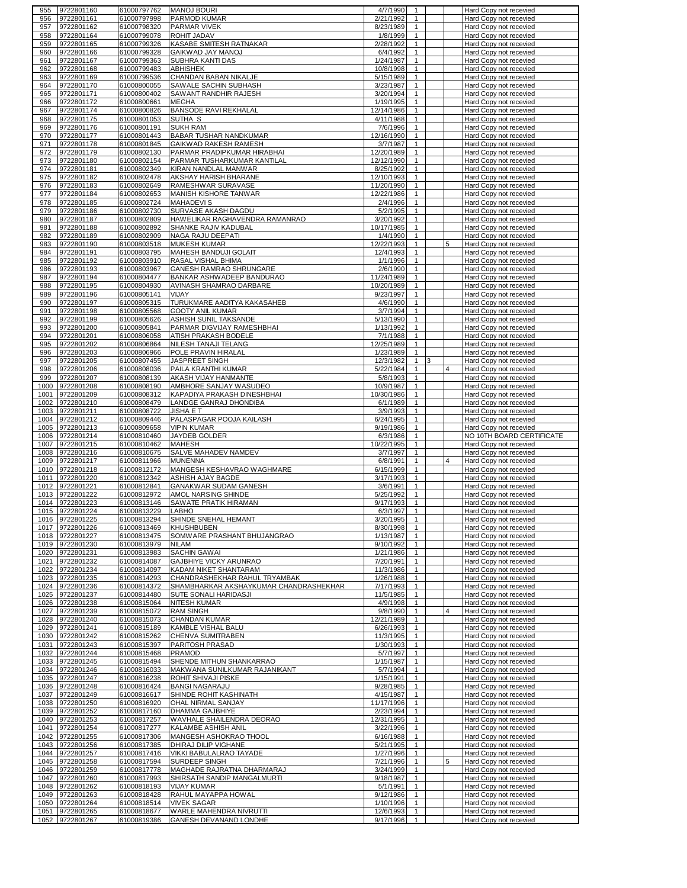| 955        | 9722801160                         | 61000797762                | <b>MANOJ BOURI</b>                                   | 4/7/1990               | $\mathbf{1}$                 |   | Hard Copy not recevied                           |
|------------|------------------------------------|----------------------------|------------------------------------------------------|------------------------|------------------------------|---|--------------------------------------------------|
| 956        | 9722801161                         | 61000797998                | PARMOD KUMAR                                         | 2/21/1992              | $\mathbf{1}$                 |   | Hard Copy not recevied                           |
| 957        | 9722801162                         | 61000798320                | <b>PARMAR VIVEK</b>                                  | 8/23/1989              | $\mathbf{1}$                 |   | Hard Copy not recevied                           |
| 958        | 9722801164                         | 61000799078                | ROHIT JADAV                                          | 1/8/1999               | $\mathbf{1}$                 |   | Hard Copy not recevied                           |
| 959        | 9722801165                         | 61000799326                | KASABE SMITESH RATNAKAR                              | 2/28/1992              | $\mathbf{1}$                 |   | Hard Copy not recevied                           |
| 960        | 9722801166                         | 61000799328                | GAIKWAD JAY MANOJ                                    | 6/4/1992               | $\mathbf{1}$                 |   | Hard Copy not recevied                           |
| 961        | 9722801167                         | 61000799363                | SUBHRA KANTI DAS                                     | 1/24/1987              | $\mathbf{1}$<br>$\mathbf{1}$ |   | Hard Copy not recevied                           |
| 962<br>963 | 9722801168                         | 61000799483                | <b>ABHISHEK</b><br>CHANDAN BABAN NIKALJE             | 10/8/1998<br>5/15/1989 | $\mathbf{1}$                 |   | Hard Copy not recevied                           |
| 964        | 9722801169<br>9722801170           | 61000799536<br>61000800055 | SAWALE SACHIN SUBHASH                                | 3/23/1987              | $\mathbf{1}$                 |   | Hard Copy not recevied<br>Hard Copy not recevied |
| 965        | 9722801171                         | 61000800402                | SAWANT RANDHIR RAJESH                                | 3/20/1994              | $\mathbf{1}$                 |   | Hard Copy not recevied                           |
| 966        | 9722801172                         | 61000800661                | <b>MEGHA</b>                                         | 1/19/1995              | $\mathbf{1}$                 |   | Hard Copy not recevied                           |
| 967        | 9722801174                         | 61000800826                | <b>BANSODE RAVI REKHALAL</b>                         | 12/14/1986             | $\mathbf{1}$                 |   | Hard Copy not recevied                           |
| 968        | 9722801175                         | 61000801053                | SUTHA S                                              | 4/11/1988              | $\mathbf{1}$                 |   | Hard Copy not recevied                           |
| 969        | 9722801176                         | 61000801191                | <b>SUKH RAM</b>                                      | 7/6/1996               | $\mathbf{1}$                 |   | Hard Copy not recevied                           |
| 970        | 9722801177                         | 61000801443                | BABAR TUSHAR NANDKUMAR                               | 12/16/1990             | $\mathbf{1}$                 |   | Hard Copy not recevied                           |
| 971        | 9722801178                         | 61000801845                | GAIKWAD RAKESH RAMESH                                | 3/7/1987               | $\mathbf{1}$                 |   | Hard Copy not recevied                           |
| 972        | 9722801179                         | 61000802130                | PARMAR PRADIPKUMAR HIRABHAI                          | 12/20/1989             | $\mathbf{1}$                 |   | Hard Copy not recevied                           |
| 973        | 9722801180                         | 61000802154                | PARMAR TUSHARKUMAR KANTILAL                          | 12/12/1990             | $\mathbf{1}$                 |   | Hard Copy not recevied                           |
| 974        | 9722801181                         | 61000802349                | KIRAN NANDLAL MANWAR                                 | 8/25/1992              | $\mathbf{1}$                 |   | Hard Copy not recevied                           |
| 975        | 9722801182                         | 61000802478                | AKSHAY HARISH BHARANE                                | 12/10/1993             | $\mathbf{1}$                 |   | Hard Copy not recevied                           |
| 976        | 9722801183                         | 61000802649                | RAMESHWAR SURAVASE                                   | 11/20/1990             | $\mathbf{1}$                 |   | Hard Copy not recevied                           |
| 977        | 9722801184                         | 61000802653                | MANISH KISHORE TANWAR                                | 12/22/1986             | $\mathbf{1}$                 |   | Hard Copy not recevied                           |
| 978        | 9722801185                         | 61000802724                | <b>MAHADEVIS</b>                                     | 2/4/1996               | $\mathbf{1}$                 |   | Hard Copy not recevied                           |
| 979        | 9722801186                         | 61000802730                | SURVASE AKASH DAGDU                                  | 5/2/1995               | $\mathbf{1}$                 |   | Hard Copy not recevied                           |
| 980        | 9722801187                         | 61000802809                | HAWELIKAR RAGHAVENDRA RAMANRAO                       | 3/20/1992              | $\mathbf{1}$                 |   | Hard Copy not recevied                           |
| 981<br>982 | 9722801188<br>9722801189           | 61000802892<br>61000802909 | SHANKE RAJIV KADUBAL<br>NAGA RAJU DEEPATI            | 10/17/1985<br>1/4/1990 | $\mathbf{1}$<br>$\mathbf{1}$ |   | Hard Copy not recevied<br>Hard Copy not recevied |
| 983        | 9722801190                         | 61000803518                | MUKESH KUMAR                                         | 12/22/1993             | $\mathbf{1}$                 |   | Hard Copy not recevied                           |
| 984        | 9722801191                         | 61000803795                | MAHESH BANDUJI GOLAIT                                | 12/4/1993              | $\mathbf{1}$                 |   | Hard Copy not recevied                           |
| 985        | 9722801192                         | 61000803910                | RASAL VISHAL BHIMA                                   | 1/1/1996               | $\mathbf{1}$                 |   | Hard Copy not recevied                           |
| 986        | 9722801193                         | 61000803967                | GANESH RAMRAO SHRUNGARE                              | 2/6/1990               | $\mathbf{1}$                 |   | Hard Copy not recevied                           |
| 987        | 9722801194                         | 61000804477                | BANKAR ASHWADEEP BANDURAO                            | 11/24/1989             | $\mathbf{1}$                 |   | Hard Copy not recevied                           |
| 988        | 9722801195                         | 61000804930                | AVINASH SHAMRAO DARBARE                              | 10/20/1989             | $\mathbf{1}$                 |   | Hard Copy not recevied                           |
| 989        | 9722801196                         | 61000805141                | VIJAY                                                | 9/23/1997              | $\mathbf{1}$                 |   | Hard Copy not recevied                           |
| 990        | 9722801197                         | 61000805315                | TURUKMARE AADITYA KAKASAHEB                          | 4/6/1990               | $\mathbf{1}$                 |   | Hard Copy not recevied                           |
| 991        | 9722801198                         | 61000805568                | <b>GOOTY ANIL KUMAR</b>                              | 3/7/1994               | $\mathbf{1}$                 |   | Hard Copy not recevied                           |
| 992        | 9722801199                         | 61000805626                | ASHISH SUNIL TAKSANDE                                | 5/13/1990              | $\mathbf{1}$                 |   | Hard Copy not recevied                           |
| 993        | 9722801200                         | 61000805841                | PARMAR DIGVIJAY RAMESHBHAI                           | 1/13/1992              | $\mathbf{1}$                 |   | Hard Copy not recevied                           |
| 994        | 9722801201                         | 61000806058                | ATISH PRAKASH BODELE                                 | 7/1/1988               | $\mathbf{1}$                 |   | Hard Copy not recevied                           |
| 995        | 9722801202                         | 61000806864                | NILESH TANAJI TELANG                                 | 12/25/1989             | $\mathbf{1}$                 |   | Hard Copy not recevied                           |
| 996        | 9722801203                         | 61000806966                | POLE PRAVIN HIRALAL                                  | 1/23/1989              | $\mathbf{1}$                 |   | Hard Copy not recevied                           |
| 997        | 9722801205                         | 61000807455                | JASPREET SINGH                                       | 12/3/1982              | $\mathbf{1}$<br>3            |   | Hard Copy not recevied                           |
| 998<br>999 | 9722801206<br>9722801207           | 61000808036<br>61000808139 | PAILA KRANTHI KUMAR<br>AKASH VIJAY HANMANTE          | 5/22/1984<br>5/8/1993  | $\mathbf{1}$<br>$\mathbf{1}$ | 4 | Hard Copy not recevied<br>Hard Copy not recevied |
|            | 1000 9722801208                    | 61000808190                | AMBHORE SANJAY WASUDEO                               | 10/9/1987              | $\mathbf{1}$                 |   | Hard Copy not recevied                           |
| 1001       | 9722801209                         | 61000808312                | KAPADIYA PRAKASH DINESHBHAI                          | 10/30/1986             | $\mathbf{1}$                 |   | Hard Copy not recevied                           |
| 1002       | 9722801210                         | 61000808479                | LANDGE GANRAJ DHONDIBA                               | 6/1/1989               | $\mathbf{1}$                 |   | Hard Copy not recevied                           |
| 1003       | 9722801211                         | 61000808722                | JISHA E T                                            | 3/9/1993               | $\mathbf{1}$                 |   | Hard Copy not recevied                           |
|            |                                    |                            |                                                      |                        |                              |   |                                                  |
|            |                                    |                            |                                                      |                        | $\mathbf{1}$                 |   |                                                  |
|            | 1004 9722801212<br>1005 9722801213 | 61000809446<br>61000809658 | PALASPAGAR POOJA KAILASH<br><b>VIPIN KUMAR</b>       | 6/24/1995<br>9/19/1986 | $\mathbf{1}$                 |   | Hard Copy not recevied<br>Hard Copy not recevied |
|            | 1006 9722801214                    | 61000810460                | JAYDEB GOLDER                                        | 6/3/1986               | $\mathbf{1}$                 |   | NO 10TH BOARD CERTIFICATE                        |
| 1007       | 9722801215                         | 61000810462                | <b>MAHESH</b>                                        | 10/22/1995             | $\mathbf{1}$                 |   | Hard Copy not recevied                           |
|            | 1008 9722801216                    | 61000810675                | SALVE MAHADEV NAMDEV                                 | 3/7/1997               | $\mathbf{1}$                 |   | Hard Copy not recevied                           |
|            | 1009 9722801217                    | 61000811966                | <b>MUNENNA</b>                                       | 6/8/1991               | $\mathbf{1}$                 |   | Hard Copy not recevied                           |
|            | 1010 9722801218                    | 61000812172                | MANGESH KESHAVRAO WAGHMARE                           | 6/15/1999              | $\mathbf{1}$                 |   | <b>Hard Copy not recevied</b>                    |
| 1011       | 9722801220                         | 61000812342                | ASHISH AJAY BAGDE                                    | 3/17/1993              | $\mathbf{1}$                 |   | Hard Copy not recevied                           |
| 1012       | 9722801221                         | 61000812841                | <b>GANAKWAR SUDAM GANESH</b>                         | 3/6/1991               | $\mathbf{1}$                 |   | Hard Copy not recevied                           |
|            | 1013 9722801222                    | 61000812972                | AMOL NARSING SHINDE                                  | 5/25/1992              | $\mathbf{1}$                 |   | Hard Copy not recevied                           |
|            | 1014 9722801223                    | 61000813146                | SAWATE PRATIK HIRAMAN                                | 9/17/1993              | $\mathbf{1}$                 |   | <b>Hard Copy not recevied</b>                    |
|            | 1015 9722801224                    | 61000813229                | LABHO                                                | 6/3/1997               | $\overline{1}$               |   | Hard Copy not recevied                           |
|            | 1016 9722801225                    | 61000813294                | SHINDE SNEHAL HEMANT<br><b>KHUSHBUBEN</b>            | 3/20/1995              | $\mathbf{1}$                 |   | Hard Copy not recevied                           |
|            | 1017 9722801226                    | 61000813469<br>61000813475 | SOMWARE PRASHANT BHUJANGRAO                          | 8/30/1998<br>1/13/1987 | $\mathbf{1}$<br>$\mathbf{1}$ |   | Hard Copy not recevied<br>Hard Copy not recevied |
|            | 1018 9722801227<br>1019 9722801230 | 61000813979                | <b>NILAM</b>                                         | 9/10/1992              | $\mathbf{1}$                 |   | Hard Copy not recevied                           |
|            | 1020 9722801231                    | 61000813983                | <b>SACHIN GAWAI</b>                                  | 1/21/1986              | $\mathbf{1}$                 |   | Hard Copy not recevied                           |
|            | 1021 9722801232                    | 61000814087                | GAJBHIYE VICKY ARUNRAO                               | 7/20/1991              | $\mathbf{1}$                 |   | Hard Copy not recevied                           |
|            | 1022 9722801234                    | 61000814097                | KADAM NIKET SHANTARAM                                | 11/3/1986              | $\mathbf{1}$                 |   | Hard Copy not recevied                           |
|            | 1023 9722801235                    | 61000814293                | CHANDRASHEKHAR RAHUL TRYAMBAK                        | 1/26/1988              | $\mathbf{1}$                 |   | Hard Copy not recevied                           |
|            | 1024 9722801236                    | 61000814372                | SHAMBHARKAR AKSHAYKUMAR CHANDRASHEKHAR               | 7/17/1993              | $\mathbf{1}$                 |   | Hard Copy not recevied                           |
|            | 1025 9722801237                    | 61000814480                | SUTE SONALI HARIDASJI                                | 11/5/1985              | $\mathbf{1}$                 |   | Hard Copy not recevied                           |
|            | 1026 9722801238                    | 61000815064                | <b>NITESH KUMAR</b>                                  | 4/9/1998               | $\mathbf{1}$                 |   | Hard Copy not recevied                           |
|            | 1027 9722801239                    | 61000815072                | <b>RAM SINGH</b>                                     | 9/8/1990               | $\mathbf{1}$                 | 4 | Hard Copy not recevied                           |
|            | 1028 9722801240                    | 61000815073                | <b>CHANDAN KUMAR</b>                                 | 12/21/1989             | $\mathbf{1}$                 |   | Hard Copy not recevied                           |
|            | 1029 9722801241                    | 61000815189                | KAMBLE VISHAL BALU                                   | 6/26/1993              | $\mathbf{1}$                 |   | Hard Copy not recevied                           |
|            | 1030 9722801242                    | 61000815262                | CHENVA SUMITRABEN                                    | 11/3/1995              | $\mathbf{1}$                 |   | Hard Copy not recevied                           |
|            | 1031 9722801243                    | 61000815397                | PARITOSH PRASAD                                      | 1/30/1993              | $\mathbf{1}$                 |   | Hard Copy not recevied                           |
|            | 1032 9722801244                    | 61000815468                | PRAMOD                                               | 5/7/1997               | $\mathbf{1}$                 |   | Hard Copy not recevied                           |
|            | 1033 9722801245                    | 61000815494                | SHENDE MITHUN SHANKARRAO                             | 1/15/1987              | $\mathbf{1}$<br>$\mathbf{1}$ |   | Hard Copy not recevied                           |
|            | 1034 9722801246<br>1035 9722801247 | 61000816033<br>61000816238 | MAKWANA SUNILKUMAR RAJANIKANT<br>ROHIT SHIVAJI PISKE | 5/7/1994<br>1/15/1991  | $\mathbf{1}$                 |   | Hard Copy not recevied                           |
|            | 1036 9722801248                    | 61000816424                | <b>BANGI NAGARAJU</b>                                | 9/28/1985              | $\mathbf{1}$                 |   | Hard Copy not recevied<br>Hard Copy not recevied |
| 1037       | 9722801249                         | 61000816617                | SHINDE ROHIT KASHINATH                               | 4/15/1987              | $\mathbf{1}$                 |   | Hard Copy not recevied                           |
|            | 1038 9722801250                    | 61000816920                | OHAL NIRMAL SANJAY                                   | 11/17/1996             | $\mathbf{1}$                 |   | Hard Copy not recevied                           |
|            | 1039 9722801252                    | 61000817160                | DHAMMA GAJBHIYE                                      | 2/23/1994              | $\mathbf{1}$                 |   | Hard Copy not recevied                           |
|            | 1040 9722801253                    | 61000817257                | WAVHALE SHAILENDRA DEORAO                            | 12/31/1995             | $\mathbf{1}$                 |   | Hard Copy not recevied                           |
| 1041       | 9722801254                         | 61000817277                | KALAMBE ASHISH ANIL                                  | 3/22/1996              | $\mathbf{1}$                 |   | Hard Copy not recevied                           |
|            | 1042 9722801255                    | 61000817306                | MANGESH ASHOKRAO THOOL                               | 6/16/1988              | $\mathbf{1}$                 |   | Hard Copy not recevied                           |
|            | 1043 9722801256                    | 61000817385                | DHIRAJ DILIP VIGHANE                                 | 5/21/1995              | $\mathbf{1}$                 |   | Hard Copy not recevied                           |
|            | 1044 9722801257                    | 61000817416                | VIKKI BABULALRAO TAYADE                              | 1/27/1996              | $\mathbf{1}$                 |   | Hard Copy not recevied                           |
|            | 1045 9722801258                    | 61000817594                | SURDEEP SINGH                                        | 7/21/1996              | $\mathbf{1}$                 | 5 | Hard Copy not recevied                           |
|            | 1046 9722801259                    | 61000817778                | MAGHADE RAJRATNA DHARMARAJ                           | 3/24/1999              | $\mathbf{1}$                 |   | Hard Copy not recevied                           |
|            | 1047 9722801260                    | 61000817993                | SHIRSATH SANDIP MANGALMURTI                          | 9/18/1987              | $\mathbf{1}$                 |   | Hard Copy not recevied                           |
|            | 1048 9722801262                    | 61000818193                | <b>VIJAY KUMAR</b>                                   | 5/1/1991               | 1                            |   | Hard Copy not recevied                           |
|            | 1049 9722801263                    | 61000818428                | RAHUL MAYAPPA HOWAL                                  | 9/12/1986              | $\mathbf{1}$                 |   | Hard Copy not recevied                           |
|            | 1050 9722801264                    | 61000818514                | <b>VIVEK SAGAR</b>                                   | 1/10/1996              | $\mathbf{1}$                 |   | Hard Copy not recevied                           |
|            | 1051 9722801265<br>1052 9722801267 | 61000818677<br>61000819386 | WARLE MAHENDRA NIVRUTTI<br>GANESH DEVANAND LONDHE    | 12/6/1993<br>9/17/1996 | $\mathbf{1}$<br>$\mathbf{1}$ |   | Hard Copy not recevied<br>Hard Copy not recevied |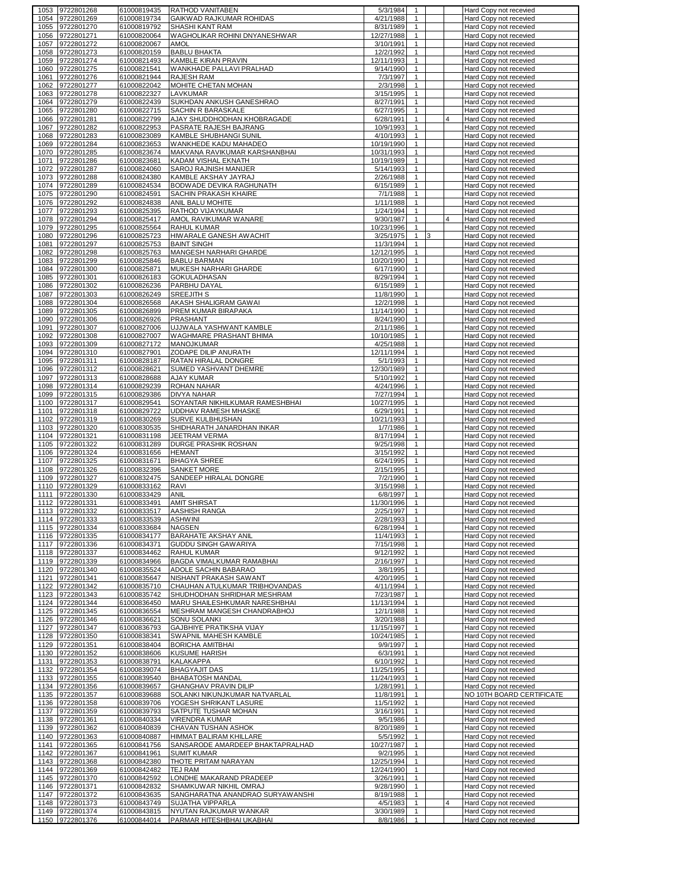| 1053         | 9722801268                         | 61000819435                | <b>RATHOD VANITABEN</b>                              | 5/3/1984                 | $\mathbf{1}$                 |   |   | Hard Copy not recevied                                  |
|--------------|------------------------------------|----------------------------|------------------------------------------------------|--------------------------|------------------------------|---|---|---------------------------------------------------------|
| 1054         | 9722801269                         | 61000819734                | GAIKWAD RAJKUMAR ROHIDAS                             | 4/21/1988                | $\mathbf{1}$                 |   |   | Hard Copy not recevied                                  |
| 1055         | 9722801270                         | 61000819792                | SHASHI KANT RAM                                      | 8/31/1989                | 1                            |   |   | Hard Copy not recevied                                  |
| 1056         | 9722801271                         | 61000820064                | WAGHOLIKAR ROHINI DNYANESHWAR                        | 12/27/1988               | $\mathbf{1}$                 |   |   | Hard Copy not recevied                                  |
| 1057         | 9722801272                         | 61000820067                | AMOL                                                 | 3/10/1991                | $\mathbf{1}$                 |   |   | Hard Copy not recevied                                  |
| 1058         | 9722801273                         | 61000820159                | <b>BABLU BHAKTA</b>                                  | 12/2/1992                | $\mathbf{1}$                 |   |   | Hard Copy not recevied                                  |
| 1059         | 9722801274                         | 61000821493                | <b>KAMBLE KIRAN PRAVIN</b>                           | 12/11/1993               | $\mathbf{1}$                 |   |   | Hard Copy not recevied                                  |
| 1060         | 9722801275                         | 61000821541                | WANKHADE PALLAVI PRALHAD                             | 9/14/1990                | $\mathbf{1}$                 |   |   | Hard Copy not recevied                                  |
| 1061         | 9722801276                         | 61000821944                | <b>RAJESH RAM</b>                                    | 7/3/1997                 | $\mathbf{1}$                 |   |   | Hard Copy not recevied                                  |
| 1062         | 9722801277                         | 61000822042                | MOHITE CHETAN MOHAN                                  | 2/3/1998                 | $\mathbf{1}$                 |   |   | Hard Copy not recevied                                  |
| 1063         | 9722801278                         | 61000822327                | LAVKUMAR                                             | 3/15/1995                | $\mathbf{1}$                 |   |   | Hard Copy not recevied                                  |
| 1064         | 9722801279                         | 61000822439                | SUKHDAN ANKUSH GANESHRAO                             | 8/27/1991                | $\mathbf{1}$                 |   |   | Hard Copy not recevied                                  |
| 1065         | 9722801280                         | 61000822715                | SACHIN R BARASKALE                                   | 6/27/1995                | $\mathbf{1}$                 |   |   | Hard Copy not recevied                                  |
| 1066         | 9722801281                         | 61000822799                | AJAY SHUDDHODHAN KHOBRAGADE                          | 6/28/1991                | $\mathbf{1}$                 |   |   | Hard Copy not recevied                                  |
| 1067         | 9722801282                         | 61000822953                | PASRATE RAJESH BAJRANG                               | 10/9/1993                | $\mathbf{1}$                 |   |   | Hard Copy not recevied                                  |
| 1068         | 9722801283<br>9722801284           | 61000823089                | KAMBLE SHUBHANGI SUNIL                               | 4/10/1993                | $\mathbf{1}$<br>$\mathbf{1}$ |   |   | Hard Copy not recevied                                  |
| 1069<br>1070 |                                    | 61000823653<br>61000823674 | WANKHEDE KADU MAHADEO                                | 10/19/1990<br>10/31/1993 | $\mathbf{1}$                 |   |   | Hard Copy not recevied                                  |
| 1071         | 9722801285<br>9722801286           | 61000823681                | MAKVANA RAVIKUMAR KARSHANBHAI<br>KADAM VISHAL EKNATH | 10/19/1989               | $\mathbf{1}$                 |   |   | Hard Copy not recevied                                  |
| 1072         | 9722801287                         | 61000824060                | SAROJ RAJNISH MANIJER                                | 5/14/1993                | $\mathbf{1}$                 |   |   | <b>Hard Copy not recevied</b><br>Hard Copy not recevied |
| 1073         | 9722801288                         | 61000824380                | KAMBLE AKSHAY JAYRAJ                                 | 2/26/1988                | $\mathbf{1}$                 |   |   | Hard Copy not recevied                                  |
| 1074         | 9722801289                         | 61000824534                | BODWADE DEVIKA RAGHUNATH                             | 6/15/1989                | $\mathbf{1}$                 |   |   | Hard Copy not recevied                                  |
| 1075         | 9722801290                         | 61000824591                | SACHIN PRAKASH KHAIRE                                | 7/1/1988                 | $\mathbf{1}$                 |   |   | Hard Copy not recevied                                  |
| 1076         | 9722801292                         | 61000824838                | ANIL BALU MOHITE                                     | 1/11/1988                | $\mathbf{1}$                 |   |   | Hard Copy not recevied                                  |
| 1077         | 9722801293                         | 61000825395                | RATHOD VIJAYKUMAR                                    | 1/24/1994                | $\mathbf{1}$                 |   |   | Hard Copy not recevied                                  |
| 1078         | 9722801294                         | 61000825417                | AMOL RAVIKUMAR WANARE                                | 9/30/1987                | $\mathbf{1}$                 |   | 4 | Hard Copy not recevied                                  |
| 1079         | 9722801295                         | 61000825564                | RAHUL KUMAR                                          | 10/23/1996               | $\mathbf{1}$                 |   |   | Hard Copy not recevied                                  |
| 1080         | 9722801296                         | 61000825723                | HIWARALE GANESH AWACHIT                              | 3/25/1975                | $\mathbf{1}$                 | 3 |   | Hard Copy not recevied                                  |
| 1081         | 9722801297                         | 61000825753                | <b>BAINT SINGH</b>                                   | 11/3/1994                | $\mathbf{1}$                 |   |   | Hard Copy not recevied                                  |
| 1082         | 9722801298                         | 61000825763                | MANGESH NARHARI GHARDE                               | 12/12/1995               | $\mathbf{1}$                 |   |   | Hard Copy not recevied                                  |
| 1083         | 9722801299                         | 61000825846                | <b>BABLU BARMAN</b>                                  | 10/20/1990               | $\mathbf{1}$                 |   |   | Hard Copy not recevied                                  |
| 1084         | 9722801300                         | 61000825871                | MUKESH NARHARI GHARDE                                | 6/17/1990                | $\mathbf{1}$                 |   |   | Hard Copy not recevied                                  |
| 1085         | 9722801301                         | 61000826183                | <b>GOKULADHASAN</b>                                  | 8/29/1994                | $\mathbf{1}$                 |   |   | Hard Copy not recevied                                  |
| 1086         | 9722801302                         | 61000826236                | PARBHU DAYAL                                         | 6/15/1989                | $\mathbf{1}$                 |   |   | Hard Copy not recevied                                  |
| 1087         | 9722801303                         | 61000826249                | <b>SREEJITH S</b>                                    | 11/8/1990                | $\mathbf{1}$                 |   |   | Hard Copy not recevied                                  |
|              | 1088 9722801304                    | 61000826568                | AKASH SHALIGRAM GAWAI                                | 12/2/1998                | $\mathbf{1}$                 |   |   | Hard Copy not recevied                                  |
| 1089         | 9722801305                         | 61000826899                | PREM KUMAR BIRAPAKA                                  | 11/14/1990               | $\mathbf{1}$                 |   |   | Hard Copy not recevied                                  |
| 1090         | 9722801306                         | 61000826926                | PRASHANT                                             | 8/24/1990                | $\mathbf{1}$                 |   |   | Hard Copy not recevied                                  |
| 1091         | 9722801307                         | 61000827006                | UJJWALA YASHWANT KAMBLE                              | 2/11/1986                | $\mathbf{1}$                 |   |   | Hard Copy not recevied                                  |
| 1092         | 9722801308                         | 61000827007                | WAGHMARE PRASHANT BHIMA                              | 10/10/1985               | $\mathbf{1}$                 |   |   | Hard Copy not recevied                                  |
| 1093         | 9722801309                         | 61000827172                | <b>MANOJKUMAR</b>                                    | 4/25/1988                | $\mathbf{1}$                 |   |   | Hard Copy not recevied                                  |
| 1094         | 9722801310                         | 61000827901                | ZODAPE DILIP ANURATH                                 | 12/11/1994               | $\mathbf{1}$                 |   |   | Hard Copy not recevied                                  |
| 1095         | 9722801311                         | 61000828187                | RATAN HIRALAL DONGRE                                 | 5/1/1993                 | $\mathbf{1}$                 |   |   | Hard Copy not recevied                                  |
| 1096         | 9722801312                         | 61000828621                | SUMED YASHVANT DHEMRE                                | 12/30/1989               | $\mathbf{1}$                 |   |   | Hard Copy not recevied                                  |
| 1097         | 9722801313                         | 61000828688                | AJAY KUMAR                                           | 5/10/1992                | $\mathbf{1}$                 |   |   | Hard Copy not recevied                                  |
| 1098         | 9722801314                         | 61000829239                | ROHAN NAHAR                                          | 4/24/1996                | $\mathbf{1}$                 |   |   | Hard Copy not recevied                                  |
| 1099         | 9722801315                         | 61000829386                | <b>DIVYA NAHAR</b>                                   | 7/27/1994                | $\mathbf{1}$                 |   |   | Hard Copy not recevied                                  |
| 1100         | 9722801317                         | 61000829541                | SOYANTAR NIKHILKUMAR RAMESHBHAI                      | 10/27/1995               | $\mathbf{1}$                 |   |   | Hard Copy not recevied                                  |
| 1101         | 9722801318                         | 61000829722                | <b>UDDHAV RAMESH MHASKE</b>                          | 6/29/1991                | $\mathbf{1}$                 |   |   | Hard Copy not recevied                                  |
| 1102         | 9722801319                         | 61000830269                | SURVE KULBHUSHAN                                     | 10/21/1993               | $\mathbf{1}$                 |   |   | Hard Copy not recevied                                  |
| 1103         | 9722801320                         | 61000830535                | SHIDHARATH JANARDHAN INKAR                           | 1/7/1986                 | $\mathbf{1}$                 |   |   | Hard Copy not recevied                                  |
| 1104         | 9722801321                         | 61000831198                | JEETRAM VERMA                                        | 8/17/1994                | $\mathbf{1}$                 |   |   | Hard Copy not recevied                                  |
| 1105         | 9722801322                         | 61000831289                | DURGE PRASHIK ROSHAN                                 | 9/25/1998                | $\mathbf{1}$                 |   |   | Hard Copy not recevied                                  |
| 1106         | 9722801324                         | 61000831656                | <b>HEMANT</b>                                        | 3/15/1992                | $\mathbf{1}$                 |   |   | Hard Copy not recevied                                  |
| 1107         | 9722801325                         | 61000831671                | <b>BHAGYA SHREE</b>                                  | 6/24/1995                | 1                            |   |   | Hard Copy not recevied                                  |
| 1108         | 9722801326                         | 61000832396                | <b>SANKET MORE</b>                                   | 2/15/1995                | $\mathbf{1}$                 |   |   | Hard Copy not recevied                                  |
| 1109         | 9722801327                         | 61000832475                | SANDEEP HIRALAL DONGRE                               | 7/2/1990                 | $\mathbf{1}$                 |   |   | Hard Copy not recevied                                  |
| 1110         | 9722801329                         | 61000833162                | RAVI                                                 | 3/15/1998                | $\mathbf{1}$                 |   |   | Hard Copy not recevied                                  |
| 1111         | 9722801330                         | 61000833429                | ANIL                                                 | 6/8/1997                 | $\mathbf{1}$                 |   |   | Hard Copy not recevied                                  |
|              | 1112 9722801331                    | 61000833491                | <b>AMIT SHIRSAT</b>                                  | 11/30/1996               | $\mathbf{1}$                 |   |   | Hard Copy not recevied                                  |
|              | 1113 19722801332                   | 61000833517                | AASHISH RANGA                                        | 2/25/1997                |                              |   |   | Hard Copy not recevied                                  |
|              | 1114 9722801333                    | 61000833539                | <b>ASHWINI</b>                                       | 2/28/1993                | $\overline{1}$               |   |   | Hard Copy not recevied                                  |
|              | 1115 9722801334                    | 61000833684                | NAGSEN                                               | 6/28/1994                | $\mathbf{1}$                 |   |   | Hard Copy not recevied                                  |
|              | 1116 9722801335                    | 61000834177                | <b>BARAHATE AKSHAY ANIL</b>                          | 11/4/1993                | $\mathbf{1}$                 |   |   | Hard Copy not recevied                                  |
|              | 1117 9722801336                    | 61000834371                | GUDDU SINGH GAWARIYA                                 | 7/15/1998                | $\mathbf{1}$                 |   |   | Hard Copy not recevied                                  |
|              | 1118 9722801337                    | 61000834462                | RAHUL KUMAR                                          | 9/12/1992                | $\mathbf{1}$                 |   |   | Hard Copy not recevied                                  |
|              | 1119 9722801339<br>1120 9722801340 | 61000834966<br>61000835524 | BAGDA VIMALKUMAR RAMABHAI<br>ADOLE SACHIN BABARAO    | 2/16/1997<br>3/8/1995    | $\mathbf{1}$<br>$\mathbf{1}$ |   |   | Hard Copy not recevied<br>Hard Copy not recevied        |
|              | 1121 9722801341                    | 61000835647                | NISHANT PRAKASH SAWANT                               | 4/20/1995                | $\mathbf{1}$                 |   |   | Hard Copy not recevied                                  |
|              | 1122 9722801342                    | 61000835710                | CHAUHAN ATULKUMAR TRIBHOVANDAS                       | 4/11/1994                | $\mathbf{1}$                 |   |   | Hard Copy not recevied                                  |
|              | 1123 9722801343                    | 61000835742                | SHUDHODHAN SHRIDHAR MESHRAM                          | 7/23/1987                | $\mathbf{1}$                 |   |   | Hard Copy not recevied                                  |
|              | 1124 9722801344                    | 61000836450                | MARU SHAILESHKUMAR NARESHBHAI                        | 11/13/1994               | $\mathbf{1}$                 |   |   | Hard Copy not recevied                                  |
|              | 1125 9722801345                    | 61000836554                | MESHRAM MANGESH CHANDRABHOJ                          | 12/1/1988                | $\mathbf{1}$                 |   |   | Hard Copy not recevied                                  |
|              | 1126 9722801346                    | 61000836621                | SONU SOLANKI                                         | 3/20/1988                | $\mathbf{1}$                 |   |   | Hard Copy not recevied                                  |
|              | 1127 9722801347                    | 61000836793                | GAJBHIYE PRATIKSHA VIJAY                             | 11/15/1997               | $\mathbf{1}$                 |   |   | Hard Copy not recevied                                  |
|              | 1128 9722801350                    | 61000838341                | SWAPNIL MAHESH KAMBLE                                | 10/24/1985               | $\mathbf{1}$                 |   |   | Hard Copy not recevied                                  |
|              | 1129 9722801351                    | 61000838404                | <b>BORICHA AMITBHAI</b>                              | 9/9/1997                 | $\mathbf{1}$                 |   |   | Hard Copy not recevied                                  |
|              | 1130 9722801352                    | 61000838606                | <b>KUSUME HARISH</b>                                 | 6/3/1991                 | $\mathbf{1}$                 |   |   | Hard Copy not recevied                                  |
|              | 1131 9722801353                    | 61000838791                | <b>KALAKAPPA</b>                                     | 6/10/1992                | $\mathbf{1}$                 |   |   | Hard Copy not recevied                                  |
|              |                                    | 61000839074                | <b>BHAGYAJIT DAS</b>                                 | 11/25/1995               | $\mathbf{1}$                 |   |   | Hard Copy not recevied                                  |
|              | 1132 9722801354                    |                            |                                                      |                          |                              |   |   |                                                         |
|              | 1133 9722801355                    | 61000839540                | <b>BHABATOSH MANDAL</b>                              | 11/24/1993               | $\mathbf{1}$                 |   |   | Hard Copy not recevied                                  |
|              | 1134 9722801356                    | 61000839657                | GHANGHAV PRAVIN DILIP                                | 1/28/1991                | $\mathbf{1}$                 |   |   | Hard Copy not recevied                                  |
|              | 1135 9722801357                    | 61000839688                | SOLANKI NIKUNJKUMAR NATVARLAL                        | 11/8/1991                | $\mathbf{1}$                 |   |   | NO 10TH BOARD CERTIFICATE                               |
|              | 1136 9722801358                    | 61000839706                | YOGESH SHRIKANT LASURE                               | 11/5/1992                | $\mathbf{1}$                 |   |   | Hard Copy not recevied                                  |
|              | 1137 9722801359                    | 61000839793                | SATPUTE TUSHAR MOHAN                                 | 3/16/1991                | $\mathbf{1}$                 |   |   | Hard Copy not recevied                                  |
|              | 1138 9722801361                    | 61000840334                | <b>VIRENDRA KUMAR</b>                                | 9/5/1986                 | $\mathbf{1}$                 |   |   | Hard Copy not recevied                                  |
|              | 1139 9722801362                    | 61000840839                | CHAVAN TUSHAN ASHOK                                  | 8/20/1989                | $\mathbf{1}$                 |   |   | Hard Copy not recevied                                  |
|              | 1140 9722801363                    | 61000840887                | HIMMAT BALIRAM KHILLARE                              | 5/5/1992                 | $\mathbf{1}$                 |   |   | Hard Copy not recevied                                  |
|              | 1141 9722801365                    | 61000841756                | SANSARODE AMARDEEP BHAKTAPRALHAD                     | 10/27/1987               | $\mathbf{1}$                 |   |   | Hard Copy not recevied                                  |
|              | 1142 9722801367                    | 61000841961                | <b>SUMIT KUMAR</b>                                   | 9/2/1995                 | $\mathbf{1}$                 |   |   | Hard Copy not recevied                                  |
|              | 1143 9722801368                    | 61000842380                | THOTE PRITAM NARAYAN                                 | 12/25/1994               | $\mathbf{1}$                 |   |   | Hard Copy not recevied                                  |
|              | 1144 9722801369                    | 61000842482                | TEJ RAM                                              | 12/24/1990               | $\mathbf{1}$                 |   |   | Hard Copy not recevied                                  |
|              | 1145 9722801370                    | 61000842592                | LONDHE MAKARAND PRADEEP                              | 3/26/1991                | $\mathbf{1}$                 |   |   | Hard Copy not recevied                                  |
|              | 1146 9722801371                    | 61000842832                | SHAMKUWAR NIKHIL OMRAJ                               | 9/28/1990                | $\mathbf{1}$                 |   |   | Hard Copy not recevied                                  |
|              | 1147 9722801372                    | 61000843635                | SANGHARATNA ANANDRAO SURYAWANSHI                     | 8/19/1988                | $\mathbf{1}$                 |   |   | Hard Copy not recevied                                  |
|              | 1148 9722801373                    | 61000843749                | SUJATHA VIPPARLA                                     | 4/5/1983                 | $\mathbf{1}$                 |   | 4 | Hard Copy not recevied                                  |
|              | 1149 9722801374<br>1150 9722801376 | 61000843815<br>61000844014 | NYUTAN RAJKUMAR WANKAR<br>PARMAR HITESHBHAI UKABHAI  | 3/30/1989<br>8/8/1986    | $\mathbf{1}$                 |   |   | Hard Copy not recevied<br>Hard Copy not recevied        |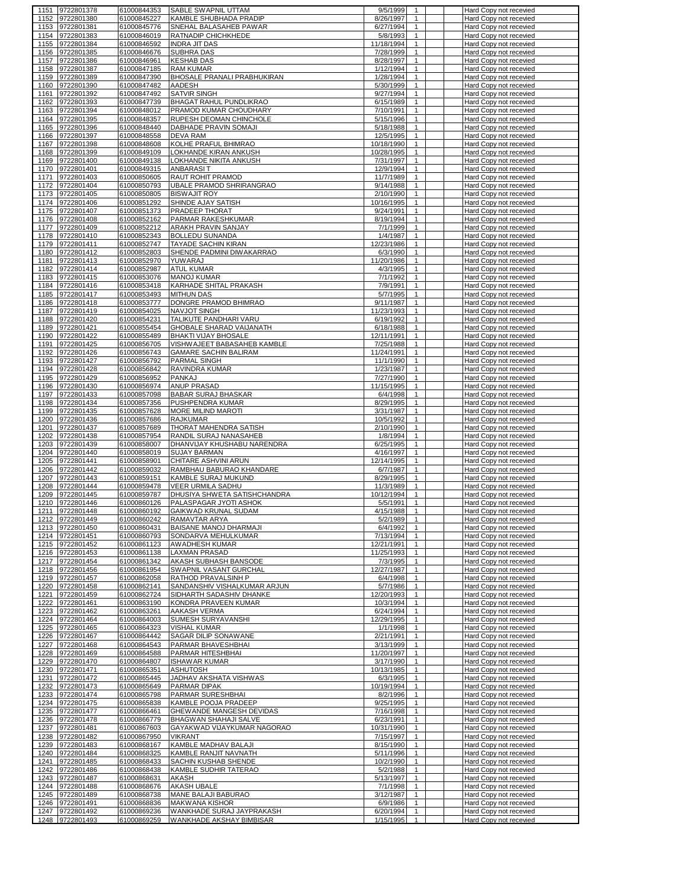| 1151 9722801378                       | 61000844353                | SABLE SWAPNIL UTTAM                                          | 9/5/1999<br>1                               | Hard Copy not recevied                           |
|---------------------------------------|----------------------------|--------------------------------------------------------------|---------------------------------------------|--------------------------------------------------|
| 9722801380<br>1152                    | 61000845227                | KAMBLE SHUBHADA PRADIP                                       | 8/26/1997<br>$\mathbf{1}$                   | Hard Copy not recevied                           |
| 9722801381<br>1153                    | 61000845776                | SNEHAL BALASAHEB PAWAR                                       | 6/27/1994<br>$\mathbf{1}$                   | Hard Copy not recevied                           |
| 9722801383<br>1154                    | 61000846019                | RATNADIP CHICHKHEDE                                          | 5/8/1993<br>$\mathbf{1}$                    | Hard Copy not recevied                           |
| 9722801384<br>1155                    | 61000846592                | <b>INDRA JIT DAS</b>                                         | $\mathbf{1}$<br>11/18/1994                  |                                                  |
|                                       |                            |                                                              |                                             | Hard Copy not recevied                           |
| 9722801385<br>1156                    | 61000846676                | <b>SUBHRA DAS</b>                                            | 7/28/1999<br>$\mathbf{1}$                   | Hard Copy not recevied                           |
| 1157<br>9722801386                    | 61000846961                | <b>KESHAB DAS</b>                                            | 8/28/1997<br>$\mathbf{1}$                   | Hard Copy not recevied                           |
| 9722801387<br>1158                    | 61000847185                | <b>RAM KUMAR</b>                                             | 1/12/1994<br>$\mathbf{1}$                   | Hard Copy not recevied                           |
| 1159<br>9722801389                    | 61000847390                | BHOSALE PRANALI PRABHUKIRAN                                  | 1/28/1994<br>1                              | Hard Copy not recevied                           |
| 1160<br>9722801390                    | 61000847482                | AADESH                                                       | 5/30/1999<br>$\mathbf{1}$                   | Hard Copy not recevied                           |
| 1161<br>9722801392                    | 61000847492                | SATVIR SINGH                                                 | 9/27/1994<br>$\mathbf{1}$                   | Hard Copy not recevied                           |
| 1162<br>9722801393                    | 61000847739                | BHAGAT RAHUL PUNDLIKRAO                                      | 6/15/1989<br>$\mathbf{1}$                   | Hard Copy not recevied                           |
|                                       |                            |                                                              |                                             |                                                  |
| 9722801394<br>1163                    | 61000848012                | PRAMOD KUMAR CHOUDHARY                                       | $\mathbf{1}$<br>7/10/1991                   | Hard Copy not recevied                           |
| 1164<br>9722801395                    | 61000848357                | RUPESH DEOMAN CHINCHOLE                                      | 5/15/1996<br>$\mathbf{1}$                   | Hard Copy not recevied                           |
| 9722801396<br>1165                    | 61000848440                | DABHADE PRAVIN SOMAJI                                        | 5/18/1988<br>$\mathbf{1}$                   | Hard Copy not recevied                           |
| 1166<br>9722801397                    | 61000848558                | <b>DEVA RAM</b>                                              | 12/5/1995<br>$\mathbf{1}$                   | Hard Copy not recevied                           |
| 1167<br>9722801398                    | 61000848608                | KOLHE PRAFUL BHIMRAO                                         | 10/18/1990<br>$\mathbf{1}$                  | Hard Copy not recevied                           |
| 1168<br>9722801399                    | 61000849109                | LOKHANDE KIRAN ANKUSH                                        | 10/28/1995<br>1                             | Hard Copy not recevied                           |
| 9722801400<br>1169                    | 61000849138                | LOKHANDE NIKITA ANKUSH                                       | 7/31/1997<br>1                              | Hard Copy not recevied                           |
|                                       |                            |                                                              |                                             |                                                  |
| 9722801401<br>1170                    | 61000849315                | ANBARASIT                                                    | 12/9/1994<br>1                              | Hard Copy not recevied                           |
| 1171<br>9722801403                    | 61000850605                | RAUT ROHIT PRAMOD                                            | 11/7/1989<br>$\mathbf{1}$                   | Hard Copy not recevied                           |
| 1172<br>9722801404                    | 61000850793                | UBALE PRAMOD SHRIRANGRAO                                     | 9/14/1988<br>1                              | Hard Copy not recevied                           |
| 1173<br>9722801405                    | 61000850805                | <b>BISWAJIT ROY</b>                                          | 2/10/1990<br>1                              | Hard Copy not recevied                           |
| 9722801406<br>1174                    | 61000851292                | SHINDE AJAY SATISH                                           | 10/16/1995<br>$\mathbf{1}$                  | Hard Copy not recevied                           |
| 1175<br>9722801407                    | 61000851373                | PRADEEP THORAT                                               | 9/24/1991<br>$\mathbf{1}$                   | Hard Copy not recevied                           |
|                                       |                            |                                                              | $\mathbf{1}$                                |                                                  |
| 9722801408<br>1176                    | 61000852162                | PARMAR RAKESHKUMAR                                           | 8/19/1994                                   | Hard Copy not recevied                           |
| 1177<br>9722801409                    | 61000852212                | ARAKH PRAVIN SANJAY                                          | 7/1/1999<br>$\mathbf{1}$                    | Hard Copy not recevied                           |
| 9722801410<br>1178                    | 61000852343                | <b>BOLLEDU SUNANDA</b>                                       | 1/4/1987<br>$\mathbf{1}$                    | Hard Copy not recevied                           |
| 9722801411<br>1179                    | 61000852747                | <b>TAYADE SACHIN KIRAN</b>                                   | 12/23/1986<br>$\mathbf{1}$                  | Hard Copy not recevied                           |
| 1180<br>9722801412                    | 61000852803                | SHENDE PADMINI DIWAKARRAO                                    | 6/3/1990<br>$\mathbf{1}$                    | Hard Copy not recevied                           |
| 1181<br>9722801413                    | 61000852970                | YUWARAJ                                                      | 11/20/1986<br>$\mathbf{1}$                  | Hard Copy not recevied                           |
| 9722801414<br>1182                    | 61000852987                | <b>ATUL KUMAR</b>                                            | 4/3/1995<br>$\mathbf{1}$                    | Hard Copy not recevied                           |
|                                       |                            |                                                              |                                             |                                                  |
| 1183<br>9722801415                    | 61000853076                | <b>MANOJ KUMAR</b>                                           | 7/1/1992<br>$\mathbf{1}$                    | Hard Copy not recevied                           |
| 9722801416<br>1184                    | 61000853418                | KARHADE SHITAL PRAKASH                                       | 7/9/1991<br>$\mathbf{1}$                    | Hard Copy not recevied                           |
| 1185<br>9722801417                    | 61000853493                | <b>MITHUN DAS</b>                                            | 5/7/1995<br>$\mathbf{1}$                    | Hard Copy not recevied                           |
| 1186<br>9722801418                    | 61000853777                | DONGRE PRAMOD BHIMRAO                                        | 9/11/1987<br>1                              | Hard Copy not recevied                           |
| 1187<br>9722801419                    | 61000854025                | <b>NAVJOT SINGH</b>                                          | 11/23/1993<br>$\mathbf{1}$                  | Hard Copy not recevied                           |
| 9722801420<br>1188                    | 61000854231                | TALIKUTE PANDHARI VARU                                       | 6/19/1992<br>$\mathbf{1}$                   | Hard Copy not recevied                           |
|                                       |                            |                                                              |                                             |                                                  |
| 1189<br>9722801421                    | 61000855454                | GHOBALE SHARAD VAIJANATH                                     | 6/18/1988<br>$\mathbf{1}$                   | Hard Copy not recevied                           |
| 9722801422<br>1190                    | 61000855489                | <b>BHAKTI VIJAY BHOSALE</b>                                  | 12/11/1991<br>$\mathbf{1}$                  | Hard Copy not recevied                           |
| 9722801425<br>1191                    | 61000856705                | VISHWAJEET BABASAHEB KAMBLE                                  | 7/25/1988<br>$\mathbf{1}$                   | Hard Copy not recevied                           |
| 1192<br>9722801426                    | 61000856743                | <b>GAMARE SACHIN BALIRAM</b>                                 | $\mathbf{1}$<br>11/24/1991                  | Hard Copy not recevied                           |
| 1193<br>9722801427                    | 61000856792                | PARMAL SINGH                                                 | 11/1/1990<br>1                              | Hard Copy not recevied                           |
| 9722801428<br>1194                    | 61000856842                | RAVINDRA KUMAR                                               | 1/23/1987<br>1                              | Hard Copy not recevied                           |
|                                       |                            |                                                              |                                             |                                                  |
| 9722801429<br>1195                    | 61000856952                | PANKAJ                                                       | 7/27/1990<br>1                              | Hard Copy not recevied                           |
| 9722801430<br>1196                    | 61000856974                | <b>ANUP PRASAD</b>                                           | 11/15/1995<br>$\mathbf{1}$                  | Hard Copy not recevied                           |
| 1197<br>9722801433                    | 61000857098                | <b>BABAR SURAJ BHASKAR</b>                                   | 6/4/1998<br>$\mathbf{1}$                    | Hard Copy not recevied                           |
|                                       |                            |                                                              |                                             |                                                  |
| 9722801434<br>1198                    | 61000857356                | PUSHPENDRA KUMAR                                             | 8/29/1995<br>1                              | Hard Copy not recevied                           |
|                                       |                            |                                                              |                                             |                                                  |
| 9722801435<br>1199                    | 61000857628                | MORE MILIND MAROTI                                           | 3/31/1987<br>1                              | Hard Copy not recevied                           |
| 1200<br>9722801436                    | 61000857686                | <b>RAJKUMAR</b>                                              | 10/5/1992<br>$\mathbf{1}$                   | Hard Copy not recevied                           |
| 9722801437<br>1201                    | 61000857689                | THORAT MAHENDRA SATISH                                       | 2/10/1990<br>1                              | Hard Copy not recevied                           |
| 1202<br>9722801438                    | 61000857954                | RANDIL SURAJ NANASAHEB                                       | 1/8/1994<br>$\mathbf{1}$                    | Hard Copy not recevied                           |
| 1203<br>9722801439                    | 61000858007                | DHANVIJAY KHUSHABU NARENDRA                                  | 6/25/1995<br>$\mathbf{1}$                   | Hard Copy not recevied                           |
| 1204<br>9722801440                    | 61000858019                | <b>SUJAY BARMAN</b>                                          | 4/16/1997<br>$\mathbf{1}$                   | Hard Copy not recevied                           |
|                                       |                            |                                                              | $\mathbf{1}$                                |                                                  |
| 1205<br>9722801441                    | 61000858901                | CHITARE ASHVINI ARUN                                         | 12/14/1995                                  | Hard Copy not recevied                           |
| 9722801442<br>1206                    | 61000859032                | RAMBHAU BABURAO KHANDARE                                     | 6/7/1987<br>$\mathbf{1}$                    | Hard Copy not recevied                           |
| 9722801443<br>1207                    | 61000859151                | KAMBLE SURAJ MUKUND                                          | 8/29/1995<br>$\mathbf{1}$                   | Hard Copy not recevied                           |
| 9722801444<br>1208                    | 61000859478                | VEER URMILA SADHU                                            | $\mathbf{1}$<br>11/3/1989                   | Hard Copy not recevied                           |
| 1209<br>9722801445                    | 61000859787                | DHUSIYA SHWETA SATISHCHANDRA                                 | 10/12/1994<br>$\mathbf{1}$                  | Hard Copy not recevied                           |
| 9722801446<br>1210                    | 61000860126                | PALASPAGAR JYOTI ASHOK                                       | 5/5/1991<br>$\mathbf{1}$                    | Hard Copy not recevied                           |
| 1211 9722801448                       | 61000860192                | GAIKWAD KRUNAL SUDAM                                         | $\mathbf{1}$<br>4/15/1988                   | Hard Copy not recevied                           |
|                                       |                            | RAMAVTAR ARYA                                                | $\mathbf{1}$                                |                                                  |
| 1212 9722801449                       | 61000860242                |                                                              | 5/2/1989<br>$\mathbf{1}$                    | Hard Copy not recevied                           |
| 1213 9722801450                       | 61000860431                | BAISANE MANOJ DHARMAJI                                       | 6/4/1992                                    | Hard Copy not recevied                           |
| 1214 9722801451                       | 61000860793                | SONDARVA MEHULKUMAR                                          | 7/13/1994<br>$\mathbf{1}$                   | Hard Copy not recevied                           |
| 1215 9722801452                       | 61000861123                | AWADHESH KUMAR                                               | 12/21/1991<br>$\mathbf{1}$                  | Hard Copy not recevied                           |
| 1216 9722801453                       | 61000861138                | LAXMAN PRASAD                                                | 11/25/1993<br>$\mathbf{1}$                  | Hard Copy not recevied                           |
| 1217 9722801454                       | 61000861342                | AKASH SUBHASH BANSODE                                        | 7/3/1995<br>$\mathbf{1}$                    | Hard Copy not recevied                           |
| 1218 9722801456                       | 61000861954                | SWAPNIL VASANT GURCHAL                                       | 12/27/1987<br>$\mathbf{1}$                  | Hard Copy not recevied                           |
| 1219 9722801457                       | 61000862058                | RATHOD PRAVALSINH P                                          | 6/4/1998<br>$\mathbf{1}$                    | Hard Copy not recevied                           |
| 1220 9722801458                       | 61000862141                | SANDANSHIV VISHALKUMAR ARJUN                                 | 5/7/1986<br>$\mathbf{1}$                    | Hard Copy not recevied                           |
| 1221                                  | 61000862724                |                                                              | 12/20/1993<br>$\mathbf{1}$                  | Hard Copy not recevied                           |
| 9722801459                            |                            | SIDHARTH SADASHIV DHANKE                                     |                                             |                                                  |
| 1222<br>9722801461                    | 61000863190                | KONDRA PRAVEEN KUMAR                                         | 10/3/1994<br>1                              | Hard Copy not recevied                           |
| 9722801462<br>1223                    | 61000863261                | AAKASH VERMA                                                 | 6/24/1994<br>$\mathbf{1}$                   | Hard Copy not recevied                           |
| 1224 9722801464                       | 61000864003                | SUMESH SURYAVANSHI                                           | 12/29/1995<br>1                             | Hard Copy not recevied                           |
| 1225<br>9722801465                    | 61000864323                | <b>VISHAL KUMAR</b>                                          | 1/1/1998<br>$\mathbf{1}$                    | Hard Copy not recevied                           |
| 1226 9722801467                       | 61000864442                | SAGAR DILIP SONAWANE                                         | 2/21/1991<br>$\mathbf{1}$                   | Hard Copy not recevied                           |
| 1227<br>9722801468                    | 61000864543                | PARMAR BHAVESHBHAI                                           | 3/13/1999<br>$\mathbf{1}$                   | Hard Copy not recevied                           |
|                                       |                            |                                                              |                                             |                                                  |
| 1228 9722801469                       | 61000864588                | PARMAR HITESHBHAI                                            | 11/20/1997<br>$\mathbf{1}$                  | Hard Copy not recevied                           |
| 1229<br>9722801470                    | 61000864807                | <b>ISHAWAR KUMAR</b>                                         | 3/17/1990<br>$\mathbf{1}$                   | Hard Copy not recevied                           |
| 1230<br>9722801471                    | 61000865351                | <b>ASHUTOSH</b>                                              | 10/13/1985<br>$\mathbf{1}$                  | Hard Copy not recevied                           |
| 9722801472<br>1231                    | 61000865445                | JADHAV AKSHATA VISHWAS                                       | 6/3/1995<br>$\mathbf{1}$                    | Hard Copy not recevied                           |
| 1232 9722801473                       | 61000865649                | PARMAR DIPAK                                                 | 10/19/1994<br>$\mathbf{1}$                  | Hard Copy not recevied                           |
| 1233 9722801474                       | 61000865798                | PARMAR SURESHBHAI                                            | 8/2/1996<br>$\mathbf{1}$                    | Hard Copy not recevied                           |
|                                       |                            |                                                              | $\mathbf{1}$                                |                                                  |
| 1234 9722801475                       | 61000865838                | KAMBLE POOJA PRADEEP                                         | 9/25/1995                                   | Hard Copy not recevied                           |
| 1235 9722801477                       | 61000866461                | GHEW ANDE MANGESH DEVIDAS                                    | 7/16/1998<br>$\mathbf{1}$                   | Hard Copy not recevied                           |
| 1236 9722801478                       | 61000866779                | BHAGWAN SHAHAJI SALVE                                        | 6/23/1991<br>$\mathbf{1}$                   | Hard Copy not recevied                           |
| 1237 9722801481                       | 61000867603                | GAYAKWAD VIJAYKUMAR NAGORAO                                  | 10/31/1990<br>$\mathbf{1}$                  | Hard Copy not recevied                           |
| 1238 9722801482                       | 61000867950                | <b>VIKRANT</b>                                               | $\mathbf{1}$<br>7/15/1997                   | Hard Copy not recevied                           |
| 9722801483<br>1239                    | 61000868167                | KAMBLE MADHAV BALAJI                                         | 8/15/1990<br>$\mathbf{1}$                   | Hard Copy not recevied                           |
| 9722801484<br>1240                    | 61000868325                | KAMBLE RANJIT NAVNATH                                        | 5/11/1996<br>$\mathbf{1}$                   |                                                  |
|                                       |                            |                                                              |                                             | Hard Copy not recevied                           |
| 9722801485<br>1241                    | 61000868433                | SACHIN KUSHAB SHENDE                                         | 10/2/1990<br>$\mathbf{1}$                   | Hard Copy not recevied                           |
| 1242<br>9722801486                    | 61000868438                | KAMBLE SUDHIR TATERAO                                        | 5/2/1988<br>$\mathbf{1}$                    | Hard Copy not recevied                           |
| 9722801487<br>1243                    | 61000868631                | AKASH                                                        | 5/13/1997<br>$\mathbf{1}$                   | Hard Copy not recevied                           |
| 9722801488<br>1244                    | 61000868676                | AKASH UBALE                                                  | 7/1/1998<br>$\mathbf{1}$                    | Hard Copy not recevied                           |
| 1245 9722801489                       | 61000868738                | MANE BALAJI BABURAO                                          | 3/12/1987<br>$\mathbf{1}$                   | Hard Copy not recevied                           |
| 9722801491<br>1246                    | 61000868836                | <b>MAKWANA KISHOR</b>                                        | 6/9/1986<br>$\mathbf{1}$                    | Hard Copy not recevied                           |
|                                       |                            |                                                              |                                             |                                                  |
| 9722801492<br>1247<br>1248 9722801493 | 61000869236<br>61000869259 | WANKHADE SURAJ JAYPRAKASH<br><b>WANKHADE AKSHAY BIMBISAR</b> | 6/20/1994<br>1<br>1/15/1995<br>$\mathbf{1}$ | Hard Copy not recevied<br>Hard Copy not recevied |